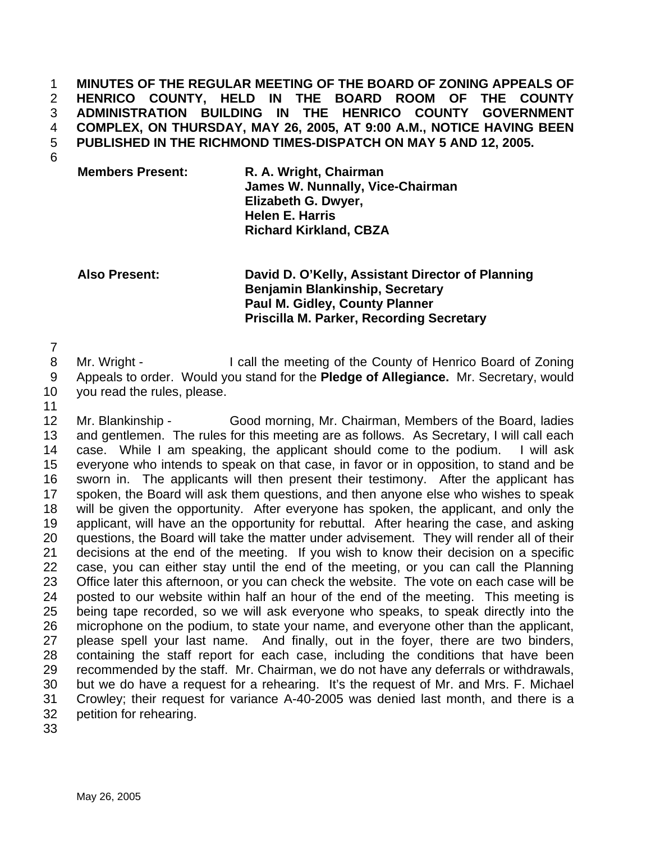**MINUTES OF THE REGULAR MEETING OF THE BOARD OF ZONING APPEALS OF HENRICO COUNTY, HELD IN THE BOARD ROOM OF THE COUNTY ADMINISTRATION BUILDING IN THE HENRICO COUNTY GOVERNMENT COMPLEX, ON THURSDAY, MAY 26, 2005, AT 9:00 A.M., NOTICE HAVING BEEN PUBLISHED IN THE RICHMOND TIMES-DISPATCH ON MAY 5 AND 12, 2005.**  1 2 3 4 5

6

**Members Present: R. A. Wright, Chairman James W. Nunnally, Vice-Chairman Elizabeth G. Dwyer, Helen E. Harris Richard Kirkland, CBZA** 

**Also Present: David D. O'Kelly, Assistant Director of Planning Benjamin Blankinship, Secretary Paul M. Gidley, County Planner Priscilla M. Parker, Recording Secretary** 

7

8 9 Mr. Wright - I call the meeting of the County of Henrico Board of Zoning Appeals to order. Would you stand for the **Pledge of Allegiance.** Mr. Secretary, would

- 10 you read the rules, please.
- 11

12 13 14 15 16 17 18 19 20 21 22 23 24 25 26 27 28 29 30 31 32 Mr. Blankinship - Good morning, Mr. Chairman, Members of the Board, ladies and gentlemen. The rules for this meeting are as follows. As Secretary, I will call each case. While I am speaking, the applicant should come to the podium. I will ask everyone who intends to speak on that case, in favor or in opposition, to stand and be sworn in. The applicants will then present their testimony. After the applicant has spoken, the Board will ask them questions, and then anyone else who wishes to speak will be given the opportunity. After everyone has spoken, the applicant, and only the applicant, will have an the opportunity for rebuttal. After hearing the case, and asking questions, the Board will take the matter under advisement. They will render all of their decisions at the end of the meeting. If you wish to know their decision on a specific case, you can either stay until the end of the meeting, or you can call the Planning Office later this afternoon, or you can check the website. The vote on each case will be posted to our website within half an hour of the end of the meeting. This meeting is being tape recorded, so we will ask everyone who speaks, to speak directly into the microphone on the podium, to state your name, and everyone other than the applicant, please spell your last name. And finally, out in the foyer, there are two binders, containing the staff report for each case, including the conditions that have been recommended by the staff. Mr. Chairman, we do not have any deferrals or withdrawals, but we do have a request for a rehearing. It's the request of Mr. and Mrs. F. Michael Crowley; their request for variance A-40-2005 was denied last month, and there is a petition for rehearing.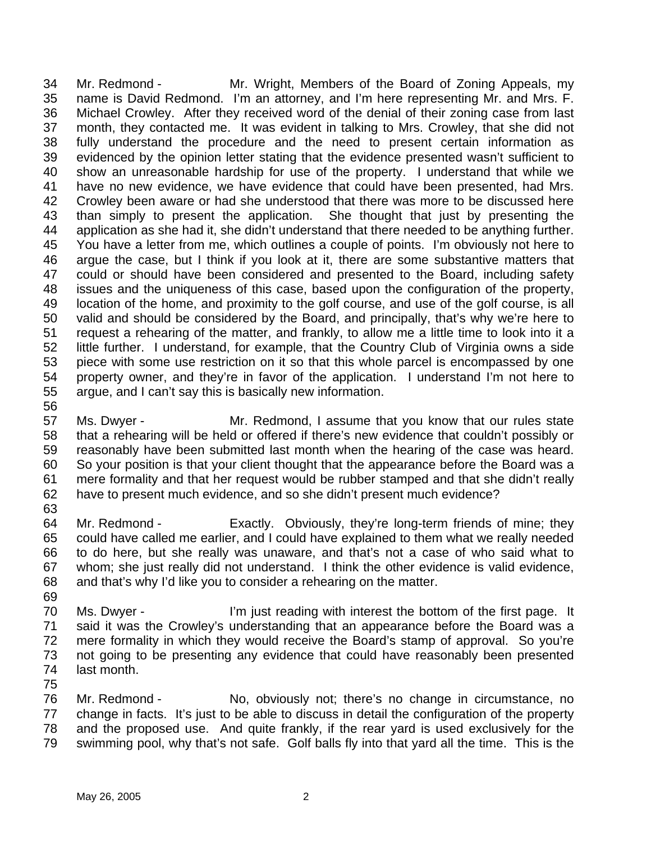34 35 36 37 38 39 40 41 42 43 44 45 46 47 48 49 50 51 52 53 54 55 Mr. Redmond - Mr. Wright, Members of the Board of Zoning Appeals, my name is David Redmond. I'm an attorney, and I'm here representing Mr. and Mrs. F. Michael Crowley. After they received word of the denial of their zoning case from last month, they contacted me. It was evident in talking to Mrs. Crowley, that she did not fully understand the procedure and the need to present certain information as evidenced by the opinion letter stating that the evidence presented wasn't sufficient to show an unreasonable hardship for use of the property. I understand that while we have no new evidence, we have evidence that could have been presented, had Mrs. Crowley been aware or had she understood that there was more to be discussed here than simply to present the application. She thought that just by presenting the application as she had it, she didn't understand that there needed to be anything further. You have a letter from me, which outlines a couple of points. I'm obviously not here to argue the case, but I think if you look at it, there are some substantive matters that could or should have been considered and presented to the Board, including safety issues and the uniqueness of this case, based upon the configuration of the property, location of the home, and proximity to the golf course, and use of the golf course, is all valid and should be considered by the Board, and principally, that's why we're here to request a rehearing of the matter, and frankly, to allow me a little time to look into it a little further. I understand, for example, that the Country Club of Virginia owns a side piece with some use restriction on it so that this whole parcel is encompassed by one property owner, and they're in favor of the application. I understand I'm not here to argue, and I can't say this is basically new information.

57 58 59 60 61 62 Ms. Dwyer - The Mr. Redmond, I assume that you know that our rules state that a rehearing will be held or offered if there's new evidence that couldn't possibly or reasonably have been submitted last month when the hearing of the case was heard. So your position is that your client thought that the appearance before the Board was a mere formality and that her request would be rubber stamped and that she didn't really have to present much evidence, and so she didn't present much evidence?

- 63 64 Mr. Redmond - Exactly. Obviously, they're long-term friends of mine; they
- 65 66 67 68 could have called me earlier, and I could have explained to them what we really needed to do here, but she really was unaware, and that's not a case of who said what to whom; she just really did not understand. I think the other evidence is valid evidence, and that's why I'd like you to consider a rehearing on the matter.
- 69 70 71 72 73 74 Ms. Dwyer - I'm just reading with interest the bottom of the first page. It said it was the Crowley's understanding that an appearance before the Board was a mere formality in which they would receive the Board's stamp of approval. So you're not going to be presenting any evidence that could have reasonably been presented last month.
- 75

56

76 77 78 79 Mr. Redmond - No, obviously not; there's no change in circumstance, no change in facts. It's just to be able to discuss in detail the configuration of the property and the proposed use. And quite frankly, if the rear yard is used exclusively for the swimming pool, why that's not safe. Golf balls fly into that yard all the time. This is the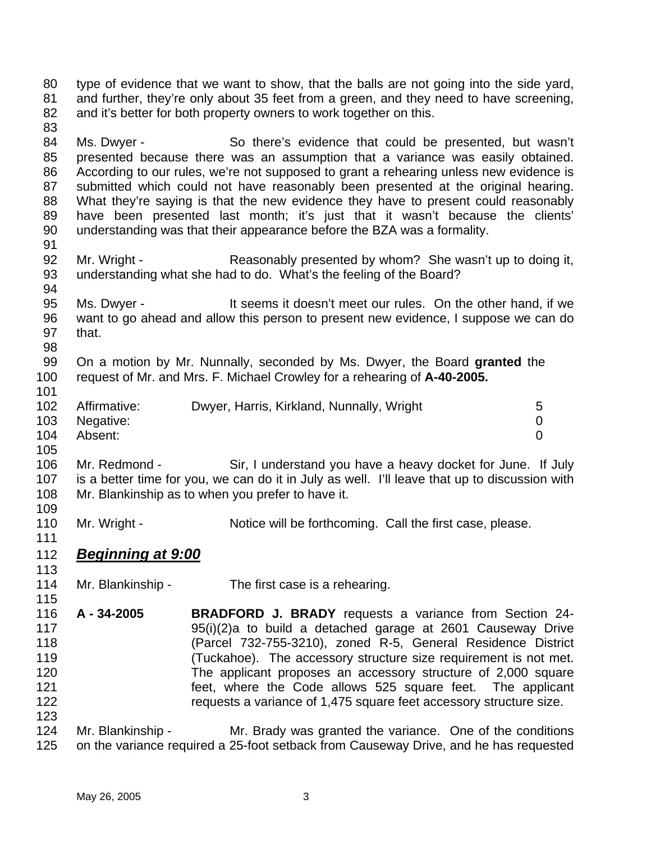80 81 82 83 84 85 86 87 88 89 90 91 92 93 94 95 96 97 98 99 100 101 102 103 104 105 106 107 108 109 110 111 type of evidence that we want to show, that the balls are not going into the side yard, and further, they're only about 35 feet from a green, and they need to have screening, and it's better for both property owners to work together on this. Ms. Dwyer - So there's evidence that could be presented, but wasn't presented because there was an assumption that a variance was easily obtained. According to our rules, we're not supposed to grant a rehearing unless new evidence is submitted which could not have reasonably been presented at the original hearing. What they're saying is that the new evidence they have to present could reasonably have been presented last month; it's just that it wasn't because the clients' understanding was that their appearance before the BZA was a formality. Mr. Wright - Reasonably presented by whom? She wasn't up to doing it, understanding what she had to do. What's the feeling of the Board? Ms. Dwyer - It seems it doesn't meet our rules. On the other hand, if we want to go ahead and allow this person to present new evidence, I suppose we can do that. On a motion by Mr. Nunnally, seconded by Ms. Dwyer, the Board **granted** the request of Mr. and Mrs. F. Michael Crowley for a rehearing of **A-40-2005.**  Affirmative: Dwyer, Harris, Kirkland, Nunnally, Wright 5 Negative: 0 Absent: 0 Mr. Redmond - Sir, I understand you have a heavy docket for June. If July is a better time for you, we can do it in July as well. I'll leave that up to discussion with Mr. Blankinship as to when you prefer to have it. Mr. Wright - Notice will be forthcoming. Call the first case, please. 112 *Beginning at 9:00* 113 114 115 116 117 118 119 120 121 122 123 124 125 Mr. Blankinship - The first case is a rehearing. **A - 34-2005 BRADFORD J. BRADY** requests a variance from Section 24- 95(i)(2)a to build a detached garage at 2601 Causeway Drive (Parcel 732-755-3210), zoned R-5, General Residence District (Tuckahoe). The accessory structure size requirement is not met. The applicant proposes an accessory structure of 2,000 square feet, where the Code allows 525 square feet. The applicant requests a variance of 1,475 square feet accessory structure size. Mr. Blankinship - Mr. Brady was granted the variance. One of the conditions on the variance required a 25-foot setback from Causeway Drive, and he has requested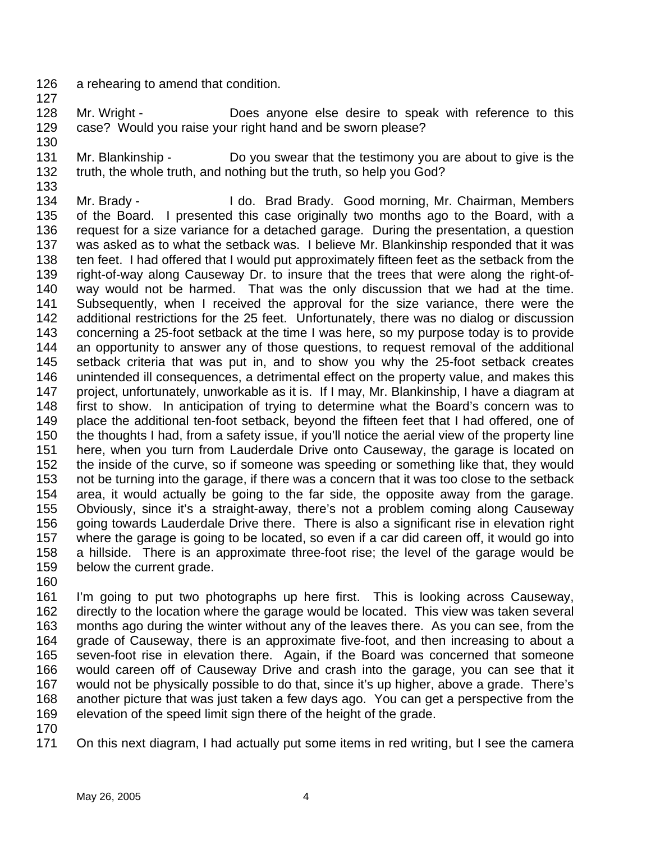- 126 a rehearing to amend that condition.
- 127
- 128 129 Mr. Wright - **Does anyone else desire to speak with reference to this** case? Would you raise your right hand and be sworn please?
- 130
- 131 132 Mr. Blankinship - Do you swear that the testimony you are about to give is the truth, the whole truth, and nothing but the truth, so help you God?
- 133

134 135 136 137 138 139 140 141 142 143 144 145 146 147 148 149 150 151 152 153 154 155 156 157 158 159 Mr. Brady - I do. Brad Brady. Good morning, Mr. Chairman, Members of the Board. I presented this case originally two months ago to the Board, with a request for a size variance for a detached garage. During the presentation, a question was asked as to what the setback was. I believe Mr. Blankinship responded that it was ten feet. I had offered that I would put approximately fifteen feet as the setback from the right-of-way along Causeway Dr. to insure that the trees that were along the right-ofway would not be harmed. That was the only discussion that we had at the time. Subsequently, when I received the approval for the size variance, there were the additional restrictions for the 25 feet. Unfortunately, there was no dialog or discussion concerning a 25-foot setback at the time I was here, so my purpose today is to provide an opportunity to answer any of those questions, to request removal of the additional setback criteria that was put in, and to show you why the 25-foot setback creates unintended ill consequences, a detrimental effect on the property value, and makes this project, unfortunately, unworkable as it is. If I may, Mr. Blankinship, I have a diagram at first to show. In anticipation of trying to determine what the Board's concern was to place the additional ten-foot setback, beyond the fifteen feet that I had offered, one of the thoughts I had, from a safety issue, if you'll notice the aerial view of the property line here, when you turn from Lauderdale Drive onto Causeway, the garage is located on the inside of the curve, so if someone was speeding or something like that, they would not be turning into the garage, if there was a concern that it was too close to the setback area, it would actually be going to the far side, the opposite away from the garage. Obviously, since it's a straight-away, there's not a problem coming along Causeway going towards Lauderdale Drive there. There is also a significant rise in elevation right where the garage is going to be located, so even if a car did careen off, it would go into a hillside. There is an approximate three-foot rise; the level of the garage would be below the current grade.

160

161 162 163 164 165 166 167 168 169 I'm going to put two photographs up here first. This is looking across Causeway, directly to the location where the garage would be located. This view was taken several months ago during the winter without any of the leaves there. As you can see, from the grade of Causeway, there is an approximate five-foot, and then increasing to about a seven-foot rise in elevation there. Again, if the Board was concerned that someone would careen off of Causeway Drive and crash into the garage, you can see that it would not be physically possible to do that, since it's up higher, above a grade. There's another picture that was just taken a few days ago. You can get a perspective from the elevation of the speed limit sign there of the height of the grade.

170

171 On this next diagram, I had actually put some items in red writing, but I see the camera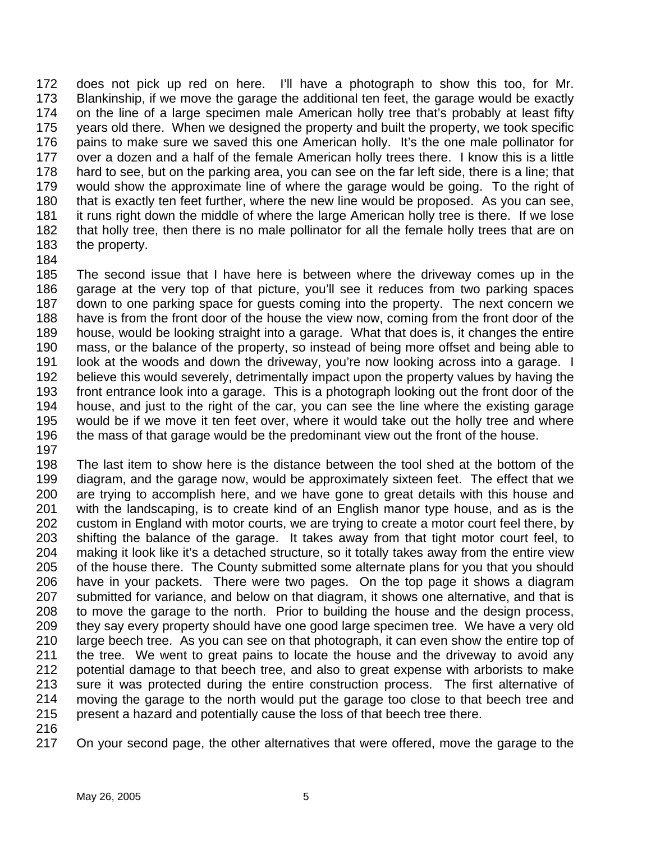172 173 174 175 176 177 178 179 180 181 182 183 does not pick up red on here. I'll have a photograph to show this too, for Mr. Blankinship, if we move the garage the additional ten feet, the garage would be exactly on the line of a large specimen male American holly tree that's probably at least fifty years old there. When we designed the property and built the property, we took specific pains to make sure we saved this one American holly. It's the one male pollinator for over a dozen and a half of the female American holly trees there. I know this is a little hard to see, but on the parking area, you can see on the far left side, there is a line; that would show the approximate line of where the garage would be going. To the right of that is exactly ten feet further, where the new line would be proposed. As you can see, it runs right down the middle of where the large American holly tree is there. If we lose that holly tree, then there is no male pollinator for all the female holly trees that are on the property.

184

185 186 187 188 189 190 191 192 193 194 195 196 The second issue that I have here is between where the driveway comes up in the garage at the very top of that picture, you'll see it reduces from two parking spaces down to one parking space for guests coming into the property. The next concern we have is from the front door of the house the view now, coming from the front door of the house, would be looking straight into a garage. What that does is, it changes the entire mass, or the balance of the property, so instead of being more offset and being able to look at the woods and down the driveway, you're now looking across into a garage. I believe this would severely, detrimentally impact upon the property values by having the front entrance look into a garage. This is a photograph looking out the front door of the house, and just to the right of the car, you can see the line where the existing garage would be if we move it ten feet over, where it would take out the holly tree and where the mass of that garage would be the predominant view out the front of the house.

197

198 199 200 201 202 203 204 205 206 207 208 209 210 211 212 213 214 215 The last item to show here is the distance between the tool shed at the bottom of the diagram, and the garage now, would be approximately sixteen feet. The effect that we are trying to accomplish here, and we have gone to great details with this house and with the landscaping, is to create kind of an English manor type house, and as is the custom in England with motor courts, we are trying to create a motor court feel there, by shifting the balance of the garage. It takes away from that tight motor court feel, to making it look like it's a detached structure, so it totally takes away from the entire view of the house there. The County submitted some alternate plans for you that you should have in your packets. There were two pages. On the top page it shows a diagram submitted for variance, and below on that diagram, it shows one alternative, and that is to move the garage to the north. Prior to building the house and the design process, they say every property should have one good large specimen tree. We have a very old large beech tree. As you can see on that photograph, it can even show the entire top of the tree. We went to great pains to locate the house and the driveway to avoid any potential damage to that beech tree, and also to great expense with arborists to make sure it was protected during the entire construction process. The first alternative of moving the garage to the north would put the garage too close to that beech tree and present a hazard and potentially cause the loss of that beech tree there.

216

217 On your second page, the other alternatives that were offered, move the garage to the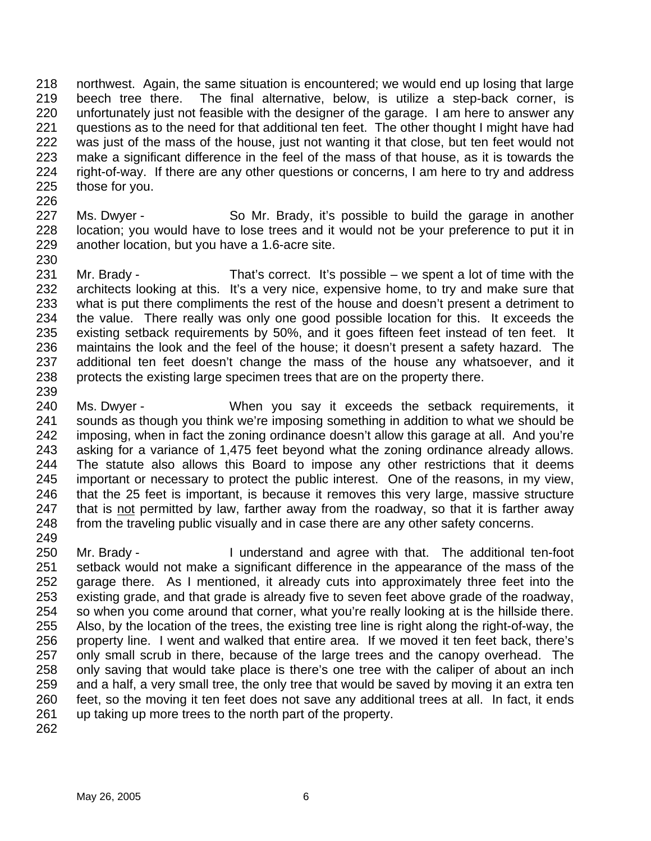218 219 220 221 222 223 224 225 northwest. Again, the same situation is encountered; we would end up losing that large beech tree there. The final alternative, below, is utilize a step-back corner, is unfortunately just not feasible with the designer of the garage. I am here to answer any questions as to the need for that additional ten feet. The other thought I might have had was just of the mass of the house, just not wanting it that close, but ten feet would not make a significant difference in the feel of the mass of that house, as it is towards the right-of-way. If there are any other questions or concerns, I am here to try and address those for you.

- 227 228 229 Ms. Dwyer - So Mr. Brady, it's possible to build the garage in another location; you would have to lose trees and it would not be your preference to put it in another location, but you have a 1.6-acre site.
- 231 232 233 234 235 236 237 238 Mr. Brady - That's correct. It's possible – we spent a lot of time with the architects looking at this. It's a very nice, expensive home, to try and make sure that what is put there compliments the rest of the house and doesn't present a detriment to the value. There really was only one good possible location for this. It exceeds the existing setback requirements by 50%, and it goes fifteen feet instead of ten feet. It maintains the look and the feel of the house; it doesn't present a safety hazard. The additional ten feet doesn't change the mass of the house any whatsoever, and it protects the existing large specimen trees that are on the property there.
- 239

226

- 240 241 242 243 244 245 246 Ms. Dwyer - When you say it exceeds the setback requirements, it sounds as though you think we're imposing something in addition to what we should be imposing, when in fact the zoning ordinance doesn't allow this garage at all. And you're asking for a variance of 1,475 feet beyond what the zoning ordinance already allows. The statute also allows this Board to impose any other restrictions that it deems important or necessary to protect the public interest. One of the reasons, in my view, that the 25 feet is important, is because it removes this very large, massive structure that is not permitted by law, farther away from the roadway, so that it is farther away from the traveling public visually and in case there are any other safety concerns. 247 248 249
- 250 251 252 253 254 255 256 257 258 259 260 261 Mr. Brady - The state of a landerstand and agree with that. The additional ten-foot setback would not make a significant difference in the appearance of the mass of the garage there. As I mentioned, it already cuts into approximately three feet into the existing grade, and that grade is already five to seven feet above grade of the roadway, so when you come around that corner, what you're really looking at is the hillside there. Also, by the location of the trees, the existing tree line is right along the right-of-way, the property line. I went and walked that entire area. If we moved it ten feet back, there's only small scrub in there, because of the large trees and the canopy overhead. The only saving that would take place is there's one tree with the caliper of about an inch and a half, a very small tree, the only tree that would be saved by moving it an extra ten feet, so the moving it ten feet does not save any additional trees at all. In fact, it ends up taking up more trees to the north part of the property.
- 262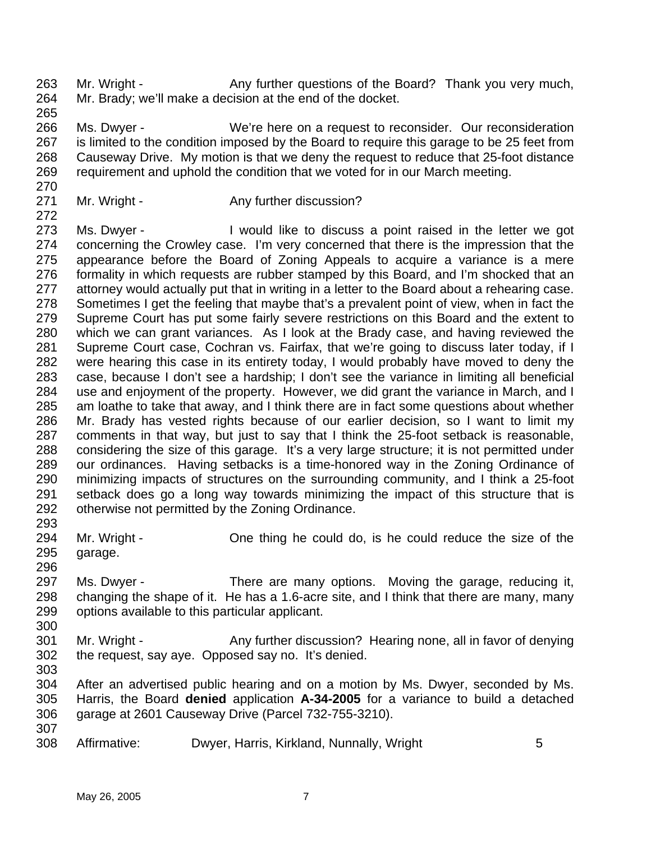263 264 265 Mr. Wright - Any further questions of the Board? Thank you very much, Mr. Brady; we'll make a decision at the end of the docket.

- 266 267 268 269 Ms. Dwyer - We're here on a request to reconsider. Our reconsideration is limited to the condition imposed by the Board to require this garage to be 25 feet from Causeway Drive. My motion is that we deny the request to reduce that 25-foot distance requirement and uphold the condition that we voted for in our March meeting.
- 270

272

- 271
- Mr. Wright Any further discussion?

273 274 275 276 277 278 279 280 281 282 283 284 285 286 287 288 289 290 291 292 293 Ms. Dwyer - I would like to discuss a point raised in the letter we got concerning the Crowley case. I'm very concerned that there is the impression that the appearance before the Board of Zoning Appeals to acquire a variance is a mere formality in which requests are rubber stamped by this Board, and I'm shocked that an attorney would actually put that in writing in a letter to the Board about a rehearing case. Sometimes I get the feeling that maybe that's a prevalent point of view, when in fact the Supreme Court has put some fairly severe restrictions on this Board and the extent to which we can grant variances. As I look at the Brady case, and having reviewed the Supreme Court case, Cochran vs. Fairfax, that we're going to discuss later today, if I were hearing this case in its entirety today, I would probably have moved to deny the case, because I don't see a hardship; I don't see the variance in limiting all beneficial use and enjoyment of the property. However, we did grant the variance in March, and I am loathe to take that away, and I think there are in fact some questions about whether Mr. Brady has vested rights because of our earlier decision, so I want to limit my comments in that way, but just to say that I think the 25-foot setback is reasonable, considering the size of this garage. It's a very large structure; it is not permitted under our ordinances. Having setbacks is a time-honored way in the Zoning Ordinance of minimizing impacts of structures on the surrounding community, and I think a 25-foot setback does go a long way towards minimizing the impact of this structure that is otherwise not permitted by the Zoning Ordinance.

294 295 Mr. Wright - Che thing he could do, is he could reduce the size of the garage.

- 296 297 298 299 Ms. Dwyer - There are many options. Moving the garage, reducing it, changing the shape of it. He has a 1.6-acre site, and I think that there are many, many options available to this particular applicant.
- 301 302 Mr. Wright - Any further discussion? Hearing none, all in favor of denying the request, say aye. Opposed say no. It's denied.
- 303

300

304 305 306 307 After an advertised public hearing and on a motion by Ms. Dwyer, seconded by Ms. Harris, the Board **denied** application **A-34-2005** for a variance to build a detached garage at 2601 Causeway Drive (Parcel 732-755-3210).

308 Affirmative: Dwyer, Harris, Kirkland, Nunnally, Wright 5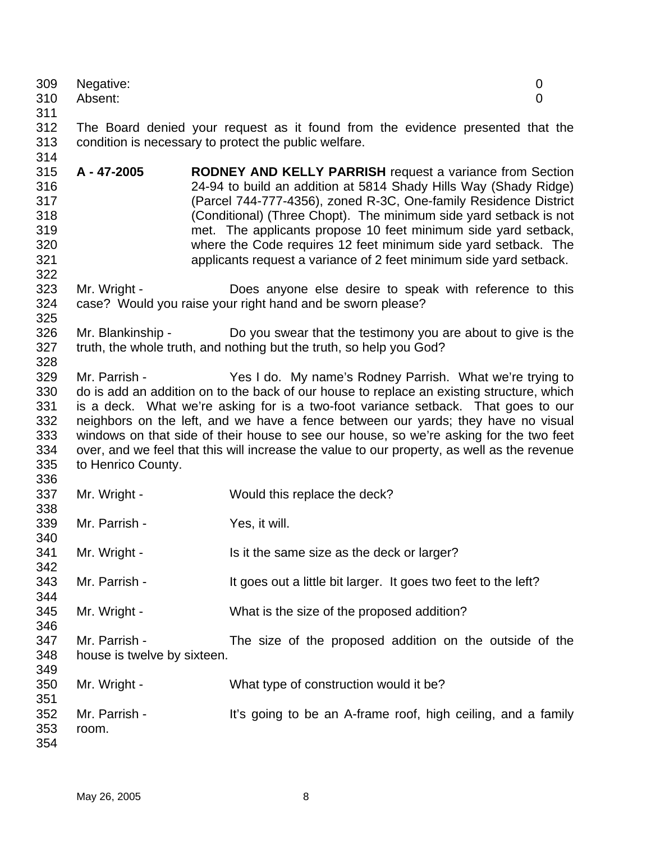| 309<br>310<br>311                                    | Negative:<br>Absent:                         | $\boldsymbol{0}$<br>$\overline{0}$                                                                                                                                                                                                                                                                                                                                                                                                                                                                                       |
|------------------------------------------------------|----------------------------------------------|--------------------------------------------------------------------------------------------------------------------------------------------------------------------------------------------------------------------------------------------------------------------------------------------------------------------------------------------------------------------------------------------------------------------------------------------------------------------------------------------------------------------------|
| 312<br>313<br>314                                    |                                              | The Board denied your request as it found from the evidence presented that the<br>condition is necessary to protect the public welfare.                                                                                                                                                                                                                                                                                                                                                                                  |
| 315<br>316<br>317<br>318<br>319<br>320<br>321<br>322 | A - 47-2005                                  | <b>RODNEY AND KELLY PARRISH</b> request a variance from Section<br>24-94 to build an addition at 5814 Shady Hills Way (Shady Ridge)<br>(Parcel 744-777-4356), zoned R-3C, One-family Residence District<br>(Conditional) (Three Chopt). The minimum side yard setback is not<br>met. The applicants propose 10 feet minimum side yard setback,<br>where the Code requires 12 feet minimum side yard setback. The<br>applicants request a variance of 2 feet minimum side yard setback.                                   |
| 323<br>324<br>325                                    | Mr. Wright -                                 | Does anyone else desire to speak with reference to this<br>case? Would you raise your right hand and be sworn please?                                                                                                                                                                                                                                                                                                                                                                                                    |
| 326<br>327<br>328                                    | Mr. Blankinship -                            | Do you swear that the testimony you are about to give is the<br>truth, the whole truth, and nothing but the truth, so help you God?                                                                                                                                                                                                                                                                                                                                                                                      |
| 329<br>330<br>331<br>332<br>333<br>334<br>335<br>336 | Mr. Parrish -<br>to Henrico County.          | Yes I do. My name's Rodney Parrish. What we're trying to<br>do is add an addition on to the back of our house to replace an existing structure, which<br>is a deck. What we're asking for is a two-foot variance setback. That goes to our<br>neighbors on the left, and we have a fence between our yards; they have no visual<br>windows on that side of their house to see our house, so we're asking for the two feet<br>over, and we feel that this will increase the value to our property, as well as the revenue |
| 337<br>338                                           | Mr. Wright -                                 | Would this replace the deck?                                                                                                                                                                                                                                                                                                                                                                                                                                                                                             |
| 339<br>340                                           | Mr. Parrish -                                | Yes, it will.                                                                                                                                                                                                                                                                                                                                                                                                                                                                                                            |
| 341<br>342                                           | Mr. Wright -                                 | Is it the same size as the deck or larger?                                                                                                                                                                                                                                                                                                                                                                                                                                                                               |
| 343<br>344                                           | Mr. Parrish -                                | It goes out a little bit larger. It goes two feet to the left?                                                                                                                                                                                                                                                                                                                                                                                                                                                           |
| 345<br>346                                           | Mr. Wright -                                 | What is the size of the proposed addition?                                                                                                                                                                                                                                                                                                                                                                                                                                                                               |
| 347<br>348<br>349                                    | Mr. Parrish -<br>house is twelve by sixteen. | The size of the proposed addition on the outside of the                                                                                                                                                                                                                                                                                                                                                                                                                                                                  |
| 350<br>351                                           | Mr. Wright -                                 | What type of construction would it be?                                                                                                                                                                                                                                                                                                                                                                                                                                                                                   |
| 352<br>353<br>354                                    | Mr. Parrish -<br>room.                       | It's going to be an A-frame roof, high ceiling, and a family                                                                                                                                                                                                                                                                                                                                                                                                                                                             |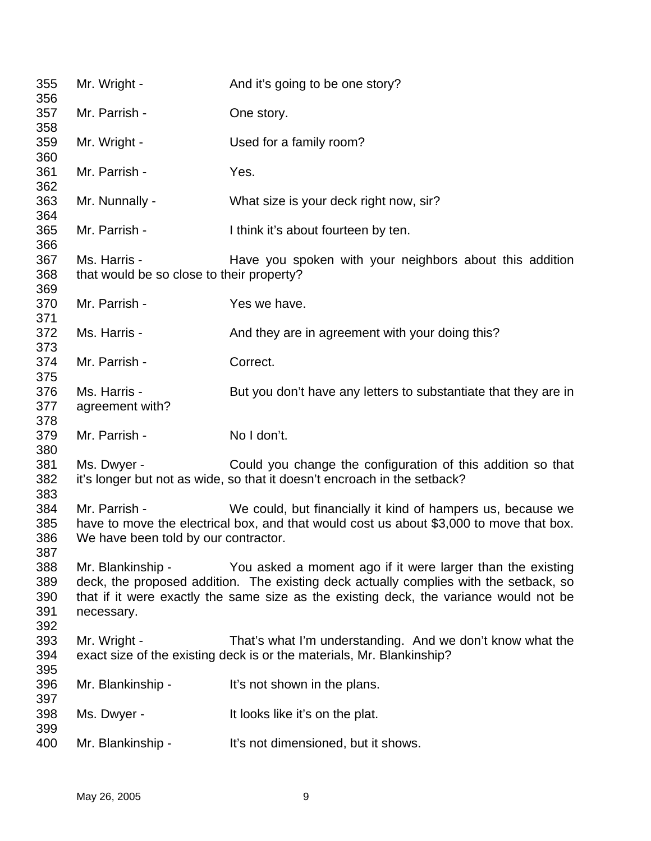| 355<br>356                      | Mr. Wright -                                              | And it's going to be one story?                                                                                                                                                                                                              |
|---------------------------------|-----------------------------------------------------------|----------------------------------------------------------------------------------------------------------------------------------------------------------------------------------------------------------------------------------------------|
| 357<br>358                      | Mr. Parrish -                                             | One story.                                                                                                                                                                                                                                   |
| 359<br>360                      | Mr. Wright -                                              | Used for a family room?                                                                                                                                                                                                                      |
| 361<br>362                      | Mr. Parrish -                                             | Yes.                                                                                                                                                                                                                                         |
| 363<br>364                      | Mr. Nunnally -                                            | What size is your deck right now, sir?                                                                                                                                                                                                       |
| 365<br>366                      | Mr. Parrish -                                             | I think it's about fourteen by ten.                                                                                                                                                                                                          |
| 367<br>368<br>369               | Ms. Harris -<br>that would be so close to their property? | Have you spoken with your neighbors about this addition                                                                                                                                                                                      |
| 370<br>371                      | Mr. Parrish -                                             | Yes we have.                                                                                                                                                                                                                                 |
| 372<br>373                      | Ms. Harris -                                              | And they are in agreement with your doing this?                                                                                                                                                                                              |
| 374<br>375                      | Mr. Parrish -                                             | Correct.                                                                                                                                                                                                                                     |
| 376<br>377<br>378               | Ms. Harris -<br>agreement with?                           | But you don't have any letters to substantiate that they are in                                                                                                                                                                              |
| 379<br>380                      | Mr. Parrish -                                             | No I don't.                                                                                                                                                                                                                                  |
| 381<br>382<br>383               | Ms. Dwyer -                                               | Could you change the configuration of this addition so that<br>it's longer but not as wide, so that it doesn't encroach in the setback?                                                                                                      |
| 384<br>385<br>386<br>387        | Mr. Parrish -<br>We have been told by our contractor.     | We could, but financially it kind of hampers us, because we<br>have to move the electrical box, and that would cost us about \$3,000 to move that box.                                                                                       |
| 388<br>389<br>390<br>391<br>392 | Mr. Blankinship -<br>necessary.                           | You asked a moment ago if it were larger than the existing<br>deck, the proposed addition. The existing deck actually complies with the setback, so<br>that if it were exactly the same size as the existing deck, the variance would not be |
| 393<br>394<br>395               | Mr. Wright -                                              | That's what I'm understanding. And we don't know what the<br>exact size of the existing deck is or the materials, Mr. Blankinship?                                                                                                           |
| 396<br>397                      | Mr. Blankinship -                                         | It's not shown in the plans.                                                                                                                                                                                                                 |
| 398<br>399                      | Ms. Dwyer -                                               | It looks like it's on the plat.                                                                                                                                                                                                              |
| 400                             | Mr. Blankinship -                                         | It's not dimensioned, but it shows.                                                                                                                                                                                                          |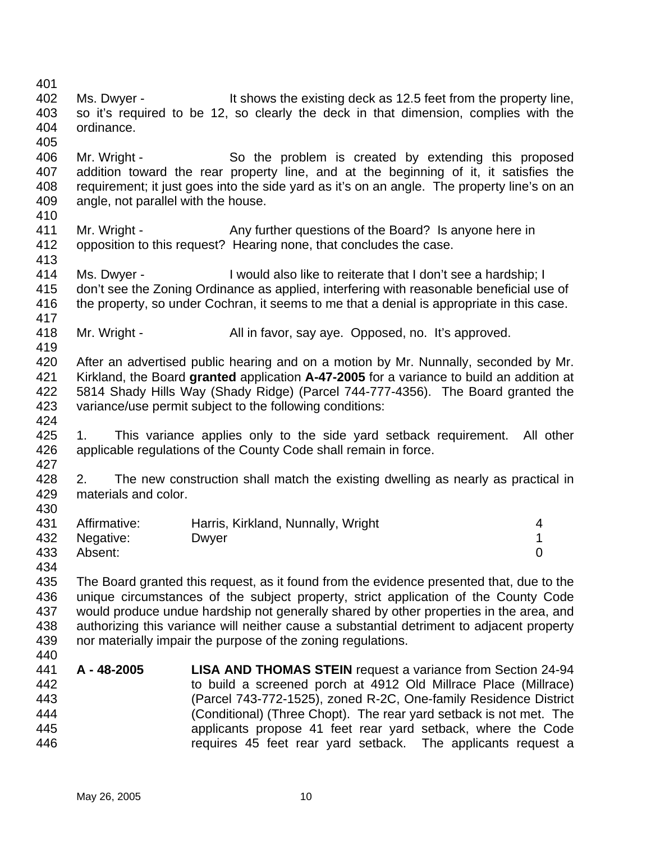401 402 403 404 405 406 407 408 409 410 411 412 413 414 415 416 417 418 419 420 421 422 423 424 425 426 427 428 429 430 431 432 433 434 435 436 437 438 439 440 441 442 443 444 445 446 Ms. Dwyer - It shows the existing deck as 12.5 feet from the property line, so it's required to be 12, so clearly the deck in that dimension, complies with the ordinance. Mr. Wright - So the problem is created by extending this proposed addition toward the rear property line, and at the beginning of it, it satisfies the requirement; it just goes into the side yard as it's on an angle. The property line's on an angle, not parallel with the house. Mr. Wright - Any further questions of the Board? Is anyone here in opposition to this request? Hearing none, that concludes the case. Ms. Dwyer - I would also like to reiterate that I don't see a hardship; I don't see the Zoning Ordinance as applied, interfering with reasonable beneficial use of the property, so under Cochran, it seems to me that a denial is appropriate in this case. Mr. Wright - All in favor, say aye. Opposed, no. It's approved. After an advertised public hearing and on a motion by Mr. Nunnally, seconded by Mr. Kirkland, the Board **granted** application **A-47-2005** for a variance to build an addition at 5814 Shady Hills Way (Shady Ridge) (Parcel 744-777-4356). The Board granted the variance/use permit subject to the following conditions: 1. This variance applies only to the side yard setback requirement. All other applicable regulations of the County Code shall remain in force. 2. The new construction shall match the existing dwelling as nearly as practical in materials and color. Affirmative: Harris, Kirkland, Nunnally, Wright 4 Negative: Dwyer 2009 Dwyer 2009 PM 2009 2009 1 Absent: 0 The Board granted this request, as it found from the evidence presented that, due to the unique circumstances of the subject property, strict application of the County Code would produce undue hardship not generally shared by other properties in the area, and authorizing this variance will neither cause a substantial detriment to adjacent property nor materially impair the purpose of the zoning regulations. **A - 48-2005 LISA AND THOMAS STEIN** request a variance from Section 24-94 to build a screened porch at 4912 Old Millrace Place (Millrace) (Parcel 743-772-1525), zoned R-2C, One-family Residence District (Conditional) (Three Chopt). The rear yard setback is not met. The applicants propose 41 feet rear yard setback, where the Code requires 45 feet rear yard setback. The applicants request a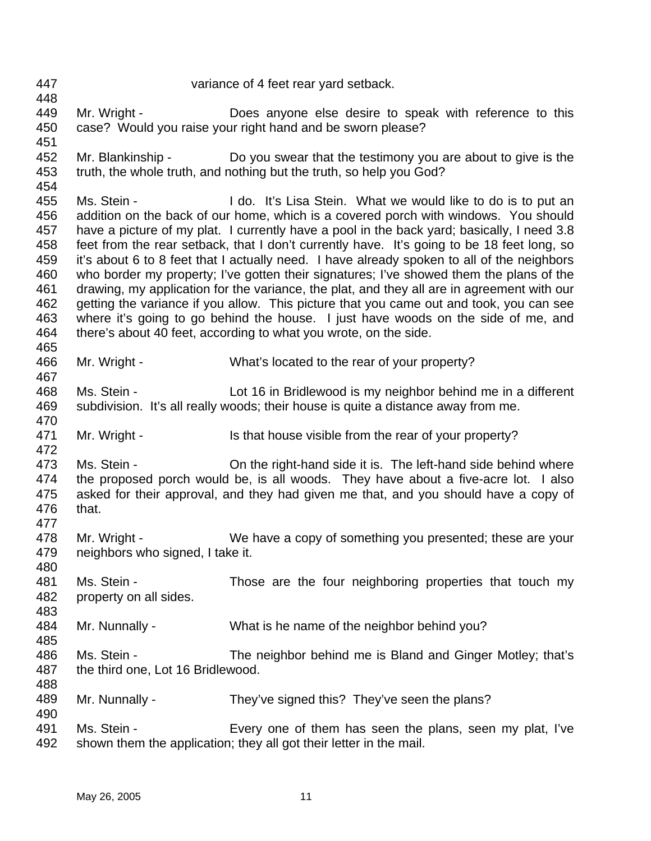447 448 449 450 451 452 453 454 455 456 457 458 459 460 461 462 463 464 465 466 467 468 469 470 471 472 473 474 475 476 477 478 479 480 481 482 483 484 485 486 487 488 489 490 491 492 variance of 4 feet rear yard setback. Mr. Wright - Does anyone else desire to speak with reference to this case? Would you raise your right hand and be sworn please? Mr. Blankinship - Do you swear that the testimony you are about to give is the truth, the whole truth, and nothing but the truth, so help you God? Ms. Stein - The Stein Helphan I do. It's Lisa Stein. What we would like to do is to put an addition on the back of our home, which is a covered porch with windows. You should have a picture of my plat. I currently have a pool in the back yard; basically, I need 3.8 feet from the rear setback, that I don't currently have. It's going to be 18 feet long, so it's about 6 to 8 feet that I actually need. I have already spoken to all of the neighbors who border my property; I've gotten their signatures; I've showed them the plans of the drawing, my application for the variance, the plat, and they all are in agreement with our getting the variance if you allow. This picture that you came out and took, you can see where it's going to go behind the house. I just have woods on the side of me, and there's about 40 feet, according to what you wrote, on the side. Mr. Wright - What's located to the rear of your property? Ms. Stein - Lot 16 in Bridlewood is my neighbor behind me in a different subdivision. It's all really woods; their house is quite a distance away from me. Mr. Wright - Is that house visible from the rear of your property? Ms. Stein - On the right-hand side it is. The left-hand side behind where the proposed porch would be, is all woods. They have about a five-acre lot. I also asked for their approval, and they had given me that, and you should have a copy of that. Mr. Wright - We have a copy of something you presented; these are your neighbors who signed, I take it. Ms. Stein - Those are the four neighboring properties that touch my property on all sides. Mr. Nunnally - What is he name of the neighbor behind you? Ms. Stein - The neighbor behind me is Bland and Ginger Motley; that's the third one, Lot 16 Bridlewood. Mr. Nunnally - They've signed this? They've seen the plans? Ms. Stein - Every one of them has seen the plans, seen my plat, I've shown them the application; they all got their letter in the mail.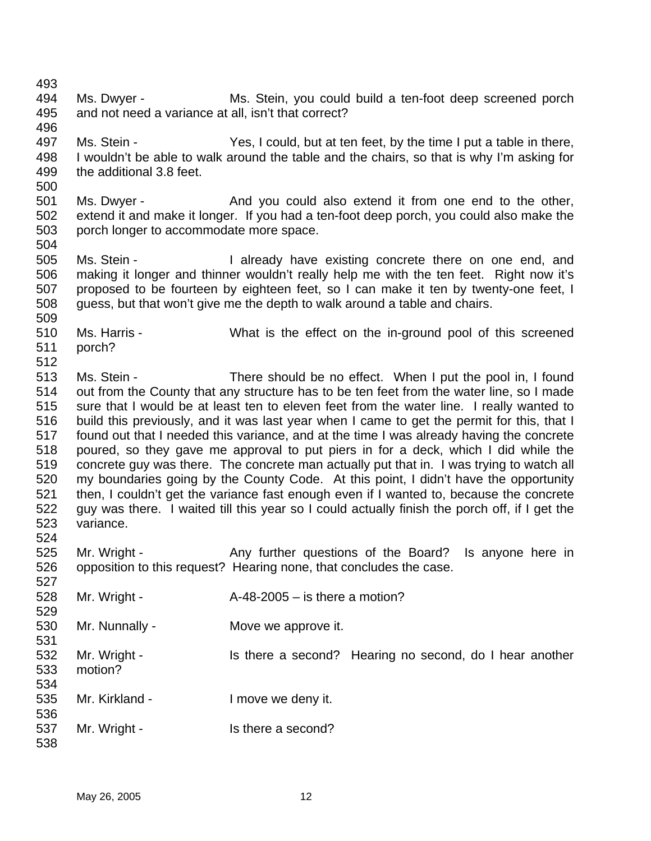501 502 503 504 505 506 507 508 509 510 511 512 513 514 515 516 517 518 519 520 521 522 523 524 525 526 527 528 529 530 531 532 533 534 535 536 537 538 Ms. Dwyer - And you could also extend it from one end to the other, extend it and make it longer. If you had a ten-foot deep porch, you could also make the porch longer to accommodate more space. Ms. Stein - The Music existing concrete there on one end, and making it longer and thinner wouldn't really help me with the ten feet. Right now it's proposed to be fourteen by eighteen feet, so I can make it ten by twenty-one feet, I guess, but that won't give me the depth to walk around a table and chairs. Ms. Harris - What is the effect on the in-ground pool of this screened porch? Ms. Stein - There should be no effect. When I put the pool in, I found out from the County that any structure has to be ten feet from the water line, so I made sure that I would be at least ten to eleven feet from the water line. I really wanted to build this previously, and it was last year when I came to get the permit for this, that I found out that I needed this variance, and at the time I was already having the concrete poured, so they gave me approval to put piers in for a deck, which I did while the concrete guy was there. The concrete man actually put that in. I was trying to watch all my boundaries going by the County Code. At this point, I didn't have the opportunity then, I couldn't get the variance fast enough even if I wanted to, because the concrete guy was there. I waited till this year so I could actually finish the porch off, if I get the variance. Mr. Wright - The Any further questions of the Board? Is anyone here in opposition to this request? Hearing none, that concludes the case. Mr. Wright -  $A-48-2005 -$  is there a motion? Mr. Nunnally - Move we approve it. Mr. Wright - Is there a second? Hearing no second, do I hear another motion? Mr. Kirkland - The University of the Imove we deny it. Mr. Wright - Is there a second?

Ms. Dwyer - Ms. Stein, you could build a ten-foot deep screened porch

Ms. Stein - Yes, I could, but at ten feet, by the time I put a table in there, I wouldn't be able to walk around the table and the chairs, so that is why I'm asking for

and not need a variance at all, isn't that correct?

the additional 3.8 feet.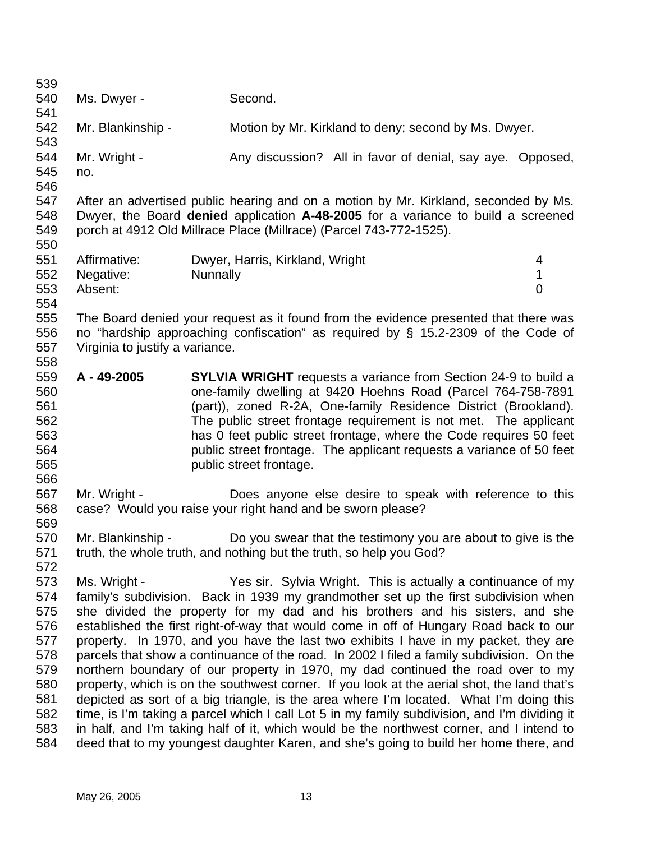| 539        |                                 |                                                                                                                                                                                         |                |
|------------|---------------------------------|-----------------------------------------------------------------------------------------------------------------------------------------------------------------------------------------|----------------|
| 540        | Ms. Dwyer -                     | Second.                                                                                                                                                                                 |                |
| 541        |                                 |                                                                                                                                                                                         |                |
| 542        | Mr. Blankinship -               | Motion by Mr. Kirkland to deny; second by Ms. Dwyer.                                                                                                                                    |                |
| 543        |                                 |                                                                                                                                                                                         |                |
| 544        | Mr. Wright -                    | Any discussion? All in favor of denial, say aye. Opposed,                                                                                                                               |                |
| 545        | no.                             |                                                                                                                                                                                         |                |
| 546        |                                 |                                                                                                                                                                                         |                |
| 547        |                                 | After an advertised public hearing and on a motion by Mr. Kirkland, seconded by Ms.                                                                                                     |                |
| 548        |                                 | Dwyer, the Board denied application A-48-2005 for a variance to build a screened                                                                                                        |                |
| 549        |                                 | porch at 4912 Old Millrace Place (Millrace) (Parcel 743-772-1525).                                                                                                                      |                |
| 550        |                                 |                                                                                                                                                                                         |                |
| 551        | Affirmative:                    | Dwyer, Harris, Kirkland, Wright                                                                                                                                                         | 4              |
| 552        | Negative:                       | <b>Nunnally</b>                                                                                                                                                                         | $\mathbf{1}$   |
| 553        | Absent:                         |                                                                                                                                                                                         | $\overline{0}$ |
| 554        |                                 |                                                                                                                                                                                         |                |
| 555        |                                 | The Board denied your request as it found from the evidence presented that there was                                                                                                    |                |
| 556        |                                 | no "hardship approaching confiscation" as required by $\S$ 15.2-2309 of the Code of                                                                                                     |                |
| 557        | Virginia to justify a variance. |                                                                                                                                                                                         |                |
| 558        |                                 |                                                                                                                                                                                         |                |
| 559        | A - 49-2005                     | <b>SYLVIA WRIGHT</b> requests a variance from Section 24-9 to build a                                                                                                                   |                |
| 560        |                                 | one-family dwelling at 9420 Hoehns Road (Parcel 764-758-7891                                                                                                                            |                |
| 561        |                                 | (part)), zoned R-2A, One-family Residence District (Brookland).                                                                                                                         |                |
| 562        |                                 | The public street frontage requirement is not met. The applicant                                                                                                                        |                |
| 563        |                                 | has 0 feet public street frontage, where the Code requires 50 feet                                                                                                                      |                |
| 564        |                                 | public street frontage. The applicant requests a variance of 50 feet                                                                                                                    |                |
| 565        |                                 | public street frontage.                                                                                                                                                                 |                |
| 566        |                                 |                                                                                                                                                                                         |                |
| 567        | Mr. Wright -                    | Does anyone else desire to speak with reference to this                                                                                                                                 |                |
| 568        |                                 | case? Would you raise your right hand and be sworn please?                                                                                                                              |                |
| 569        |                                 |                                                                                                                                                                                         |                |
| 570        | Mr. Blankinship -               | Do you swear that the testimony you are about to give is the                                                                                                                            |                |
| 571        |                                 | truth, the whole truth, and nothing but the truth, so help you God?                                                                                                                     |                |
| 572        |                                 |                                                                                                                                                                                         |                |
| 573        | Ms. Wright -                    | Yes sir. Sylvia Wright. This is actually a continuance of my                                                                                                                            |                |
| 574        |                                 | family's subdivision. Back in 1939 my grandmother set up the first subdivision when                                                                                                     |                |
| 575        |                                 | she divided the property for my dad and his brothers and his sisters, and she                                                                                                           |                |
| 576        |                                 | established the first right-of-way that would come in off of Hungary Road back to our                                                                                                   |                |
| 577        |                                 | property. In 1970, and you have the last two exhibits I have in my packet, they are                                                                                                     |                |
| 578        |                                 | parcels that show a continuance of the road. In 2002 I filed a family subdivision. On the                                                                                               |                |
| 579        |                                 | northern boundary of our property in 1970, my dad continued the road over to my                                                                                                         |                |
| 580<br>581 |                                 | property, which is on the southwest corner. If you look at the aerial shot, the land that's                                                                                             |                |
| 582        |                                 | depicted as sort of a big triangle, is the area where I'm located. What I'm doing this<br>time, is I'm taking a parcel which I call Lot 5 in my family subdivision, and I'm dividing it |                |
| 583        |                                 | in half, and I'm taking half of it, which would be the northwest corner, and I intend to                                                                                                |                |
| 584        |                                 | deed that to my youngest daughter Karen, and she's going to build her home there, and                                                                                                   |                |
|            |                                 |                                                                                                                                                                                         |                |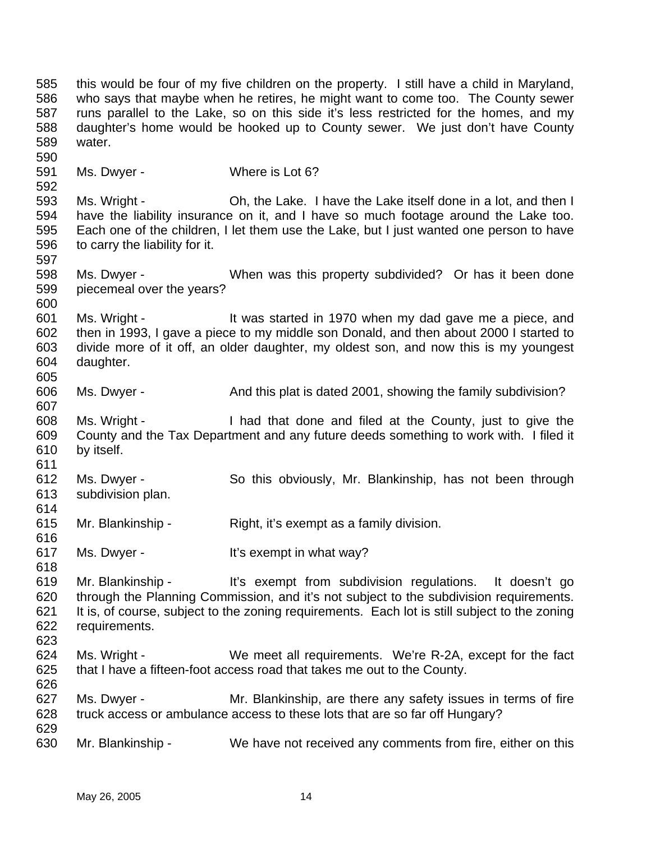585 586 587 588 589 590 591 592 593 594 595 596 597 598 599 600 601 602 603 604 605 606 607 608 609 610 611 612 613 614 615 616 617 618 619 620 621 622 623 624 625 626 627 628 629 630 this would be four of my five children on the property. I still have a child in Maryland, who says that maybe when he retires, he might want to come too. The County sewer runs parallel to the Lake, so on this side it's less restricted for the homes, and my daughter's home would be hooked up to County sewer. We just don't have County water. Ms. Dwyer - Where is Lot 6? Ms. Wright - Ch, the Lake. I have the Lake itself done in a lot, and then I have the liability insurance on it, and I have so much footage around the Lake too. Each one of the children, I let them use the Lake, but I just wanted one person to have to carry the liability for it. Ms. Dwyer - When was this property subdivided? Or has it been done piecemeal over the years? Ms. Wright - The Mustarted in 1970 when my dad gave me a piece, and then in 1993, I gave a piece to my middle son Donald, and then about 2000 I started to divide more of it off, an older daughter, my oldest son, and now this is my youngest daughter. Ms. Dwyer - And this plat is dated 2001, showing the family subdivision? Ms. Wright - I had that done and filed at the County, just to give the County and the Tax Department and any future deeds something to work with. I filed it by itself. Ms. Dwyer - So this obviously, Mr. Blankinship, has not been through subdivision plan. Mr. Blankinship - Right, it's exempt as a family division. Ms. Dwyer - It's exempt in what way? Mr. Blankinship - It's exempt from subdivision regulations. It doesn't go through the Planning Commission, and it's not subject to the subdivision requirements. It is, of course, subject to the zoning requirements. Each lot is still subject to the zoning requirements. Ms. Wright - We meet all requirements. We're R-2A, except for the fact that I have a fifteen-foot access road that takes me out to the County. Ms. Dwyer - Mr. Blankinship, are there any safety issues in terms of fire truck access or ambulance access to these lots that are so far off Hungary? Mr. Blankinship - We have not received any comments from fire, either on this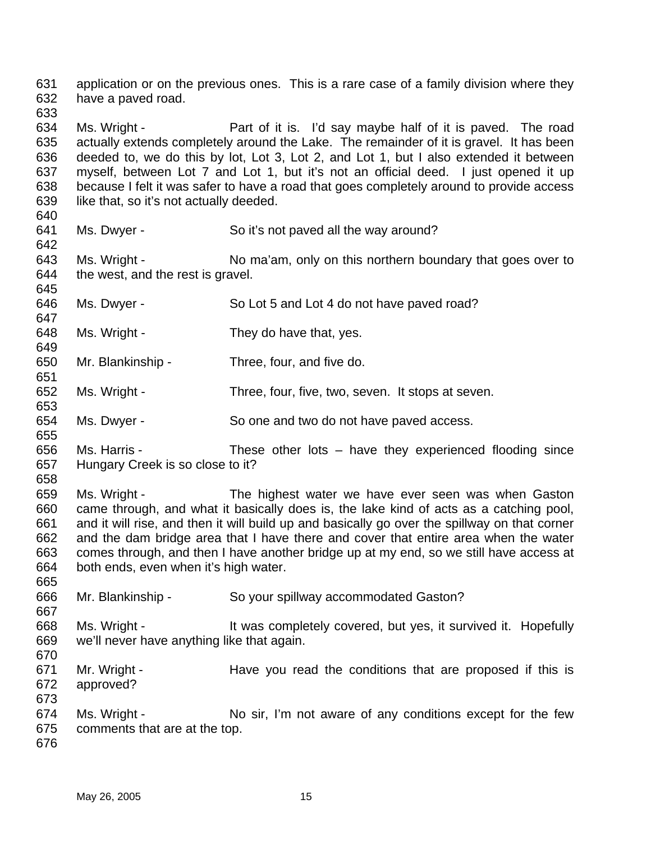631 632 application or on the previous ones. This is a rare case of a family division where they have a paved road.

633

634 635 636 637 638 639 Ms. Wright - Part of it is. I'd say maybe half of it is paved. The road actually extends completely around the Lake. The remainder of it is gravel. It has been deeded to, we do this by lot, Lot 3, Lot 2, and Lot 1, but I also extended it between myself, between Lot 7 and Lot 1, but it's not an official deed. I just opened it up because I felt it was safer to have a road that goes completely around to provide access like that, so it's not actually deeded.

640 641

642

Ms. Dwyer - So it's not paved all the way around?

643 644 645 Ms. Wright - No ma'am, only on this northern boundary that goes over to the west, and the rest is gravel.

- 646 647 Ms. Dwyer - So Lot 5 and Lot 4 do not have paved road?
- 648 649 Ms. Wright - They do have that, yes.
- 650 Mr. Blankinship - Three, four, and five do.
- 652 Ms. Wright - Three, four, five, two, seven. It stops at seven.
- 654 Ms. Dwyer - So one and two do not have paved access.
- 656 657 Ms. Harris - These other lots – have they experienced flooding since Hungary Creek is so close to it?
- 658

665

667

651

653

655

659 660 661 662 663 664 Ms. Wright - The highest water we have ever seen was when Gaston came through, and what it basically does is, the lake kind of acts as a catching pool, and it will rise, and then it will build up and basically go over the spillway on that corner and the dam bridge area that I have there and cover that entire area when the water comes through, and then I have another bridge up at my end, so we still have access at both ends, even when it's high water.

- 666 Mr. Blankinship - So your spillway accommodated Gaston?
- 668 669 670 Ms. Wright - It was completely covered, but yes, it survived it. Hopefully we'll never have anything like that again.
- 671 672 Mr. Wright - The Have you read the conditions that are proposed if this is approved?
- 674 675 Ms. Wright - No sir, I'm not aware of any conditions except for the few comments that are at the top.
- 676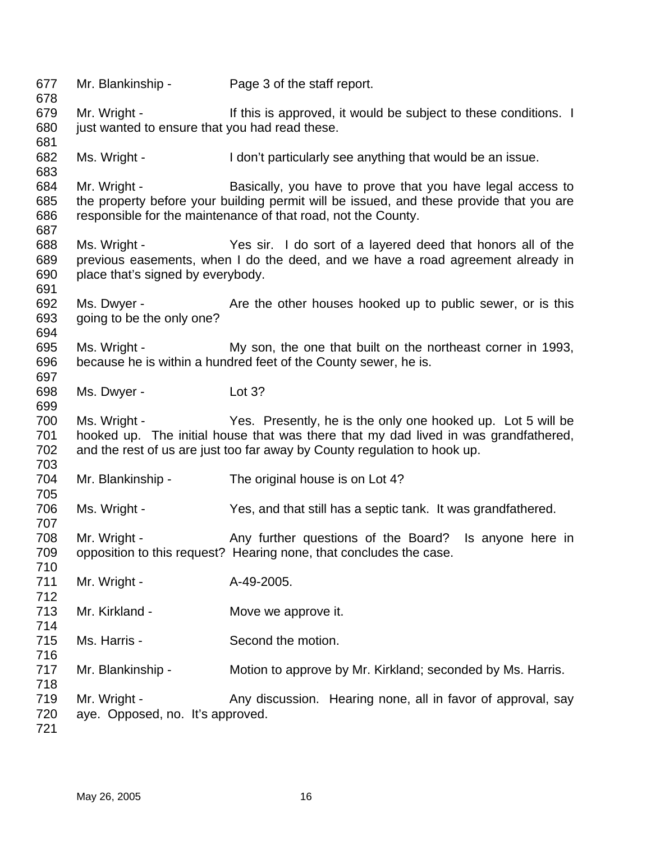Mr. Blankinship - Page 3 of the staff report. Mr. Wright - This is approved, it would be subject to these conditions. I just wanted to ensure that you had read these. Ms. Wright - I don't particularly see anything that would be an issue. Mr. Wright - Basically, you have to prove that you have legal access to the property before your building permit will be issued, and these provide that you are responsible for the maintenance of that road, not the County. Ms. Wright - Yes sir. I do sort of a layered deed that honors all of the previous easements, when I do the deed, and we have a road agreement already in place that's signed by everybody. Ms. Dwyer - The Are the other houses hooked up to public sewer, or is this going to be the only one? Ms. Wright - My son, the one that built on the northeast corner in 1993, because he is within a hundred feet of the County sewer, he is. Ms. Dwyer - Lot 3? Ms. Wright - Yes. Presently, he is the only one hooked up. Lot 5 will be hooked up. The initial house that was there that my dad lived in was grandfathered, and the rest of us are just too far away by County regulation to hook up. Mr. Blankinship - The original house is on Lot 4? Ms. Wright - Yes, and that still has a septic tank. It was grandfathered. Mr. Wright - The Any further questions of the Board? Is anyone here in opposition to this request? Hearing none, that concludes the case. Mr. Wright - A-49-2005. Mr. Kirkland - **Move we approve it.** Ms. Harris - Second the motion. Mr. Blankinship - Motion to approve by Mr. Kirkland; seconded by Ms. Harris. Mr. Wright - Any discussion. Hearing none, all in favor of approval, say aye. Opposed, no. It's approved.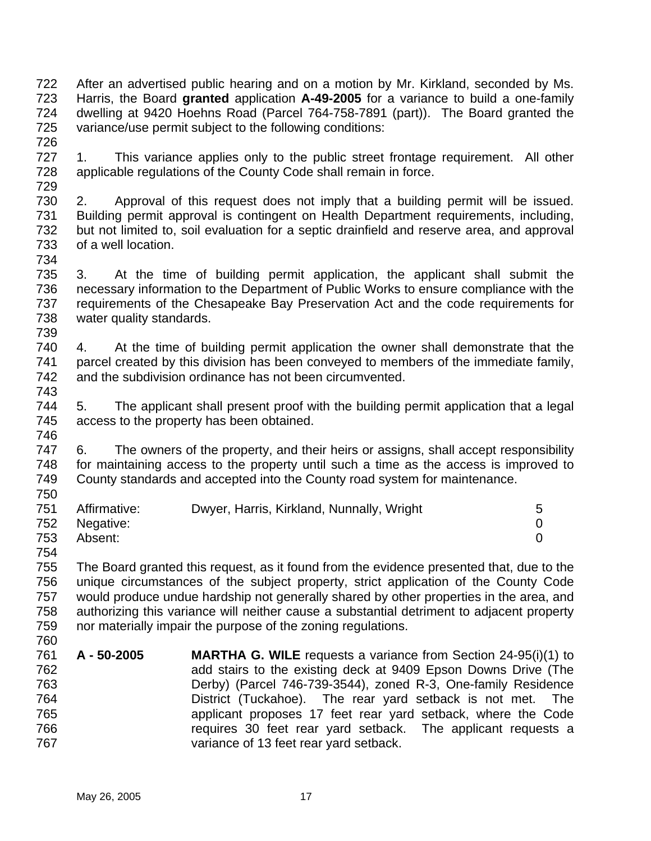722 723 724 725 726 After an advertised public hearing and on a motion by Mr. Kirkland, seconded by Ms. Harris, the Board **granted** application **A-49-2005** for a variance to build a one-family dwelling at 9420 Hoehns Road (Parcel 764-758-7891 (part)). The Board granted the variance/use permit subject to the following conditions:

- 727 728 729 1. This variance applies only to the public street frontage requirement. All other applicable regulations of the County Code shall remain in force.
- 730 731 732 733 2. Approval of this request does not imply that a building permit will be issued. Building permit approval is contingent on Health Department requirements, including, but not limited to, soil evaluation for a septic drainfield and reserve area, and approval of a well location.
- 735 736 737 738 739 3. At the time of building permit application, the applicant shall submit the necessary information to the Department of Public Works to ensure compliance with the requirements of the Chesapeake Bay Preservation Act and the code requirements for water quality standards.
- 740 741 742 743 4. At the time of building permit application the owner shall demonstrate that the parcel created by this division has been conveyed to members of the immediate family, and the subdivision ordinance has not been circumvented.
- 744 745 746 5. The applicant shall present proof with the building permit application that a legal access to the property has been obtained.
- 747 748 749 750 6. The owners of the property, and their heirs or assigns, shall accept responsibility for maintaining access to the property until such a time as the access is improved to County standards and accepted into the County road system for maintenance.

| 751 | Affirmative:  | Dwyer, Harris, Kirkland, Nunnally, Wright |  |
|-----|---------------|-------------------------------------------|--|
|     | 752 Negative: |                                           |  |
| 753 | Absent:       |                                           |  |

754

734

755 756 757 758 759 760 The Board granted this request, as it found from the evidence presented that, due to the unique circumstances of the subject property, strict application of the County Code would produce undue hardship not generally shared by other properties in the area, and authorizing this variance will neither cause a substantial detriment to adjacent property nor materially impair the purpose of the zoning regulations.

761 762 763 764 765 766 767 **A - 50-2005 MARTHA G. WILE** requests a variance from Section 24-95(i)(1) to add stairs to the existing deck at 9409 Epson Downs Drive (The Derby) (Parcel 746-739-3544), zoned R-3, One-family Residence District (Tuckahoe). The rear yard setback is not met. The applicant proposes 17 feet rear yard setback, where the Code requires 30 feet rear yard setback. The applicant requests a variance of 13 feet rear yard setback.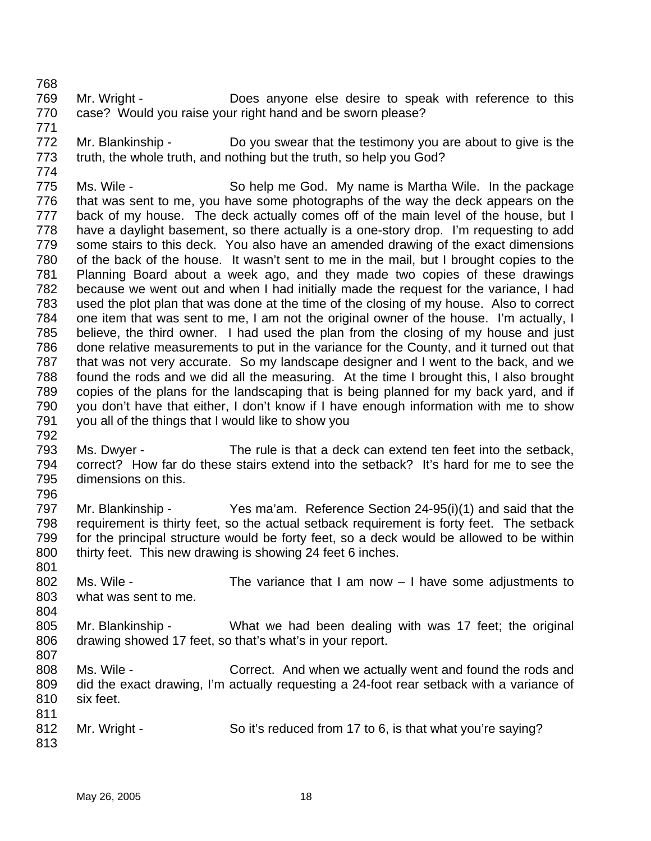768

769 770 771 Mr. Wright - **Does** anyone else desire to speak with reference to this case? Would you raise your right hand and be sworn please?

772 773 774 Mr. Blankinship - Do you swear that the testimony you are about to give is the truth, the whole truth, and nothing but the truth, so help you God?

775 776 777 778 779 780 781 782 783 784 785 786 787 788 789 790 791 792 Ms. Wile - So help me God. My name is Martha Wile. In the package that was sent to me, you have some photographs of the way the deck appears on the back of my house. The deck actually comes off of the main level of the house, but I have a daylight basement, so there actually is a one-story drop. I'm requesting to add some stairs to this deck. You also have an amended drawing of the exact dimensions of the back of the house. It wasn't sent to me in the mail, but I brought copies to the Planning Board about a week ago, and they made two copies of these drawings because we went out and when I had initially made the request for the variance, I had used the plot plan that was done at the time of the closing of my house. Also to correct one item that was sent to me, I am not the original owner of the house. I'm actually, I believe, the third owner. I had used the plan from the closing of my house and just done relative measurements to put in the variance for the County, and it turned out that that was not very accurate. So my landscape designer and I went to the back, and we found the rods and we did all the measuring. At the time I brought this, I also brought copies of the plans for the landscaping that is being planned for my back yard, and if you don't have that either, I don't know if I have enough information with me to show you all of the things that I would like to show you

- 793 794 795 Ms. Dwyer - The rule is that a deck can extend ten feet into the setback, correct? How far do these stairs extend into the setback? It's hard for me to see the dimensions on this.
- 796

- 797 798 799 800 Mr. Blankinship - Yes ma'am. Reference Section 24-95(i)(1) and said that the requirement is thirty feet, so the actual setback requirement is forty feet. The setback for the principal structure would be forty feet, so a deck would be allowed to be within thirty feet. This new drawing is showing 24 feet 6 inches.
- 801 802 803 Ms. Wile - The variance that I am now  $-1$  have some adjustments to what was sent to me.
- 805 806 807 Mr. Blankinship - What we had been dealing with was 17 feet; the original drawing showed 17 feet, so that's what's in your report.
- 808 809 810 811 Ms. Wile - Correct. And when we actually went and found the rods and did the exact drawing, I'm actually requesting a 24-foot rear setback with a variance of six feet.
- 812 813 Mr. Wright - So it's reduced from 17 to 6, is that what you're saying?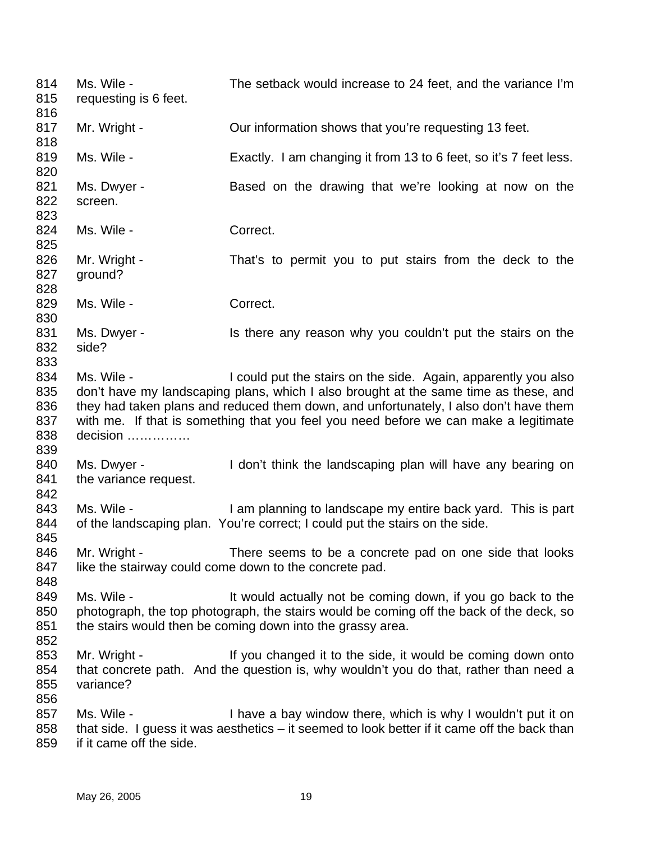814 815 816 817 818 819 820 821 822 823 824 825 826 827 828 829 830 831 832 833 834 835 836 837 838 839 840 841 842 843 844 845 846 847 848 849 850 851 852 853 854 855 856 857 858 859 Ms. Wile - The setback would increase to 24 feet, and the variance I'm requesting is 6 feet. Mr. Wright - Cur information shows that you're requesting 13 feet. Ms. Wile - Exactly. I am changing it from 13 to 6 feet, so it's 7 feet less. Ms. Dwyer - **Based on the drawing that we're looking at now on the** screen. Ms. Wile - Correct. Mr. Wright - That's to permit you to put stairs from the deck to the ground? Ms. Wile - The Correct. Ms. Dwyer - The Is there any reason why you couldn't put the stairs on the side? Ms. Wile - I could put the stairs on the side. Again, apparently you also don't have my landscaping plans, which I also brought at the same time as these, and they had taken plans and reduced them down, and unfortunately, I also don't have them with me. If that is something that you feel you need before we can make a legitimate decision …………… Ms. Dwyer - I don't think the landscaping plan will have any bearing on the variance request. Ms. Wile - I am planning to landscape my entire back yard. This is part of the landscaping plan. You're correct; I could put the stairs on the side. Mr. Wright - There seems to be a concrete pad on one side that looks like the stairway could come down to the concrete pad. Ms. Wile - It would actually not be coming down, if you go back to the photograph, the top photograph, the stairs would be coming off the back of the deck, so the stairs would then be coming down into the grassy area. Mr. Wright - The State of the side, it would be coming down onto that concrete path. And the question is, why wouldn't you do that, rather than need a variance? Ms. Wile - I have a bay window there, which is why I wouldn't put it on that side. I guess it was aesthetics – it seemed to look better if it came off the back than if it came off the side.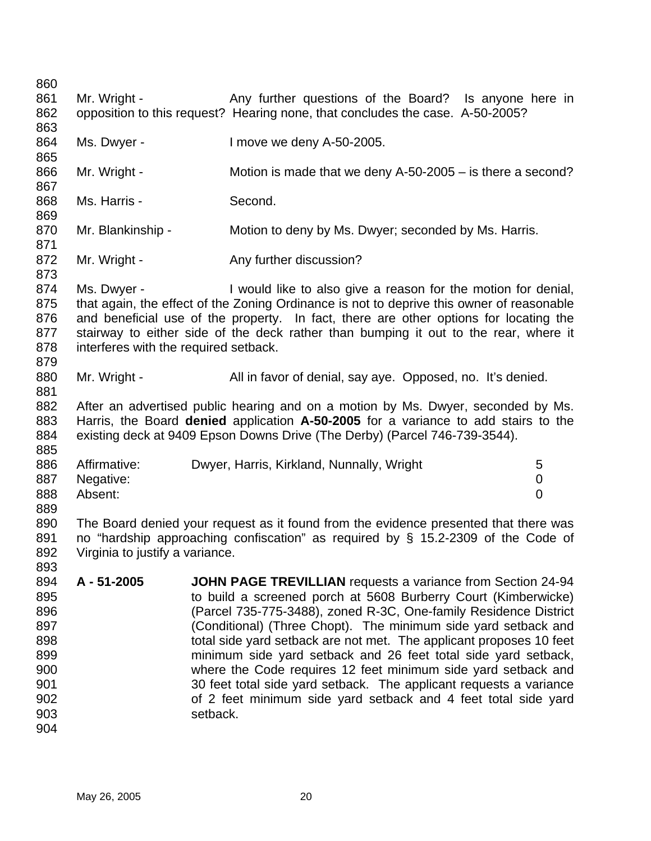860 861 862 863 864 865 866 867 868 869 870 871 872 873 874 875 876 877 878 879 880 881 882 883 884 885 886 887 888 889 890 891 892 893 894 895 896 897 898 899 900 901 902 903 904 Mr. Wright - Any further questions of the Board? Is anyone here in opposition to this request? Hearing none, that concludes the case. A-50-2005? Ms. Dwyer - I move we deny A-50-2005. Mr. Wright - Motion is made that we deny A-50-2005 – is there a second? Ms. Harris - Second. Mr. Blankinship - Motion to deny by Ms. Dwyer; seconded by Ms. Harris. Mr. Wright - Any further discussion? Ms. Dwyer - The U would like to also give a reason for the motion for denial, that again, the effect of the Zoning Ordinance is not to deprive this owner of reasonable and beneficial use of the property. In fact, there are other options for locating the stairway to either side of the deck rather than bumping it out to the rear, where it interferes with the required setback. Mr. Wright - All in favor of denial, say aye. Opposed, no. It's denied. After an advertised public hearing and on a motion by Ms. Dwyer, seconded by Ms. Harris, the Board **denied** application **A-50-2005** for a variance to add stairs to the existing deck at 9409 Epson Downs Drive (The Derby) (Parcel 746-739-3544). Affirmative: Dwyer, Harris, Kirkland, Nunnally, Wright 5 Negative: 0 Absent: 0 The Board denied your request as it found from the evidence presented that there was no "hardship approaching confiscation" as required by § 15.2-2309 of the Code of Virginia to justify a variance. **A - 51-2005 JOHN PAGE TREVILLIAN** requests a variance from Section 24-94 to build a screened porch at 5608 Burberry Court (Kimberwicke) (Parcel 735-775-3488), zoned R-3C, One-family Residence District (Conditional) (Three Chopt). The minimum side yard setback and total side yard setback are not met. The applicant proposes 10 feet minimum side yard setback and 26 feet total side yard setback, where the Code requires 12 feet minimum side yard setback and 30 feet total side yard setback. The applicant requests a variance of 2 feet minimum side yard setback and 4 feet total side yard setback.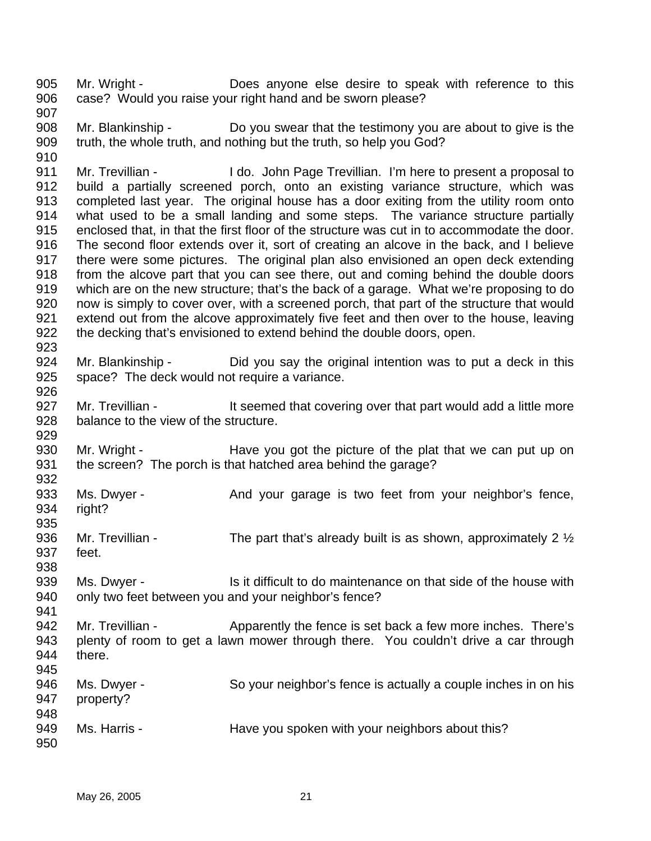905 906 Mr. Wright - Does anyone else desire to speak with reference to this case? Would you raise your right hand and be sworn please?

907

910

941

908 909 Mr. Blankinship - Do you swear that the testimony you are about to give is the truth, the whole truth, and nothing but the truth, so help you God?

911 912 913 914 915 916 917 918 919 920 921 922 923 Mr. Trevillian - I do. John Page Trevillian. I'm here to present a proposal to build a partially screened porch, onto an existing variance structure, which was completed last year. The original house has a door exiting from the utility room onto what used to be a small landing and some steps. The variance structure partially enclosed that, in that the first floor of the structure was cut in to accommodate the door. The second floor extends over it, sort of creating an alcove in the back, and I believe there were some pictures. The original plan also envisioned an open deck extending from the alcove part that you can see there, out and coming behind the double doors which are on the new structure; that's the back of a garage. What we're proposing to do now is simply to cover over, with a screened porch, that part of the structure that would extend out from the alcove approximately five feet and then over to the house, leaving the decking that's envisioned to extend behind the double doors, open.

924 925 926 Mr. Blankinship - Did you say the original intention was to put a deck in this space? The deck would not require a variance.

927 928 929 Mr. Trevillian - The State of that covering over that part would add a little more balance to the view of the structure.

930 931 932 Mr. Wright - Have you got the picture of the plat that we can put up on the screen? The porch is that hatched area behind the garage?

933 934 Ms. Dwyer - And your garage is two feet from your neighbor's fence, right?

935 936 937 938 Mr. Trevillian - The part that's already built is as shown, approximately 2  $\frac{1}{2}$ feet.

939 940 Ms. Dwyer - This it difficult to do maintenance on that side of the house with only two feet between you and your neighbor's fence?

942 943 944 945 Mr. Trevillian - Apparently the fence is set back a few more inches. There's plenty of room to get a lawn mower through there. You couldn't drive a car through there.

| 946<br>947        | Ms. Dwyer -<br>property? | So your neighbor's fence is actually a couple inches in on his |
|-------------------|--------------------------|----------------------------------------------------------------|
| 948<br>949<br>950 | Ms. Harris -             | Have you spoken with your neighbors about this?                |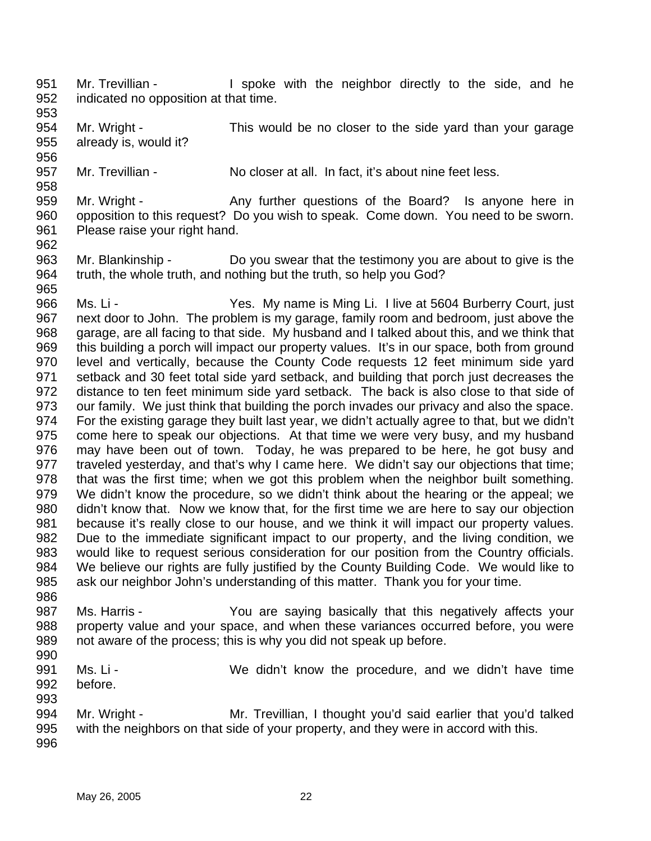- 951 952 Mr. Trevillian - The Spoke with the neighbor directly to the side, and he indicated no opposition at that time.
- 953

956

958

954 955 Mr. Wright - This would be no closer to the side yard than your garage already is, would it?

957 Mr. Trevillian - No closer at all. In fact, it's about nine feet less.

959 960 961 Mr. Wright - Any further questions of the Board? Is anyone here in opposition to this request? Do you wish to speak. Come down. You need to be sworn. Please raise your right hand.

962

986

963 964 965 Mr. Blankinship - Do you swear that the testimony you are about to give is the truth, the whole truth, and nothing but the truth, so help you God?

966 967 968 969 970 971 972 973 974 975 976 977 978 979 980 981 982 983 984 985 Ms. Li - The Yes. My name is Ming Li. I live at 5604 Burberry Court, just next door to John. The problem is my garage, family room and bedroom, just above the garage, are all facing to that side. My husband and I talked about this, and we think that this building a porch will impact our property values. It's in our space, both from ground level and vertically, because the County Code requests 12 feet minimum side yard setback and 30 feet total side yard setback, and building that porch just decreases the distance to ten feet minimum side yard setback. The back is also close to that side of our family. We just think that building the porch invades our privacy and also the space. For the existing garage they built last year, we didn't actually agree to that, but we didn't come here to speak our objections. At that time we were very busy, and my husband may have been out of town. Today, he was prepared to be here, he got busy and traveled yesterday, and that's why I came here. We didn't say our objections that time; that was the first time; when we got this problem when the neighbor built something. We didn't know the procedure, so we didn't think about the hearing or the appeal; we didn't know that. Now we know that, for the first time we are here to say our objection because it's really close to our house, and we think it will impact our property values. Due to the immediate significant impact to our property, and the living condition, we would like to request serious consideration for our position from the Country officials. We believe our rights are fully justified by the County Building Code. We would like to ask our neighbor John's understanding of this matter. Thank you for your time.

- 987 988 989 990 Ms. Harris - You are saying basically that this negatively affects your property value and your space, and when these variances occurred before, you were not aware of the process; this is why you did not speak up before.
- 991 992 Ms. Li - **We didn't know the procedure, and we didn't have time** before.
- 993 994 995 996 Mr. Wright - Mr. Trevillian, I thought you'd said earlier that you'd talked with the neighbors on that side of your property, and they were in accord with this.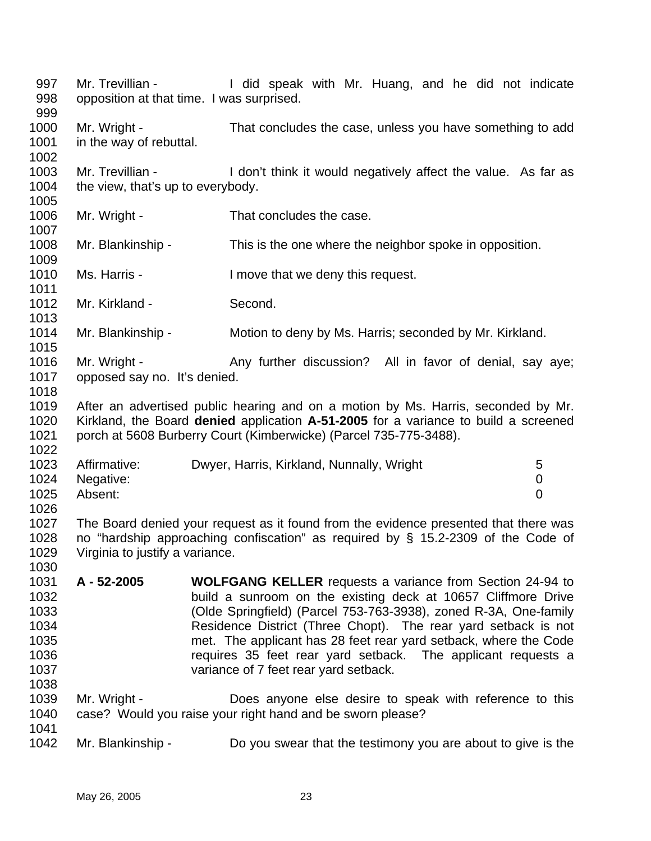997 998 999 1000 1001 1002 1003 1004 1005 1006 1007 1008 1009 1010 1011 1012 1013 1014 1015 1016 1017 1018 1019 1020 1021 1022 1023 1024 1025 1026 1027 1028 1029 1030 1031 1032 1033 1034 1035 1036 1037 1038 1039 1040 1041 1042 Mr. Trevillian - The Muslim Huang, and he did not indicate opposition at that time. I was surprised. Mr. Wright - That concludes the case, unless you have something to add in the way of rebuttal. Mr. Trevillian - I don't think it would negatively affect the value. As far as the view, that's up to everybody. Mr. Wright - That concludes the case. Mr. Blankinship - This is the one where the neighbor spoke in opposition. Ms. Harris - The Move that we deny this request. Mr. Kirkland - Second. Mr. Blankinship - Motion to deny by Ms. Harris; seconded by Mr. Kirkland. Mr. Wright - Any further discussion? All in favor of denial, say aye; opposed say no. It's denied. After an advertised public hearing and on a motion by Ms. Harris, seconded by Mr. Kirkland, the Board **denied** application **A-51-2005** for a variance to build a screened porch at 5608 Burberry Court (Kimberwicke) (Parcel 735-775-3488). Affirmative: Dwyer, Harris, Kirkland, Nunnally, Wright 5 Negative: 0 Absent: 0 The Board denied your request as it found from the evidence presented that there was no "hardship approaching confiscation" as required by § 15.2-2309 of the Code of Virginia to justify a variance. **A - 52-2005 WOLFGANG KELLER** requests a variance from Section 24-94 to build a sunroom on the existing deck at 10657 Cliffmore Drive (Olde Springfield) (Parcel 753-763-3938), zoned R-3A, One-family Residence District (Three Chopt). The rear yard setback is not met. The applicant has 28 feet rear yard setback, where the Code requires 35 feet rear yard setback. The applicant requests a variance of 7 feet rear yard setback. Mr. Wright - Does anyone else desire to speak with reference to this case? Would you raise your right hand and be sworn please? Mr. Blankinship - Do you swear that the testimony you are about to give is the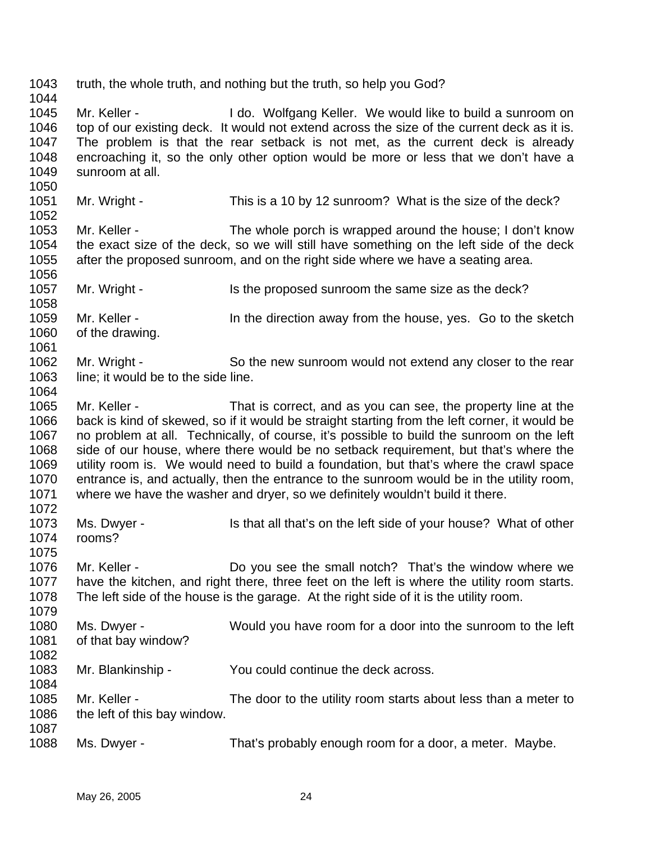1043 1044 1045 1046 1047 1048 1049 1050 1051 1052 1053 1054 1055 1056 1057 1058 1059 1060 1061 1062 1063 1064 1065 1066 1067 1068 1069 1070 1071 1072 1073 1074 1075 1076 1077 1078 1079 1080 1081 1082 1083 1084 1085 1086 1087 1088 truth, the whole truth, and nothing but the truth, so help you God? Mr. Keller - The McCler H do. Wolfgang Keller. We would like to build a sunroom on top of our existing deck. It would not extend across the size of the current deck as it is. The problem is that the rear setback is not met, as the current deck is already encroaching it, so the only other option would be more or less that we don't have a sunroom at all. Mr. Wright - This is a 10 by 12 sunroom? What is the size of the deck? Mr. Keller - The whole porch is wrapped around the house; I don't know the exact size of the deck, so we will still have something on the left side of the deck after the proposed sunroom, and on the right side where we have a seating area. Mr. Wright - Is the proposed sunroom the same size as the deck? Mr. Keller - The direction away from the house, yes. Go to the sketch of the drawing. Mr. Wright - So the new sunroom would not extend any closer to the rear line; it would be to the side line. Mr. Keller - That is correct, and as you can see, the property line at the back is kind of skewed, so if it would be straight starting from the left corner, it would be no problem at all. Technically, of course, it's possible to build the sunroom on the left side of our house, where there would be no setback requirement, but that's where the utility room is. We would need to build a foundation, but that's where the crawl space entrance is, and actually, then the entrance to the sunroom would be in the utility room, where we have the washer and dryer, so we definitely wouldn't build it there. Ms. Dwyer - Is that all that's on the left side of your house? What of other rooms? Mr. Keller - **Do** you see the small notch? That's the window where we have the kitchen, and right there, three feet on the left is where the utility room starts. The left side of the house is the garage. At the right side of it is the utility room. Ms. Dwyer - Would you have room for a door into the sunroom to the left of that bay window? Mr. Blankinship - You could continue the deck across. Mr. Keller - The door to the utility room starts about less than a meter to the left of this bay window. Ms. Dwyer - That's probably enough room for a door, a meter. Maybe.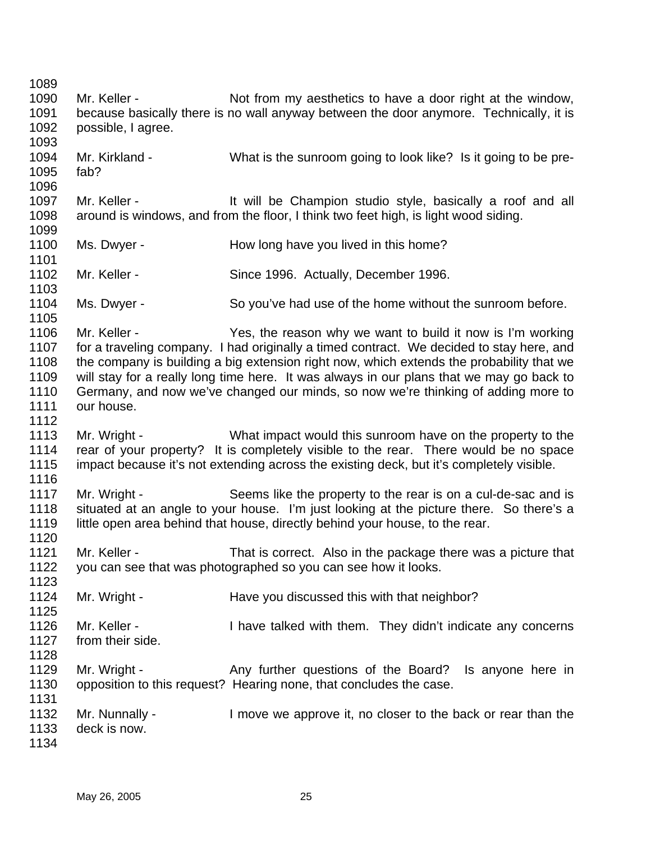1089 1090 1091 1092 1093 1094 1095 1096 1097 1098 1099 1100 1101 1102 1103 1104 1105 1106 1107 1108 1109 1110 1111 1112 1113 1114 1115 1116 1117 1118 1119 1120 1121 1122 1123 1124 1125 1126 1127 1128 1129 1130 1131 1132 1133 1134 Mr. Keller - Not from my aesthetics to have a door right at the window, because basically there is no wall anyway between the door anymore. Technically, it is possible, I agree. Mr. Kirkland - What is the sunroom going to look like? Is it going to be prefab? Mr. Keller - The Muslim of the Champion studio style, basically a roof and all around is windows, and from the floor, I think two feet high, is light wood siding. Ms. Dwyer - How long have you lived in this home? Mr. Keller - Since 1996. Actually, December 1996. Ms. Dwyer - So you've had use of the home without the sunroom before. Mr. Keller - The Yes, the reason why we want to build it now is I'm working for a traveling company. I had originally a timed contract. We decided to stay here, and the company is building a big extension right now, which extends the probability that we will stay for a really long time here. It was always in our plans that we may go back to Germany, and now we've changed our minds, so now we're thinking of adding more to our house. Mr. Wright - What impact would this sunroom have on the property to the rear of your property? It is completely visible to the rear. There would be no space impact because it's not extending across the existing deck, but it's completely visible. Mr. Wright - Seems like the property to the rear is on a cul-de-sac and is situated at an angle to your house. I'm just looking at the picture there. So there's a little open area behind that house, directly behind your house, to the rear. Mr. Keller - That is correct. Also in the package there was a picture that you can see that was photographed so you can see how it looks. Mr. Wright - The Have you discussed this with that neighbor? Mr. Keller - Thave talked with them. They didn't indicate any concerns from their side. Mr. Wright - Any further questions of the Board? Is anyone here in opposition to this request? Hearing none, that concludes the case. Mr. Nunnally - I move we approve it, no closer to the back or rear than the deck is now.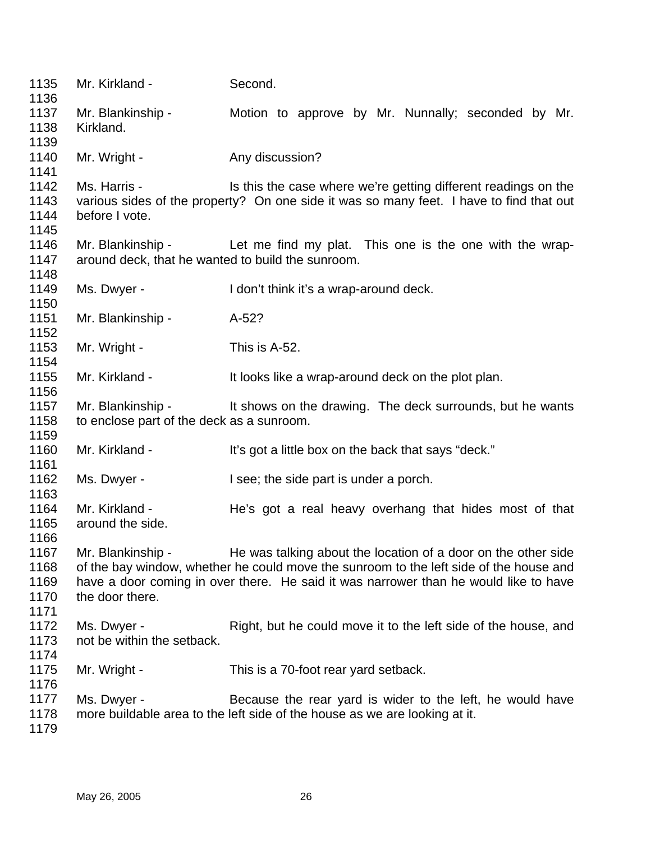| 1135<br>1136                         | Mr. Kirkland -                                    | Second.                                                                                                                                                                                                                                         |
|--------------------------------------|---------------------------------------------------|-------------------------------------------------------------------------------------------------------------------------------------------------------------------------------------------------------------------------------------------------|
| 1137<br>1138<br>1139                 | Mr. Blankinship -<br>Kirkland.                    | Motion to approve by Mr. Nunnally; seconded by Mr.                                                                                                                                                                                              |
| 1140<br>1141                         | Mr. Wright -                                      | Any discussion?                                                                                                                                                                                                                                 |
| 1142<br>1143<br>1144                 | Ms. Harris -<br>before I vote.                    | Is this the case where we're getting different readings on the<br>various sides of the property? On one side it was so many feet. I have to find that out                                                                                       |
| 1145<br>1146<br>1147<br>1148         | around deck, that he wanted to build the sunroom. | Mr. Blankinship - Let me find my plat. This one is the one with the wrap-                                                                                                                                                                       |
| 1149<br>1150                         | Ms. Dwyer -                                       | I don't think it's a wrap-around deck.                                                                                                                                                                                                          |
| 1151<br>1152                         | Mr. Blankinship -                                 | $A-52?$                                                                                                                                                                                                                                         |
| 1153<br>1154                         | Mr. Wright -                                      | This is A-52.                                                                                                                                                                                                                                   |
| 1155<br>1156                         | Mr. Kirkland -                                    | It looks like a wrap-around deck on the plot plan.                                                                                                                                                                                              |
| 1157<br>1158<br>1159                 | to enclose part of the deck as a sunroom.         | Mr. Blankinship - It shows on the drawing. The deck surrounds, but he wants                                                                                                                                                                     |
| 1160<br>1161                         | Mr. Kirkland -                                    | It's got a little box on the back that says "deck."                                                                                                                                                                                             |
| 1162<br>1163                         | Ms. Dwyer -                                       | I see; the side part is under a porch.                                                                                                                                                                                                          |
| 1164<br>1165<br>1166                 | Mr. Kirkland -<br>around the side.                | He's got a real heavy overhang that hides most of that                                                                                                                                                                                          |
| 1167<br>1168<br>1169<br>1170<br>1171 | Mr. Blankinship -<br>the door there.              | He was talking about the location of a door on the other side<br>of the bay window, whether he could move the sunroom to the left side of the house and<br>have a door coming in over there. He said it was narrower than he would like to have |
| 1172<br>1173<br>1174                 | Ms. Dwyer -<br>not be within the setback.         | Right, but he could move it to the left side of the house, and                                                                                                                                                                                  |
| 1175<br>1176                         | Mr. Wright -                                      | This is a 70-foot rear yard setback.                                                                                                                                                                                                            |
| 1177<br>1178<br>1179                 | Ms. Dwyer -                                       | Because the rear yard is wider to the left, he would have<br>more buildable area to the left side of the house as we are looking at it.                                                                                                         |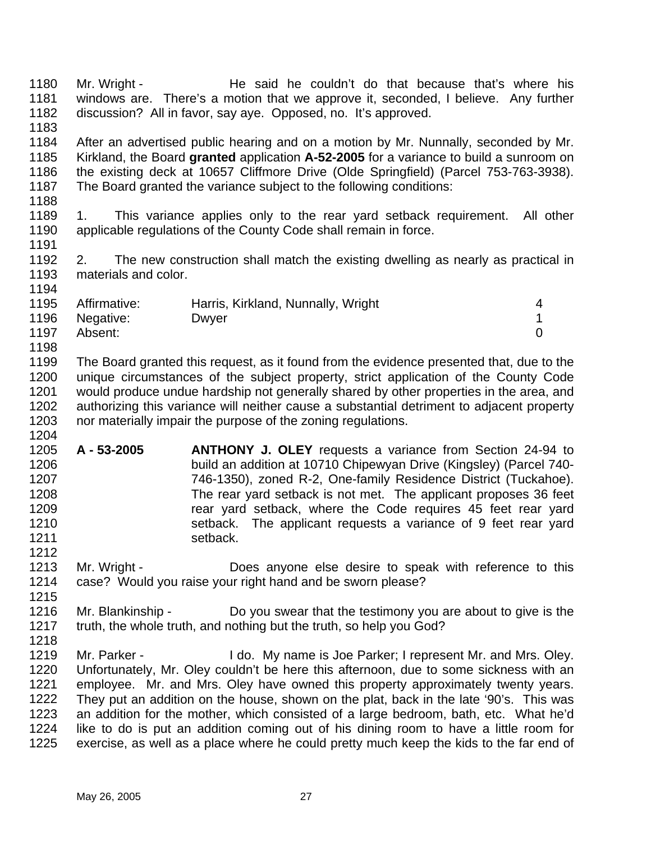1180 1181 1182 1183 1184 1185 1186 1187 1188 1189 1190 1191 1192 1193 1194 1195 1196 1197 1198 1199 1200 1201 1202 1203 1204 1205 1206 1207 1208 1209 1210 1211 1212 1213 1214 1215 1216 1217 1218 1219 1220 1221 1222 1223 1224 1225 Mr. Wright - The said he couldn't do that because that's where his windows are. There's a motion that we approve it, seconded, I believe. Any further discussion? All in favor, say aye. Opposed, no. It's approved. After an advertised public hearing and on a motion by Mr. Nunnally, seconded by Mr. Kirkland, the Board **granted** application **A-52-2005** for a variance to build a sunroom on the existing deck at 10657 Cliffmore Drive (Olde Springfield) (Parcel 753-763-3938). The Board granted the variance subject to the following conditions: 1. This variance applies only to the rear yard setback requirement. All other applicable regulations of the County Code shall remain in force. 2. The new construction shall match the existing dwelling as nearly as practical in materials and color. Affirmative: Harris, Kirkland, Nunnally, Wright 4 Negative: Dwyer 2009 Dwyer 2009 PM 2009 2009 1 Absent: 0 The Board granted this request, as it found from the evidence presented that, due to the unique circumstances of the subject property, strict application of the County Code would produce undue hardship not generally shared by other properties in the area, and authorizing this variance will neither cause a substantial detriment to adjacent property nor materially impair the purpose of the zoning regulations. **A - 53-2005 ANTHONY J. OLEY** requests a variance from Section 24-94 to build an addition at 10710 Chipewyan Drive (Kingsley) (Parcel 740- 746-1350), zoned R-2, One-family Residence District (Tuckahoe). The rear yard setback is not met. The applicant proposes 36 feet rear yard setback, where the Code requires 45 feet rear yard setback. The applicant requests a variance of 9 feet rear yard setback. Mr. Wright - **Does anyone else desire to speak with reference to this** case? Would you raise your right hand and be sworn please? Mr. Blankinship - Do you swear that the testimony you are about to give is the truth, the whole truth, and nothing but the truth, so help you God? Mr. Parker - I do. My name is Joe Parker; I represent Mr. and Mrs. Oley. Unfortunately, Mr. Oley couldn't be here this afternoon, due to some sickness with an employee. Mr. and Mrs. Oley have owned this property approximately twenty years. They put an addition on the house, shown on the plat, back in the late '90's. This was an addition for the mother, which consisted of a large bedroom, bath, etc. What he'd like to do is put an addition coming out of his dining room to have a little room for exercise, as well as a place where he could pretty much keep the kids to the far end of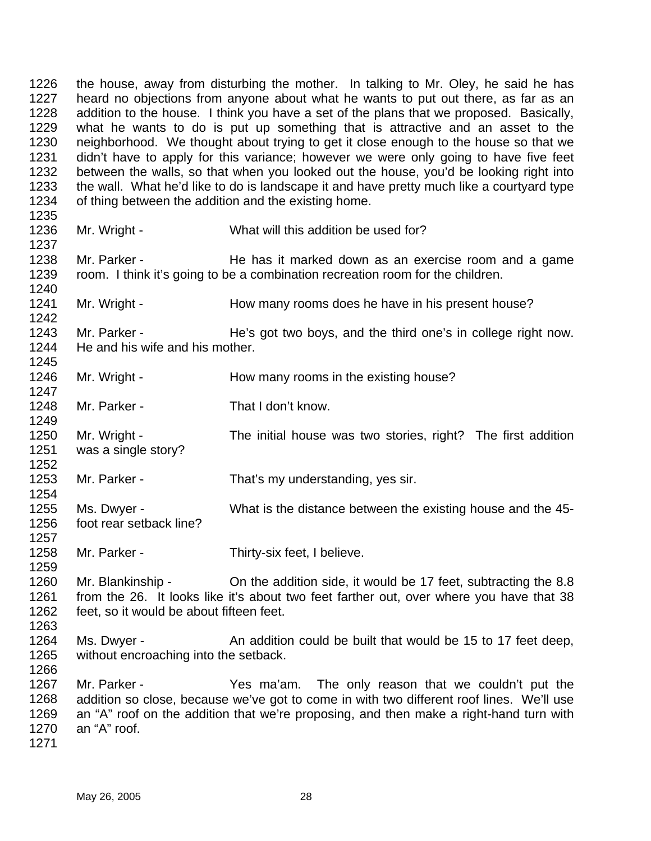1226 1227 1228 1229 1230 1231 1232 1233 1234 1235 the house, away from disturbing the mother. In talking to Mr. Oley, he said he has heard no objections from anyone about what he wants to put out there, as far as an addition to the house. I think you have a set of the plans that we proposed. Basically, what he wants to do is put up something that is attractive and an asset to the neighborhood. We thought about trying to get it close enough to the house so that we didn't have to apply for this variance; however we were only going to have five feet between the walls, so that when you looked out the house, you'd be looking right into the wall. What he'd like to do is landscape it and have pretty much like a courtyard type of thing between the addition and the existing home.

1236

1237

1242

1249

1254

1257

1259

- Mr. Wright What will this addition be used for?
- 1238 1239 1240 Mr. Parker - **He has it marked down as an exercise room and a game** room. I think it's going to be a combination recreation room for the children.
- 1241 Mr. Wright - How many rooms does he have in his present house?
- 1243 1244 1245 Mr. Parker - He's got two boys, and the third one's in college right now. He and his wife and his mother.
- 1246 1247 Mr. Wright - How many rooms in the existing house?
- 1248 Mr. Parker - That I don't know.
- 1250 1251 1252 Mr. Wright - The initial house was two stories, right? The first addition was a single story?
- 1253 Mr. Parker - That's my understanding, yes sir.
- 1255 1256 Ms. Dwyer - What is the distance between the existing house and the 45foot rear setback line?
- 1258 Mr. Parker - Thirty-six feet, I believe.
- 1260 1261 1262 1263 Mr. Blankinship - Chithe addition side, it would be 17 feet, subtracting the 8.8 from the 26. It looks like it's about two feet farther out, over where you have that 38 feet, so it would be about fifteen feet.
- 1264 1265 Ms. Dwyer - An addition could be built that would be 15 to 17 feet deep, without encroaching into the setback.
- 1267 1268 1269 1270 Mr. Parker - The Mallam. The only reason that we couldn't put the addition so close, because we've got to come in with two different roof lines. We'll use an "A" roof on the addition that we're proposing, and then make a right-hand turn with an "A" roof.
- 1271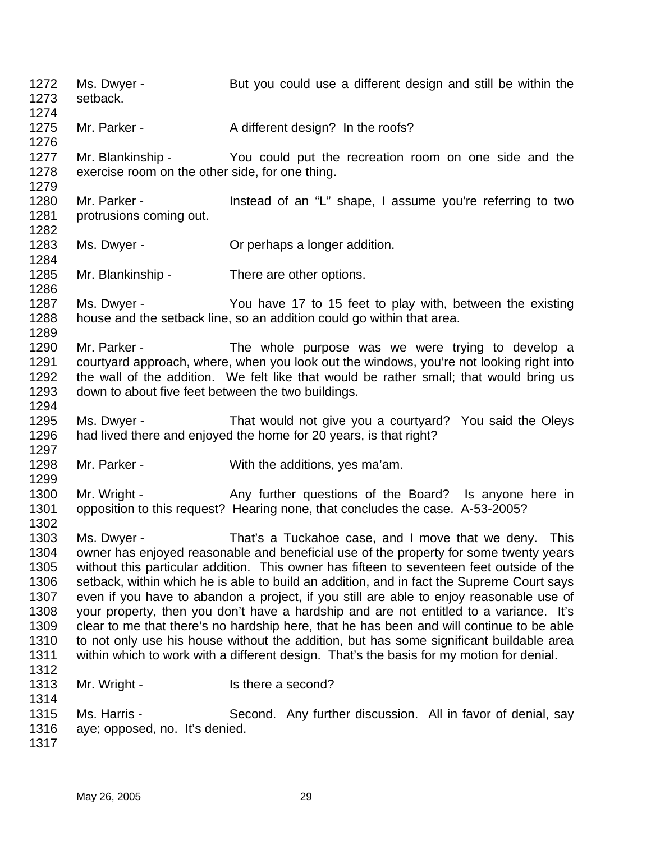1272 1273 1274 1275 1276 1277 1278 1279 1280 1281 1282 1283 1284 1285 1286 1287 1288 1289 1290 1291 1292 1293 1294 1295 1296 1297 1298 1299 1300 1301 1302 1303 1304 1305 1306 1307 1308 1309 1310 1311 1312 1313 1314 1315 1316 1317 Ms. Dwyer - But you could use a different design and still be within the setback. Mr. Parker - A different design? In the roofs? Mr. Blankinship - The You could put the recreation room on one side and the exercise room on the other side, for one thing. Mr. Parker - The Instead of an "L" shape, I assume you're referring to two protrusions coming out. Ms. Dwyer - **Or perhaps a longer addition.** Mr. Blankinship - There are other options. Ms. Dwyer - The You have 17 to 15 feet to play with, between the existing house and the setback line, so an addition could go within that area. Mr. Parker - The whole purpose was we were trying to develop a courtyard approach, where, when you look out the windows, you're not looking right into the wall of the addition. We felt like that would be rather small; that would bring us down to about five feet between the two buildings. Ms. Dwyer - That would not give you a courtyard? You said the Oleys had lived there and enjoyed the home for 20 years, is that right? Mr. Parker - With the additions, yes ma'am. Mr. Wright - Any further questions of the Board? Is anyone here in opposition to this request? Hearing none, that concludes the case. A-53-2005? Ms. Dwyer - That's a Tuckahoe case, and I move that we deny. This owner has enjoyed reasonable and beneficial use of the property for some twenty years without this particular addition. This owner has fifteen to seventeen feet outside of the setback, within which he is able to build an addition, and in fact the Supreme Court says even if you have to abandon a project, if you still are able to enjoy reasonable use of your property, then you don't have a hardship and are not entitled to a variance. It's clear to me that there's no hardship here, that he has been and will continue to be able to not only use his house without the addition, but has some significant buildable area within which to work with a different design. That's the basis for my motion for denial. Mr. Wright - Is there a second? Ms. Harris - Second. Any further discussion. All in favor of denial, say aye; opposed, no. It's denied.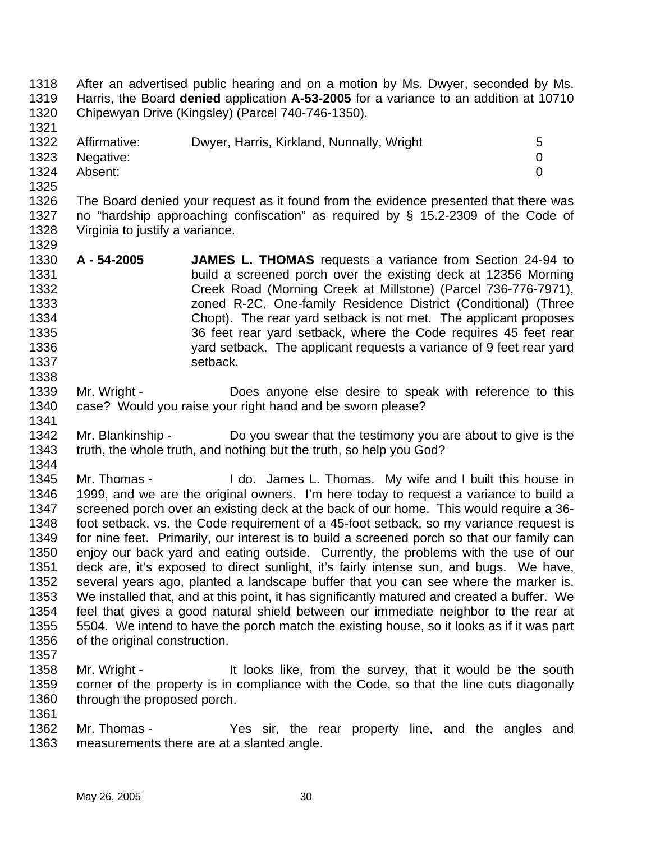1318 1319 1320 1321 After an advertised public hearing and on a motion by Ms. Dwyer, seconded by Ms. Harris, the Board **denied** application **A-53-2005** for a variance to an addition at 10710 Chipewyan Drive (Kingsley) (Parcel 740-746-1350).

|      | 1322 Affirmative: | Dwyer, Harris, Kirkland, Nunnally, Wright | 5 |
|------|-------------------|-------------------------------------------|---|
|      | 1323 Negative:    |                                           |   |
| 1324 | Absent:           |                                           |   |
| 1325 |                   |                                           |   |

- 1326 1327 1328 1329 The Board denied your request as it found from the evidence presented that there was no "hardship approaching confiscation" as required by § 15.2-2309 of the Code of Virginia to justify a variance.
- 1330 1331 1332 1333 1334 1335 1336 1337 1338 **A - 54-2005 JAMES L. THOMAS** requests a variance from Section 24-94 to build a screened porch over the existing deck at 12356 Morning Creek Road (Morning Creek at Millstone) (Parcel 736-776-7971), zoned R-2C, One-family Residence District (Conditional) (Three Chopt). The rear yard setback is not met. The applicant proposes 36 feet rear yard setback, where the Code requires 45 feet rear yard setback. The applicant requests a variance of 9 feet rear yard setback.
- 1339 1340 1341 Mr. Wright - **Does anyone else desire to speak with reference to this** case? Would you raise your right hand and be sworn please?
- 1342 1343 1344 Mr. Blankinship - Do you swear that the testimony you are about to give is the truth, the whole truth, and nothing but the truth, so help you God?
- 1345 1346 1347 1348 1349 1350 1351 1352 1353 1354 1355 1356 Mr. Thomas - I do. James L. Thomas. My wife and I built this house in 1999, and we are the original owners. I'm here today to request a variance to build a screened porch over an existing deck at the back of our home. This would require a 36 foot setback, vs. the Code requirement of a 45-foot setback, so my variance request is for nine feet. Primarily, our interest is to build a screened porch so that our family can enjoy our back yard and eating outside. Currently, the problems with the use of our deck are, it's exposed to direct sunlight, it's fairly intense sun, and bugs. We have, several years ago, planted a landscape buffer that you can see where the marker is. We installed that, and at this point, it has significantly matured and created a buffer. We feel that gives a good natural shield between our immediate neighbor to the rear at 5504. We intend to have the porch match the existing house, so it looks as if it was part of the original construction.
- 1357
- 1358 1359 1360 1361 Mr. Wright - It looks like, from the survey, that it would be the south corner of the property is in compliance with the Code, so that the line cuts diagonally through the proposed porch.
- 1362 1363 Mr. Thomas - Yes sir, the rear property line, and the angles and measurements there are at a slanted angle.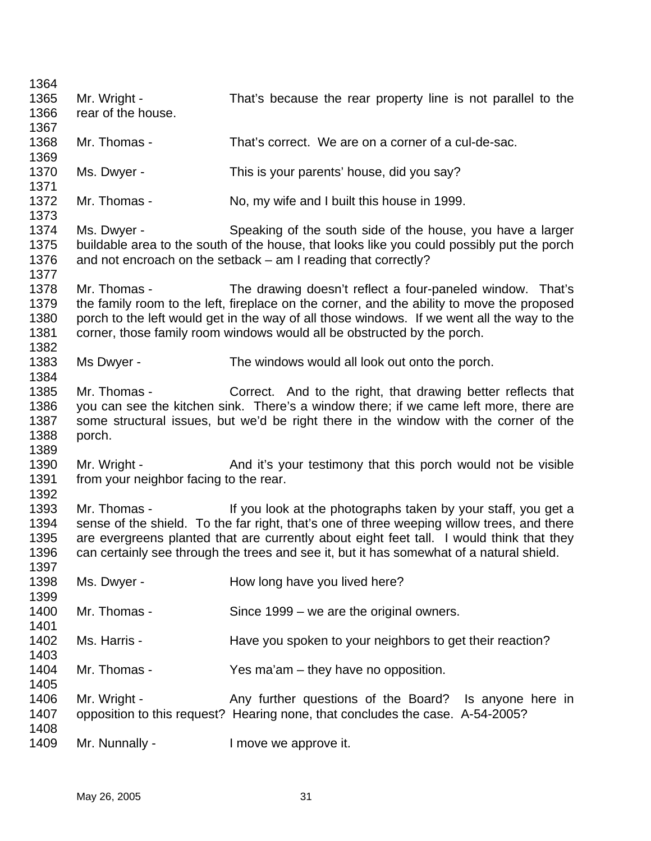| 1364<br>1365                         | Mr. Wright -                                           | That's because the rear property line is not parallel to the                                                                                                                                                                                                                                                                                        |
|--------------------------------------|--------------------------------------------------------|-----------------------------------------------------------------------------------------------------------------------------------------------------------------------------------------------------------------------------------------------------------------------------------------------------------------------------------------------------|
| 1366<br>1367                         | rear of the house.                                     |                                                                                                                                                                                                                                                                                                                                                     |
| 1368<br>1369                         | Mr. Thomas -                                           | That's correct. We are on a corner of a cul-de-sac.                                                                                                                                                                                                                                                                                                 |
| 1370<br>1371                         | Ms. Dwyer -                                            | This is your parents' house, did you say?                                                                                                                                                                                                                                                                                                           |
| 1372<br>1373                         | Mr. Thomas -                                           | No, my wife and I built this house in 1999.                                                                                                                                                                                                                                                                                                         |
| 1374<br>1375<br>1376<br>1377         | Ms. Dwyer -                                            | Speaking of the south side of the house, you have a larger<br>buildable area to the south of the house, that looks like you could possibly put the porch<br>and not encroach on the setback – am I reading that correctly?                                                                                                                          |
| 1378<br>1379<br>1380<br>1381<br>1382 | Mr. Thomas -                                           | The drawing doesn't reflect a four-paneled window. That's<br>the family room to the left, fireplace on the corner, and the ability to move the proposed<br>porch to the left would get in the way of all those windows. If we went all the way to the<br>corner, those family room windows would all be obstructed by the porch.                    |
| 1383<br>1384                         | Ms Dwyer -                                             | The windows would all look out onto the porch.                                                                                                                                                                                                                                                                                                      |
| 1385<br>1386<br>1387<br>1388<br>1389 | Mr. Thomas -<br>porch.                                 | Correct. And to the right, that drawing better reflects that<br>you can see the kitchen sink. There's a window there; if we came left more, there are<br>some structural issues, but we'd be right there in the window with the corner of the                                                                                                       |
| 1390<br>1391<br>1392                 | Mr. Wright -<br>from your neighbor facing to the rear. | And it's your testimony that this porch would not be visible                                                                                                                                                                                                                                                                                        |
| 1393<br>1394<br>1395<br>1396<br>1397 | Mr. Thomas -                                           | If you look at the photographs taken by your staff, you get a<br>sense of the shield. To the far right, that's one of three weeping willow trees, and there<br>are evergreens planted that are currently about eight feet tall. I would think that they<br>can certainly see through the trees and see it, but it has somewhat of a natural shield. |
| 1398<br>1399                         | Ms. Dwyer -                                            | How long have you lived here?                                                                                                                                                                                                                                                                                                                       |
| 1400<br>1401                         | Mr. Thomas -                                           | Since 1999 – we are the original owners.                                                                                                                                                                                                                                                                                                            |
| 1402<br>1403                         | Ms. Harris -                                           | Have you spoken to your neighbors to get their reaction?                                                                                                                                                                                                                                                                                            |
| 1404<br>1405                         | Mr. Thomas -                                           | Yes ma'am – they have no opposition.                                                                                                                                                                                                                                                                                                                |
| 1406<br>1407<br>1408                 | Mr. Wright -                                           | Any further questions of the Board? Is anyone here in<br>opposition to this request? Hearing none, that concludes the case. A-54-2005?                                                                                                                                                                                                              |
| 1409                                 | Mr. Nunnally -                                         | I move we approve it.                                                                                                                                                                                                                                                                                                                               |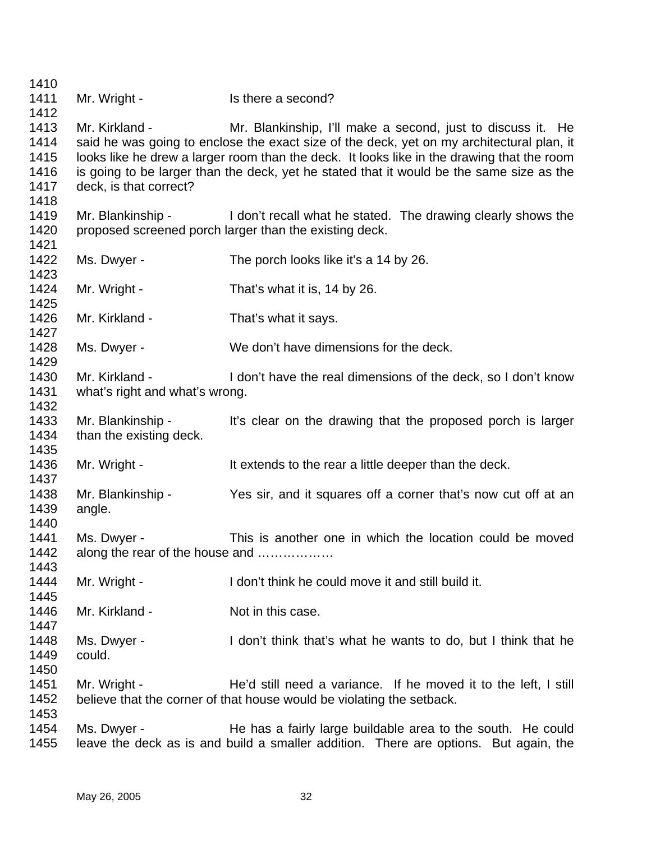Mr. Wright - Is there a second? Mr. Kirkland - Mr. Blankinship, I'll make a second, just to discuss it. He said he was going to enclose the exact size of the deck, yet on my architectural plan, it looks like he drew a larger room than the deck. It looks like in the drawing that the room is going to be larger than the deck, yet he stated that it would be the same size as the deck, is that correct? Mr. Blankinship - I don't recall what he stated. The drawing clearly shows the proposed screened porch larger than the existing deck. Ms. Dwyer - The porch looks like it's a 14 by 26. Mr. Wright - That's what it is, 14 by 26. Mr. Kirkland - That's what it says. Ms. Dwyer - We don't have dimensions for the deck. Mr. Kirkland - I don't have the real dimensions of the deck, so I don't know what's right and what's wrong. Mr. Blankinship - It's clear on the drawing that the proposed porch is larger than the existing deck. Mr. Wright - The stends to the rear a little deeper than the deck. Mr. Blankinship - Yes sir, and it squares off a corner that's now cut off at an angle. Ms. Dwyer - This is another one in which the location could be moved along the rear of the house and ……………… Mr. Wright - I don't think he could move it and still build it. Mr. Kirkland - Not in this case. Ms. Dwyer - I don't think that's what he wants to do, but I think that he could. Mr. Wright - The He'd still need a variance. If he moved it to the left, I still believe that the corner of that house would be violating the setback. Ms. Dwyer - The has a fairly large buildable area to the south. He could leave the deck as is and build a smaller addition. There are options. But again, the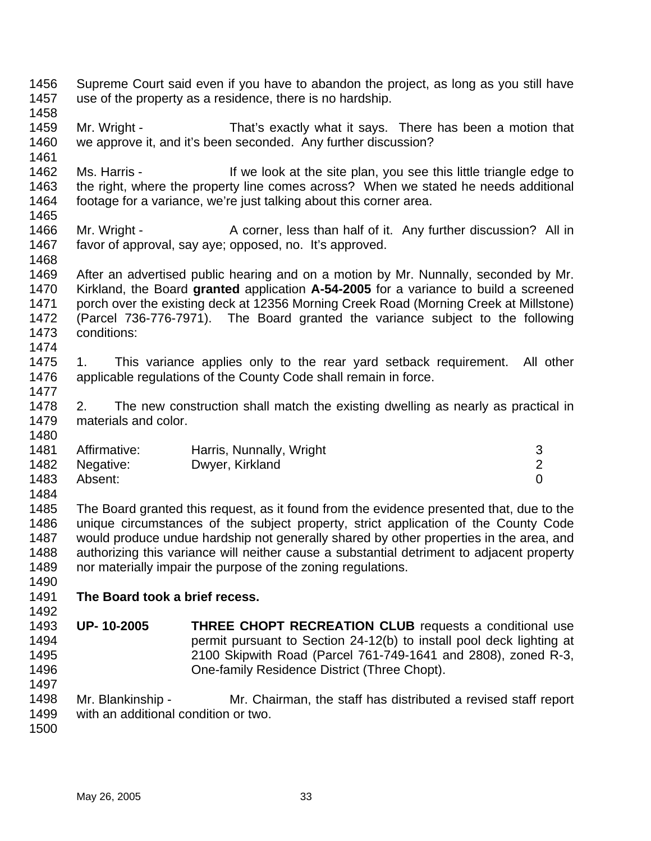| 1456<br>1457<br>1458 | Supreme Court said even if you have to abandon the project, as long as you still have<br>use of the property as a residence, there is no hardship. |                                                                                                                                                                             |                |
|----------------------|----------------------------------------------------------------------------------------------------------------------------------------------------|-----------------------------------------------------------------------------------------------------------------------------------------------------------------------------|----------------|
| 1459<br>1460         | Mr. Wright -                                                                                                                                       | That's exactly what it says. There has been a motion that<br>we approve it, and it's been seconded. Any further discussion?                                                 |                |
| 1461                 |                                                                                                                                                    |                                                                                                                                                                             |                |
| 1462<br>1463         | Ms. Harris -                                                                                                                                       | If we look at the site plan, you see this little triangle edge to<br>the right, where the property line comes across? When we stated he needs additional                    |                |
| 1464<br>1465         |                                                                                                                                                    | footage for a variance, we're just talking about this corner area.                                                                                                          |                |
| 1466                 |                                                                                                                                                    |                                                                                                                                                                             |                |
| 1467                 | Mr. Wright -                                                                                                                                       | A corner, less than half of it. Any further discussion? All in<br>favor of approval, say aye; opposed, no. It's approved.                                                   |                |
| 1468                 |                                                                                                                                                    |                                                                                                                                                                             |                |
| 1469<br>1470         |                                                                                                                                                    | After an advertised public hearing and on a motion by Mr. Nunnally, seconded by Mr.<br>Kirkland, the Board granted application A-54-2005 for a variance to build a screened |                |
| 1471                 |                                                                                                                                                    | porch over the existing deck at 12356 Morning Creek Road (Morning Creek at Millstone)                                                                                       |                |
| 1472                 |                                                                                                                                                    | (Parcel 736-776-7971). The Board granted the variance subject to the following                                                                                              |                |
| 1473                 | conditions:                                                                                                                                        |                                                                                                                                                                             |                |
| 1474                 |                                                                                                                                                    |                                                                                                                                                                             |                |
| 1475                 | 1.                                                                                                                                                 | This variance applies only to the rear yard setback requirement.                                                                                                            | All other      |
| 1476                 |                                                                                                                                                    | applicable regulations of the County Code shall remain in force.                                                                                                            |                |
| 1477                 |                                                                                                                                                    |                                                                                                                                                                             |                |
| 1478                 | 2.                                                                                                                                                 | The new construction shall match the existing dwelling as nearly as practical in                                                                                            |                |
| 1479                 | materials and color.                                                                                                                               |                                                                                                                                                                             |                |
| 1480                 |                                                                                                                                                    |                                                                                                                                                                             |                |
| 1481                 | Affirmative:                                                                                                                                       | Harris, Nunnally, Wright                                                                                                                                                    | 3              |
| 1482                 | Negative:                                                                                                                                          | Dwyer, Kirkland                                                                                                                                                             | $\overline{2}$ |
| 1483                 | Absent:                                                                                                                                            |                                                                                                                                                                             | $\overline{0}$ |
| 1484                 |                                                                                                                                                    |                                                                                                                                                                             |                |
| 1485                 |                                                                                                                                                    | The Board granted this request, as it found from the evidence presented that, due to the                                                                                    |                |
| 1486                 |                                                                                                                                                    | unique circumstances of the subject property, strict application of the County Code                                                                                         |                |
|                      |                                                                                                                                                    |                                                                                                                                                                             |                |
| 1487                 |                                                                                                                                                    | would produce undue hardship not generally shared by other properties in the area, and                                                                                      |                |
| 1488                 |                                                                                                                                                    | authorizing this variance will neither cause a substantial detriment to adjacent property                                                                                   |                |
| 1489                 |                                                                                                                                                    | nor materially impair the purpose of the zoning regulations.                                                                                                                |                |
| 1490                 |                                                                                                                                                    |                                                                                                                                                                             |                |
| 1491                 | The Board took a brief recess.                                                                                                                     |                                                                                                                                                                             |                |
| 1492                 |                                                                                                                                                    |                                                                                                                                                                             |                |
| 1493                 | UP-10-2005                                                                                                                                         | <b>THREE CHOPT RECREATION CLUB requests a conditional use</b>                                                                                                               |                |
| 1494                 |                                                                                                                                                    | permit pursuant to Section 24-12(b) to install pool deck lighting at                                                                                                        |                |
| 1495                 |                                                                                                                                                    | 2100 Skipwith Road (Parcel 761-749-1641 and 2808), zoned R-3,                                                                                                               |                |
| 1496                 |                                                                                                                                                    | One-family Residence District (Three Chopt).                                                                                                                                |                |
| 1497                 |                                                                                                                                                    |                                                                                                                                                                             |                |
| 1498                 | Mr. Blankinship -                                                                                                                                  | Mr. Chairman, the staff has distributed a revised staff report                                                                                                              |                |
| 1499                 | with an additional condition or two.                                                                                                               |                                                                                                                                                                             |                |
| 1500                 |                                                                                                                                                    |                                                                                                                                                                             |                |
|                      |                                                                                                                                                    |                                                                                                                                                                             |                |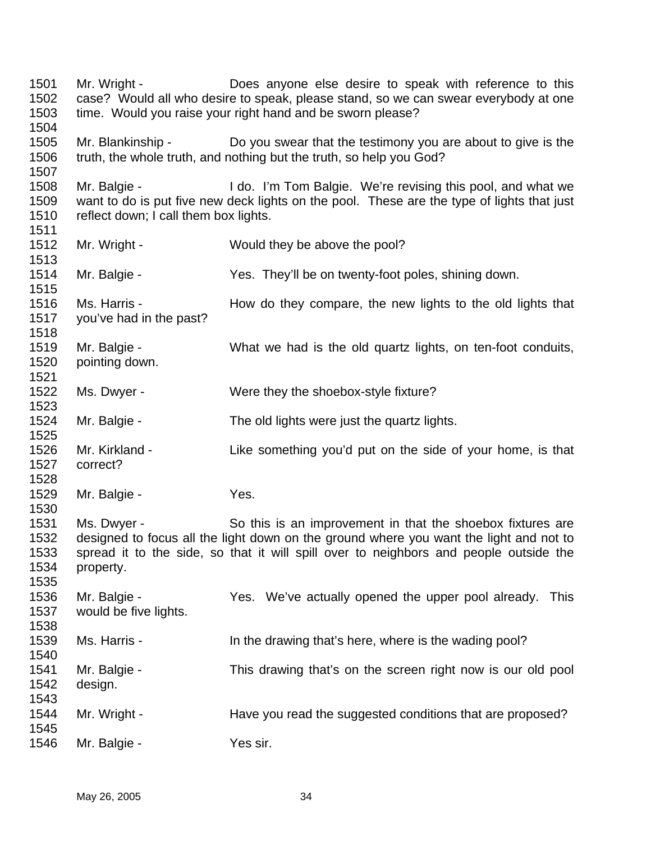1501 1502 1503 1504 1505 1506 1507 1508 1509 1510 1511 1512 1513 1514 1515 1516 1517 1518 1519 1520 1521 1522 1523 1524 1525 1526 1527 1528 1529 1530 1531 1532 1533 1534 1535 1536 1537 1538 1539 1540 1541 1542 1543 1544 1545 1546 Mr. Wright - Does anyone else desire to speak with reference to this case? Would all who desire to speak, please stand, so we can swear everybody at one time. Would you raise your right hand and be sworn please? Mr. Blankinship - Do you swear that the testimony you are about to give is the truth, the whole truth, and nothing but the truth, so help you God? Mr. Balgie - I do. I'm Tom Balgie. We're revising this pool, and what we want to do is put five new deck lights on the pool. These are the type of lights that just reflect down; I call them box lights. Mr. Wright - Would they be above the pool? Mr. Balgie - Yes. They'll be on twenty-foot poles, shining down. Ms. Harris - How do they compare, the new lights to the old lights that you've had in the past? Mr. Balgie - What we had is the old quartz lights, on ten-foot conduits, pointing down. Ms. Dwyer - Were they the shoebox-style fixture? Mr. Balgie - The old lights were just the quartz lights. Mr. Kirkland - Like something you'd put on the side of your home, is that correct? Mr. Balgie - Yes. Ms. Dwyer - So this is an improvement in that the shoebox fixtures are designed to focus all the light down on the ground where you want the light and not to spread it to the side, so that it will spill over to neighbors and people outside the property. Mr. Balgie - This Yes. We've actually opened the upper pool already. This would be five lights. Ms. Harris - The drawing that's here, where is the wading pool? Mr. Balgie - This drawing that's on the screen right now is our old pool design. Mr. Wright - **Have you read the suggested conditions that are proposed?** Mr. Balgie - Yes sir.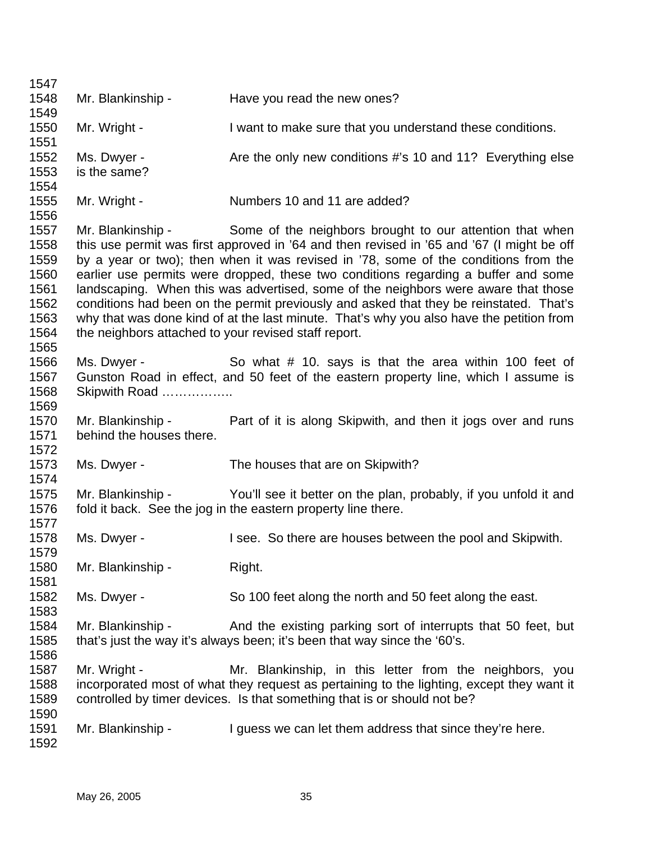| 1547                                                                 |                                                      |                                                                                                                                                                                                                                                                                                                                                                                                                                                                                                                                                                                                                                  |
|----------------------------------------------------------------------|------------------------------------------------------|----------------------------------------------------------------------------------------------------------------------------------------------------------------------------------------------------------------------------------------------------------------------------------------------------------------------------------------------------------------------------------------------------------------------------------------------------------------------------------------------------------------------------------------------------------------------------------------------------------------------------------|
| 1548                                                                 | Mr. Blankinship -                                    | Have you read the new ones?                                                                                                                                                                                                                                                                                                                                                                                                                                                                                                                                                                                                      |
| 1549                                                                 |                                                      |                                                                                                                                                                                                                                                                                                                                                                                                                                                                                                                                                                                                                                  |
| 1550<br>1551                                                         | Mr. Wright -                                         | I want to make sure that you understand these conditions.                                                                                                                                                                                                                                                                                                                                                                                                                                                                                                                                                                        |
| 1552<br>1553<br>1554                                                 | Ms. Dwyer -<br>is the same?                          | Are the only new conditions #'s 10 and 11? Everything else                                                                                                                                                                                                                                                                                                                                                                                                                                                                                                                                                                       |
| 1555<br>1556                                                         | Mr. Wright -                                         | Numbers 10 and 11 are added?                                                                                                                                                                                                                                                                                                                                                                                                                                                                                                                                                                                                     |
| 1557<br>1558<br>1559<br>1560<br>1561<br>1562<br>1563<br>1564<br>1565 | the neighbors attached to your revised staff report. | Mr. Blankinship - Some of the neighbors brought to our attention that when<br>this use permit was first approved in '64 and then revised in '65 and '67 (I might be off<br>by a year or two); then when it was revised in '78, some of the conditions from the<br>earlier use permits were dropped, these two conditions regarding a buffer and some<br>landscaping. When this was advertised, some of the neighbors were aware that those<br>conditions had been on the permit previously and asked that they be reinstated. That's<br>why that was done kind of at the last minute. That's why you also have the petition from |
| 1566<br>1567<br>1568<br>1569                                         | Ms. Dwyer -<br>Skipwith Road                         | So what # 10. says is that the area within 100 feet of<br>Gunston Road in effect, and 50 feet of the eastern property line, which I assume is                                                                                                                                                                                                                                                                                                                                                                                                                                                                                    |
| 1570<br>1571<br>1572                                                 | Mr. Blankinship -<br>behind the houses there.        | Part of it is along Skipwith, and then it jogs over and runs                                                                                                                                                                                                                                                                                                                                                                                                                                                                                                                                                                     |
| 1573<br>1574                                                         | Ms. Dwyer -                                          | The houses that are on Skipwith?                                                                                                                                                                                                                                                                                                                                                                                                                                                                                                                                                                                                 |
| 1575<br>1576<br>1577                                                 | Mr. Blankinship -                                    | You'll see it better on the plan, probably, if you unfold it and<br>fold it back. See the jog in the eastern property line there.                                                                                                                                                                                                                                                                                                                                                                                                                                                                                                |
| 1578<br>1579                                                         | Ms. Dwyer -                                          | I see. So there are houses between the pool and Skipwith.                                                                                                                                                                                                                                                                                                                                                                                                                                                                                                                                                                        |
| 1580<br>1581                                                         | Mr. Blankinship -                                    | Right.                                                                                                                                                                                                                                                                                                                                                                                                                                                                                                                                                                                                                           |
| 1582<br>1583                                                         | Ms. Dwyer -                                          | So 100 feet along the north and 50 feet along the east.                                                                                                                                                                                                                                                                                                                                                                                                                                                                                                                                                                          |
| 1584<br>1585<br>1586                                                 | Mr. Blankinship -                                    | And the existing parking sort of interrupts that 50 feet, but<br>that's just the way it's always been; it's been that way since the '60's.                                                                                                                                                                                                                                                                                                                                                                                                                                                                                       |
| 1587<br>1588<br>1589                                                 | Mr. Wright -                                         | Mr. Blankinship, in this letter from the neighbors, you<br>incorporated most of what they request as pertaining to the lighting, except they want it<br>controlled by timer devices. Is that something that is or should not be?                                                                                                                                                                                                                                                                                                                                                                                                 |
| 1590<br>1591<br>1592                                                 | Mr. Blankinship -                                    | I guess we can let them address that since they're here.                                                                                                                                                                                                                                                                                                                                                                                                                                                                                                                                                                         |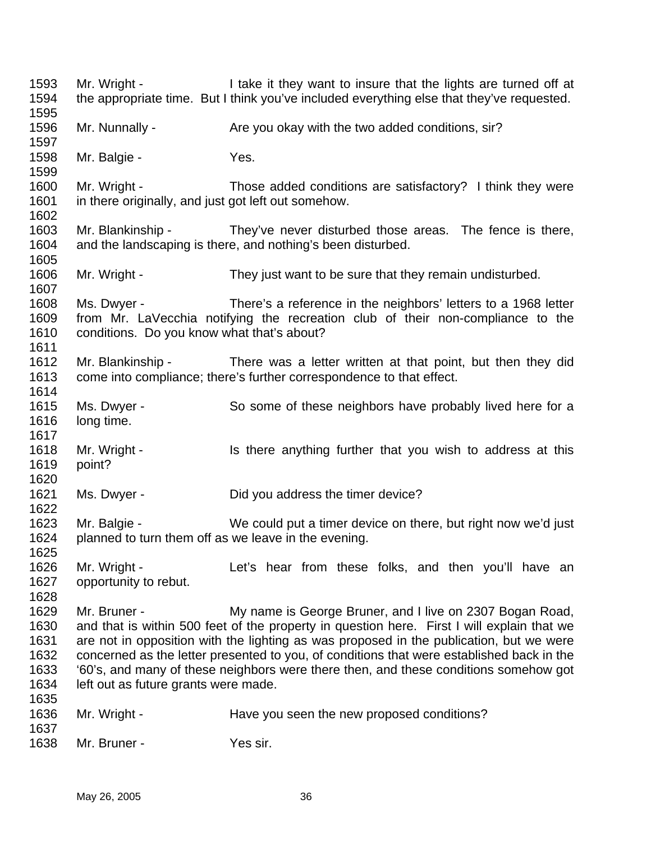1593 1594 1595 1596 1597 1598 1599 1600 1601 1602 1603 1604 1605 1606 1607 1608 1609 1610 1611 1612 1613 1614 1615 1616 1617 1618 1619 1620 1621 1622 1623 1624 1625 1626 1627 1628 1629 1630 1631 1632 1633 1634 1635 1636 1637 1638 Mr. Wright - I take it they want to insure that the lights are turned off at the appropriate time. But I think you've included everything else that they've requested. Mr. Nunnally - Are you okay with the two added conditions, sir? Mr. Balgie - Yes. Mr. Wright - Those added conditions are satisfactory? I think they were in there originally, and just got left out somehow. Mr. Blankinship - They've never disturbed those areas. The fence is there, and the landscaping is there, and nothing's been disturbed. Mr. Wright - They just want to be sure that they remain undisturbed. Ms. Dwyer - There's a reference in the neighbors' letters to a 1968 letter from Mr. LaVecchia notifying the recreation club of their non-compliance to the conditions. Do you know what that's about? Mr. Blankinship - There was a letter written at that point, but then they did come into compliance; there's further correspondence to that effect. Ms. Dwyer - So some of these neighbors have probably lived here for a long time. Mr. Wright - Is there anything further that you wish to address at this point? Ms. Dwyer - Did you address the timer device? Mr. Balgie - We could put a timer device on there, but right now we'd just planned to turn them off as we leave in the evening. Mr. Wright - The Let's hear from these folks, and then you'll have an opportunity to rebut. Mr. Bruner - **My name is George Bruner**, and I live on 2307 Bogan Road, and that is within 500 feet of the property in question here. First I will explain that we are not in opposition with the lighting as was proposed in the publication, but we were concerned as the letter presented to you, of conditions that were established back in the '60's, and many of these neighbors were there then, and these conditions somehow got left out as future grants were made. Mr. Wright - Have you seen the new proposed conditions? Mr. Bruner - Yes sir.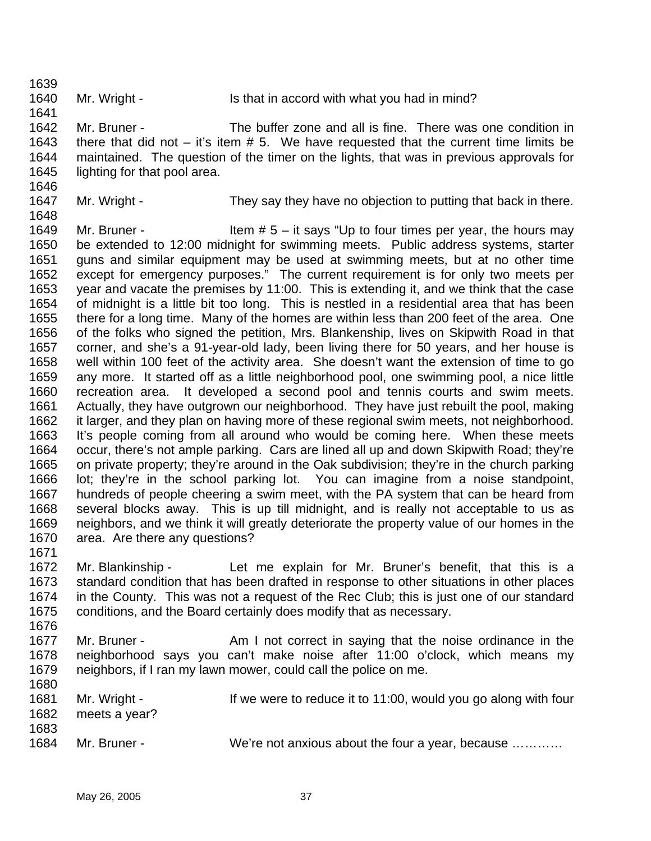1639

1641

1640

Mr. Wright - Is that in accord with what you had in mind?

1642 1643 1644 1645 Mr. Bruner - The buffer zone and all is fine. There was one condition in there that did not  $-$  it's item  $# 5$ . We have requested that the current time limits be maintained. The question of the timer on the lights, that was in previous approvals for lighting for that pool area.

- 1646
- 1647 1648

Mr. Wright - They say they have no objection to putting that back in there.

1649 1650 1651 1652 1653 1654 1655 1656 1657 1658 1659 1660 1661 1662 1663 1664 1665 1666 1667 1668 1669 1670 Mr. Bruner -  $\blacksquare$  Item  $# 5 -$  it says "Up to four times per year, the hours may be extended to 12:00 midnight for swimming meets. Public address systems, starter guns and similar equipment may be used at swimming meets, but at no other time except for emergency purposes." The current requirement is for only two meets per year and vacate the premises by 11:00. This is extending it, and we think that the case of midnight is a little bit too long. This is nestled in a residential area that has been there for a long time. Many of the homes are within less than 200 feet of the area. One of the folks who signed the petition, Mrs. Blankenship, lives on Skipwith Road in that corner, and she's a 91-year-old lady, been living there for 50 years, and her house is well within 100 feet of the activity area. She doesn't want the extension of time to go any more. It started off as a little neighborhood pool, one swimming pool, a nice little recreation area. It developed a second pool and tennis courts and swim meets. Actually, they have outgrown our neighborhood. They have just rebuilt the pool, making it larger, and they plan on having more of these regional swim meets, not neighborhood. It's people coming from all around who would be coming here. When these meets occur, there's not ample parking. Cars are lined all up and down Skipwith Road; they're on private property; they're around in the Oak subdivision; they're in the church parking lot; they're in the school parking lot. You can imagine from a noise standpoint, hundreds of people cheering a swim meet, with the PA system that can be heard from several blocks away. This is up till midnight, and is really not acceptable to us as neighbors, and we think it will greatly deteriorate the property value of our homes in the area. Are there any questions?

1671

1672 1673 1674 1675 1676 Mr. Blankinship - Let me explain for Mr. Bruner's benefit, that this is a standard condition that has been drafted in response to other situations in other places in the County. This was not a request of the Rec Club; this is just one of our standard conditions, and the Board certainly does modify that as necessary.

1677 1678 1679 1680 Mr. Bruner - The State of Am I not correct in saying that the noise ordinance in the neighborhood says you can't make noise after 11:00 o'clock, which means my neighbors, if I ran my lawn mower, could call the police on me.

| 1681 | Mr. Wright -  | If we were to reduce it to 11:00, would you go along with four |
|------|---------------|----------------------------------------------------------------|
| 1682 | meets a year? |                                                                |
| 1683 |               |                                                                |
| 1684 | Mr. Bruner -  | We're not anxious about the four a year, because               |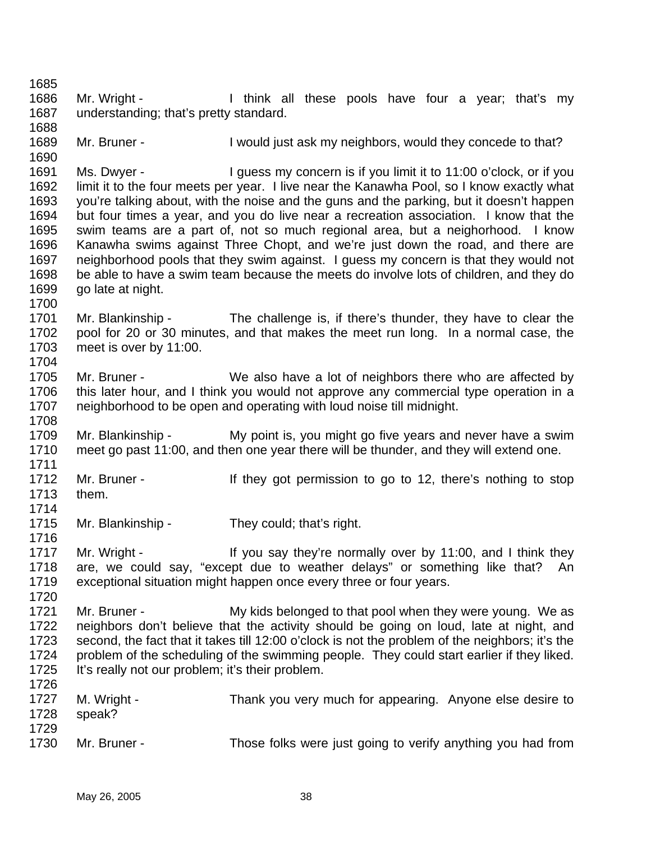1685 1686 1687 1688 1689 1690 1691 1692 1693 1694 1695 1696 1697 1698 1699 1700 1701 1702 1703 1704 1705 1706 1707 1708 1709 1710 1711 1712 1713 1714 1715 1716 1717 1718 1719 1720 1721 1722 1723 1724 1725 1726 1727 1728 1729 1730 Mr. Wright - Think all these pools have four a year; that's my understanding; that's pretty standard. Mr. Bruner - I would just ask my neighbors, would they concede to that? Ms. Dwyer - I guess my concern is if you limit it to 11:00 o'clock, or if you limit it to the four meets per year. I live near the Kanawha Pool, so I know exactly what you're talking about, with the noise and the guns and the parking, but it doesn't happen but four times a year, and you do live near a recreation association. I know that the swim teams are a part of, not so much regional area, but a neighorhood. I know Kanawha swims against Three Chopt, and we're just down the road, and there are neighborhood pools that they swim against. I guess my concern is that they would not be able to have a swim team because the meets do involve lots of children, and they do go late at night. Mr. Blankinship - The challenge is, if there's thunder, they have to clear the pool for 20 or 30 minutes, and that makes the meet run long. In a normal case, the meet is over by 11:00. Mr. Bruner - We also have a lot of neighbors there who are affected by this later hour, and I think you would not approve any commercial type operation in a neighborhood to be open and operating with loud noise till midnight. Mr. Blankinship - My point is, you might go five years and never have a swim meet go past 11:00, and then one year there will be thunder, and they will extend one. Mr. Bruner - They got permission to go to 12, there's nothing to stop them. Mr. Blankinship - They could; that's right. Mr. Wright - The Mullistay they're normally over by 11:00, and I think they are, we could say, "except due to weather delays" or something like that? An exceptional situation might happen once every three or four years. Mr. Bruner - The My kids belonged to that pool when they were young. We as neighbors don't believe that the activity should be going on loud, late at night, and second, the fact that it takes till 12:00 o'clock is not the problem of the neighbors; it's the problem of the scheduling of the swimming people. They could start earlier if they liked. It's really not our problem; it's their problem. M. Wright - Thank you very much for appearing. Anyone else desire to speak? Mr. Bruner - Those folks were just going to verify anything you had from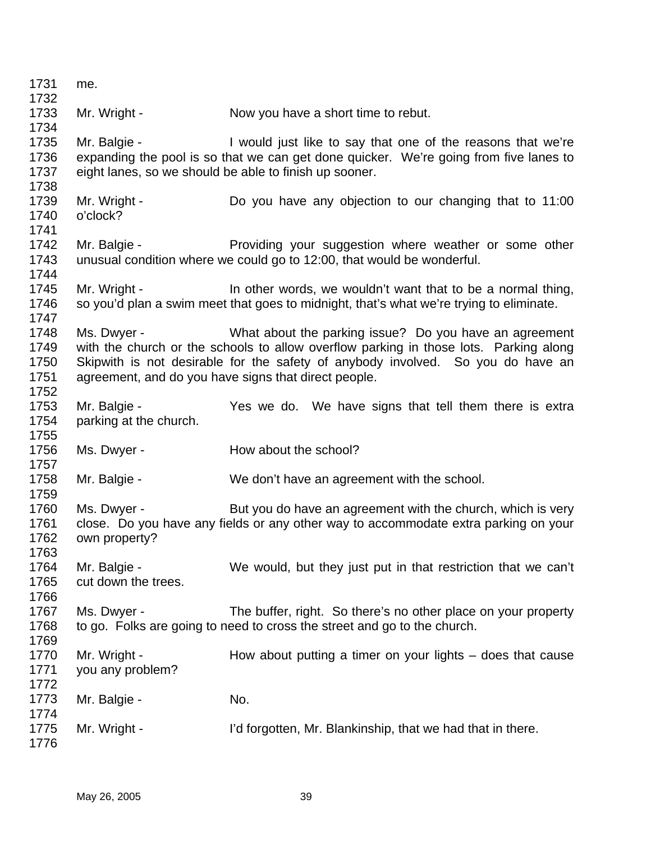| 1731<br>1732                         | me.                                    |                                                                                                                                                                                                                                                                                            |
|--------------------------------------|----------------------------------------|--------------------------------------------------------------------------------------------------------------------------------------------------------------------------------------------------------------------------------------------------------------------------------------------|
| 1733<br>1734                         | Mr. Wright -                           | Now you have a short time to rebut.                                                                                                                                                                                                                                                        |
| 1735<br>1736<br>1737<br>1738         | Mr. Balgie -                           | I would just like to say that one of the reasons that we're<br>expanding the pool is so that we can get done quicker. We're going from five lanes to<br>eight lanes, so we should be able to finish up sooner.                                                                             |
| 1739<br>1740<br>1741                 | Mr. Wright -<br>o'clock?               | Do you have any objection to our changing that to 11:00                                                                                                                                                                                                                                    |
| 1742<br>1743<br>1744                 | Mr. Balgie -                           | Providing your suggestion where weather or some other<br>unusual condition where we could go to 12:00, that would be wonderful.                                                                                                                                                            |
| 1745<br>1746<br>1747                 | Mr. Wright -                           | In other words, we wouldn't want that to be a normal thing,<br>so you'd plan a swim meet that goes to midnight, that's what we're trying to eliminate.                                                                                                                                     |
| 1748<br>1749<br>1750<br>1751<br>1752 | Ms. Dwyer -                            | What about the parking issue? Do you have an agreement<br>with the church or the schools to allow overflow parking in those lots. Parking along<br>Skipwith is not desirable for the safety of anybody involved. So you do have an<br>agreement, and do you have signs that direct people. |
| 1753<br>1754<br>1755                 | Mr. Balgie -<br>parking at the church. | Yes we do. We have signs that tell them there is extra                                                                                                                                                                                                                                     |
| 1756<br>1757                         | Ms. Dwyer -                            | How about the school?                                                                                                                                                                                                                                                                      |
| 1758<br>1759                         | Mr. Balgie -                           | We don't have an agreement with the school.                                                                                                                                                                                                                                                |
| 1760<br>1761<br>1762<br>1763         | Ms. Dwyer -<br>own property?           | But you do have an agreement with the church, which is very<br>close. Do you have any fields or any other way to accommodate extra parking on your                                                                                                                                         |
| 1764<br>1765<br>1766                 | Mr. Balgie -<br>cut down the trees.    | We would, but they just put in that restriction that we can't                                                                                                                                                                                                                              |
| 1767<br>1768<br>1769                 | Ms. Dwyer -                            | The buffer, right. So there's no other place on your property<br>to go. Folks are going to need to cross the street and go to the church.                                                                                                                                                  |
| 1770<br>1771                         | Mr. Wright -<br>you any problem?       | How about putting a timer on your lights $-$ does that cause                                                                                                                                                                                                                               |
| 1772<br>1773<br>1774                 | Mr. Balgie -                           | No.                                                                                                                                                                                                                                                                                        |
| 1775<br>1776                         | Mr. Wright -                           | I'd forgotten, Mr. Blankinship, that we had that in there.                                                                                                                                                                                                                                 |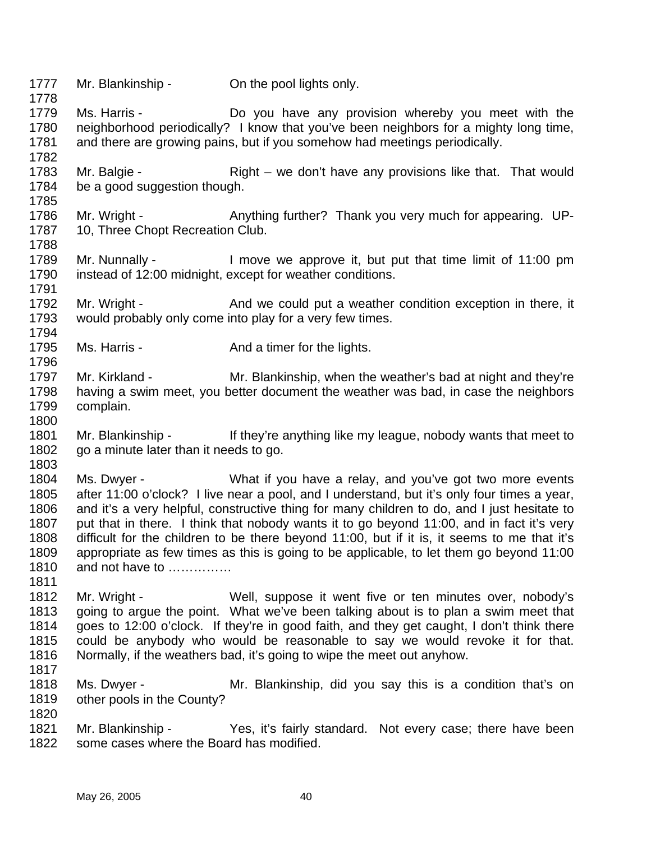1777 1778 1779 1780 1781 1782 1783 1784 1785 1786 1787 1788 1789 1790 1791 1792 1793 1794 1795 1796 1797 1798 1799 1800 1801 1802 1803 1804 1805 1806 1807 1808 1809 1810 1811 1812 1813 1814 1815 1816 1817 1818 1819 1820 1821 1822 Mr. Blankinship - On the pool lights only. Ms. Harris - **Do** you have any provision whereby you meet with the neighborhood periodically? I know that you've been neighbors for a mighty long time, and there are growing pains, but if you somehow had meetings periodically. Mr. Balgie - Right – we don't have any provisions like that. That would be a good suggestion though. Mr. Wright - Anything further? Thank you very much for appearing. UP-10, Three Chopt Recreation Club. Mr. Nunnally - I move we approve it, but put that time limit of 11:00 pm instead of 12:00 midnight, except for weather conditions. Mr. Wright - And we could put a weather condition exception in there, it would probably only come into play for a very few times. Ms. Harris - The And a timer for the lights. Mr. Kirkland - Mr. Blankinship, when the weather's bad at night and they're having a swim meet, you better document the weather was bad, in case the neighbors complain. Mr. Blankinship - If they're anything like my league, nobody wants that meet to go a minute later than it needs to go. Ms. Dwyer - What if you have a relay, and you've got two more events after 11:00 o'clock? I live near a pool, and I understand, but it's only four times a year, and it's a very helpful, constructive thing for many children to do, and I just hesitate to put that in there. I think that nobody wants it to go beyond 11:00, and in fact it's very difficult for the children to be there beyond 11:00, but if it is, it seems to me that it's appropriate as few times as this is going to be applicable, to let them go beyond 11:00 and not have to …………… Mr. Wright - Well, suppose it went five or ten minutes over, nobody's going to argue the point. What we've been talking about is to plan a swim meet that goes to 12:00 o'clock. If they're in good faith, and they get caught, I don't think there could be anybody who would be reasonable to say we would revoke it for that. Normally, if the weathers bad, it's going to wipe the meet out anyhow. Ms. Dwyer - Mr. Blankinship, did you say this is a condition that's on other pools in the County? Mr. Blankinship - Yes, it's fairly standard. Not every case; there have been some cases where the Board has modified.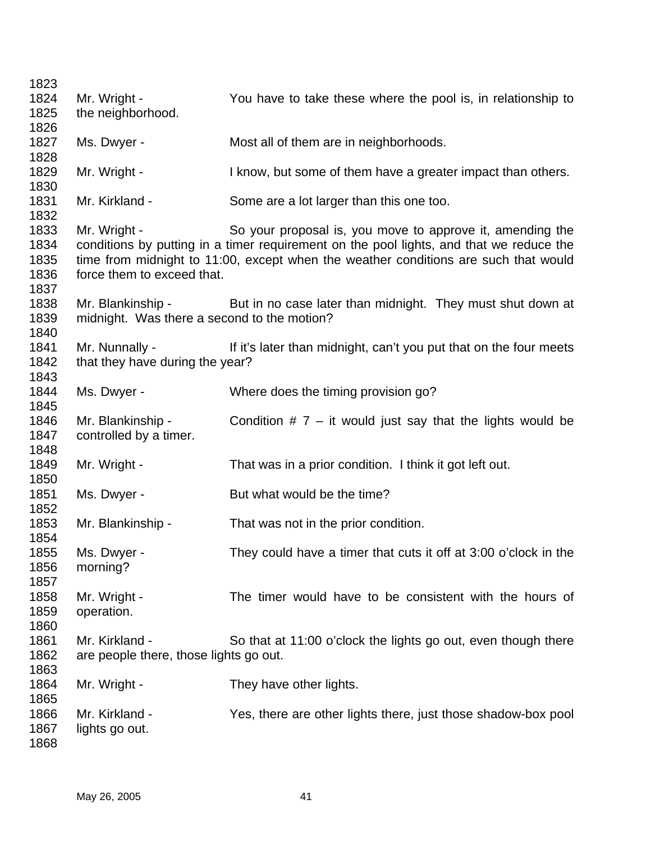| 1823<br>1824<br>1825                 | Mr. Wright -<br>the neighborhood.                                | You have to take these where the pool is, in relationship to                                                                                                                                                                                |
|--------------------------------------|------------------------------------------------------------------|---------------------------------------------------------------------------------------------------------------------------------------------------------------------------------------------------------------------------------------------|
| 1826<br>1827<br>1828                 | Ms. Dwyer -                                                      | Most all of them are in neighborhoods.                                                                                                                                                                                                      |
| 1829<br>1830                         | Mr. Wright -                                                     | I know, but some of them have a greater impact than others.                                                                                                                                                                                 |
| 1831<br>1832                         | Mr. Kirkland -                                                   | Some are a lot larger than this one too.                                                                                                                                                                                                    |
| 1833<br>1834<br>1835<br>1836<br>1837 | Mr. Wright -<br>force them to exceed that.                       | So your proposal is, you move to approve it, amending the<br>conditions by putting in a timer requirement on the pool lights, and that we reduce the<br>time from midnight to 11:00, except when the weather conditions are such that would |
| 1838<br>1839<br>1840                 | Mr. Blankinship -<br>midnight. Was there a second to the motion? | But in no case later than midnight. They must shut down at                                                                                                                                                                                  |
| 1841<br>1842<br>1843                 | Mr. Nunnally -<br>that they have during the year?                | If it's later than midnight, can't you put that on the four meets                                                                                                                                                                           |
| 1844<br>1845                         | Ms. Dwyer -                                                      | Where does the timing provision go?                                                                                                                                                                                                         |
| 1846<br>1847<br>1848                 | Mr. Blankinship -<br>controlled by a timer.                      | Condition $# 7 - it$ would just say that the lights would be                                                                                                                                                                                |
| 1849<br>1850                         | Mr. Wright -                                                     | That was in a prior condition. I think it got left out.                                                                                                                                                                                     |
| 1851<br>1852                         | Ms. Dwyer -                                                      | But what would be the time?                                                                                                                                                                                                                 |
| 1853<br>1854                         | Mr. Blankinship -                                                | That was not in the prior condition.                                                                                                                                                                                                        |
| 1855<br>1856<br>1857                 | Ms. Dwyer -<br>morning?                                          | They could have a timer that cuts it off at 3:00 o'clock in the                                                                                                                                                                             |
| 1858<br>1859<br>1860                 | Mr. Wright -<br>operation.                                       | The timer would have to be consistent with the hours of                                                                                                                                                                                     |
| 1861<br>1862<br>1863                 | Mr. Kirkland -<br>are people there, those lights go out.         | So that at 11:00 o'clock the lights go out, even though there                                                                                                                                                                               |
| 1864<br>1865                         | Mr. Wright -                                                     | They have other lights.                                                                                                                                                                                                                     |
| 1866<br>1867<br>1868                 | Mr. Kirkland -<br>lights go out.                                 | Yes, there are other lights there, just those shadow-box pool                                                                                                                                                                               |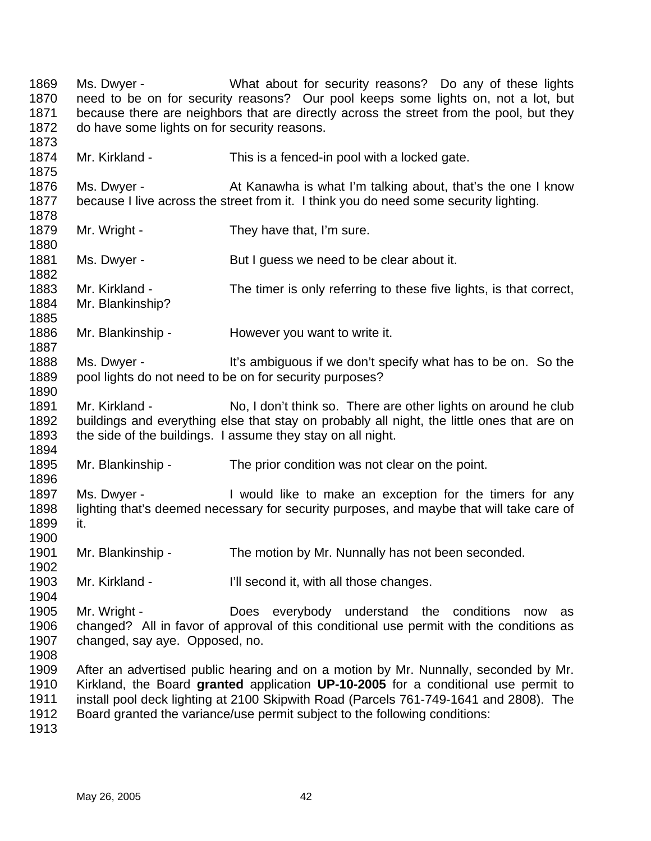1869 1870 1871 1872 1873 1874 1875 1876 1877 1878 1879 1880 1881 1882 1883 1884 1885 1886 1887 1888 1889 1890 1891 1892 1893 1894 1895 1896 1897 1898 1899 1900 1901 1902 1903 1904 1905 1906 1907 1908 1909 1910 1911 1912 Ms. Dwyer - **What about for security reasons?** Do any of these lights need to be on for security reasons? Our pool keeps some lights on, not a lot, but because there are neighbors that are directly across the street from the pool, but they do have some lights on for security reasons. Mr. Kirkland - This is a fenced-in pool with a locked gate. Ms. Dwyer - At Kanawha is what I'm talking about, that's the one I know because I live across the street from it. I think you do need some security lighting. Mr. Wright - They have that, I'm sure. Ms. Dwyer - But I guess we need to be clear about it. Mr. Kirkland - The timer is only referring to these five lights, is that correct, Mr. Blankinship? Mr. Blankinship - However you want to write it. Ms. Dwyer - It's ambiguous if we don't specify what has to be on. So the pool lights do not need to be on for security purposes? Mr. Kirkland - No, I don't think so. There are other lights on around he club buildings and everything else that stay on probably all night, the little ones that are on the side of the buildings. I assume they stay on all night. Mr. Blankinship - The prior condition was not clear on the point. Ms. Dwyer - Twould like to make an exception for the timers for any lighting that's deemed necessary for security purposes, and maybe that will take care of it. Mr. Blankinship - The motion by Mr. Nunnally has not been seconded. Mr. Kirkland - **I'll second it, with all those changes.** Mr. Wright - The Does everybody understand the conditions now as changed? All in favor of approval of this conditional use permit with the conditions as changed, say aye. Opposed, no. After an advertised public hearing and on a motion by Mr. Nunnally, seconded by Mr. Kirkland, the Board **granted** application **UP-10-2005** for a conditional use permit to install pool deck lighting at 2100 Skipwith Road (Parcels 761-749-1641 and 2808). The Board granted the variance/use permit subject to the following conditions: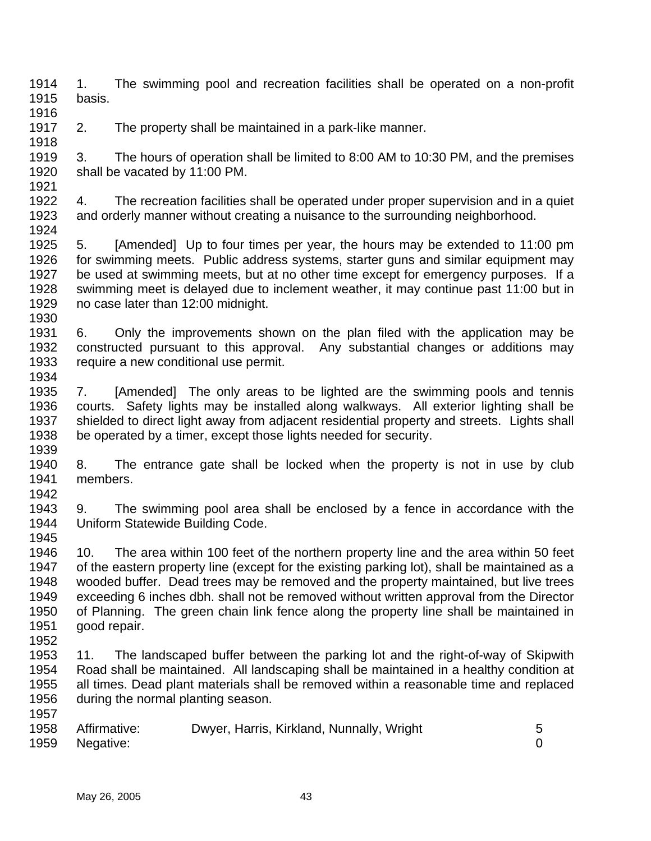1914 1915 1. The swimming pool and recreation facilities shall be operated on a non-profit basis.

1917 2. The property shall be maintained in a park-like manner.

1919 1920 1921 3. The hours of operation shall be limited to 8:00 AM to 10:30 PM, and the premises shall be vacated by 11:00 PM.

1922 1923 1924 4. The recreation facilities shall be operated under proper supervision and in a quiet and orderly manner without creating a nuisance to the surrounding neighborhood.

1925 1926 1927 1928 1929 5. [Amended] Up to four times per year, the hours may be extended to 11:00 pm for swimming meets. Public address systems, starter guns and similar equipment may be used at swimming meets, but at no other time except for emergency purposes. If a swimming meet is delayed due to inclement weather, it may continue past 11:00 but in no case later than 12:00 midnight.

- 1931 1932 1933 1934 6. Only the improvements shown on the plan filed with the application may be constructed pursuant to this approval. Any substantial changes or additions may require a new conditional use permit.
- 1935 1936 1937 1938 1939 7. [Amended] The only areas to be lighted are the swimming pools and tennis courts. Safety lights may be installed along walkways. All exterior lighting shall be shielded to direct light away from adjacent residential property and streets. Lights shall be operated by a timer, except those lights needed for security.
- 1940 1941 1942 8. The entrance gate shall be locked when the property is not in use by club members.
- 1943 1944 1945 9. The swimming pool area shall be enclosed by a fence in accordance with the Uniform Statewide Building Code.
- 1946 1947 1948 1949 1950 1951 10. The area within 100 feet of the northern property line and the area within 50 feet of the eastern property line (except for the existing parking lot), shall be maintained as a wooded buffer. Dead trees may be removed and the property maintained, but live trees exceeding 6 inches dbh. shall not be removed without written approval from the Director of Planning. The green chain link fence along the property line shall be maintained in good repair.
- 1952

1916

1918

- 1953 1954 1955 1956 1957 11. The landscaped buffer between the parking lot and the right-of-way of Skipwith Road shall be maintained. All landscaping shall be maintained in a healthy condition at all times. Dead plant materials shall be removed within a reasonable time and replaced during the normal planting season.
- 1958 1959 Affirmative: Dwyer, Harris, Kirkland, Nunnally, Wright 5 Negative: 0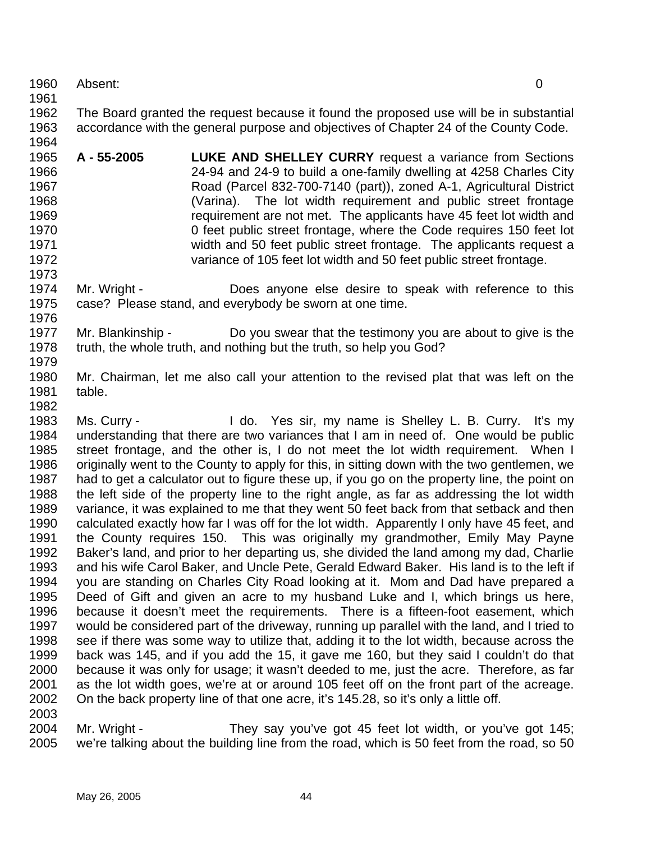1960 Absent: 0

1961

1973

1962 1963 1964 The Board granted the request because it found the proposed use will be in substantial accordance with the general purpose and objectives of Chapter 24 of the County Code.

- 1965 1966 1967 1968 1969 1970 1971 1972 **A - 55-2005 LUKE AND SHELLEY CURRY** request a variance from Sections 24-94 and 24-9 to build a one-family dwelling at 4258 Charles City Road (Parcel 832-700-7140 (part)), zoned A-1, Agricultural District (Varina). The lot width requirement and public street frontage requirement are not met. The applicants have 45 feet lot width and 0 feet public street frontage, where the Code requires 150 feet lot width and 50 feet public street frontage. The applicants request a variance of 105 feet lot width and 50 feet public street frontage.
- 1974 1975 1976 Mr. Wright - Does anyone else desire to speak with reference to this case? Please stand, and everybody be sworn at one time.
- 1977 1978 1979 Mr. Blankinship - Do you swear that the testimony you are about to give is the truth, the whole truth, and nothing but the truth, so help you God?
- 1980 1981 1982 Mr. Chairman, let me also call your attention to the revised plat that was left on the table.
- 1983 1984 1985 1986 1987 1988 1989 1990 1991 1992 1993 1994 1995 1996 1997 1998 1999 2000 2001 2002 2003 Ms. Curry - The Curry - I do. Yes sir, my name is Shelley L. B. Curry. It's my understanding that there are two variances that I am in need of. One would be public street frontage, and the other is, I do not meet the lot width requirement. When I originally went to the County to apply for this, in sitting down with the two gentlemen, we had to get a calculator out to figure these up, if you go on the property line, the point on the left side of the property line to the right angle, as far as addressing the lot width variance, it was explained to me that they went 50 feet back from that setback and then calculated exactly how far I was off for the lot width. Apparently I only have 45 feet, and the County requires 150. This was originally my grandmother, Emily May Payne Baker's land, and prior to her departing us, she divided the land among my dad, Charlie and his wife Carol Baker, and Uncle Pete, Gerald Edward Baker. His land is to the left if you are standing on Charles City Road looking at it. Mom and Dad have prepared a Deed of Gift and given an acre to my husband Luke and I, which brings us here, because it doesn't meet the requirements. There is a fifteen-foot easement, which would be considered part of the driveway, running up parallel with the land, and I tried to see if there was some way to utilize that, adding it to the lot width, because across the back was 145, and if you add the 15, it gave me 160, but they said I couldn't do that because it was only for usage; it wasn't deeded to me, just the acre. Therefore, as far as the lot width goes, we're at or around 105 feet off on the front part of the acreage. On the back property line of that one acre, it's 145.28, so it's only a little off.
- 2004 2005 Mr. Wright - They say you've got 45 feet lot width, or you've got 145; we're talking about the building line from the road, which is 50 feet from the road, so 50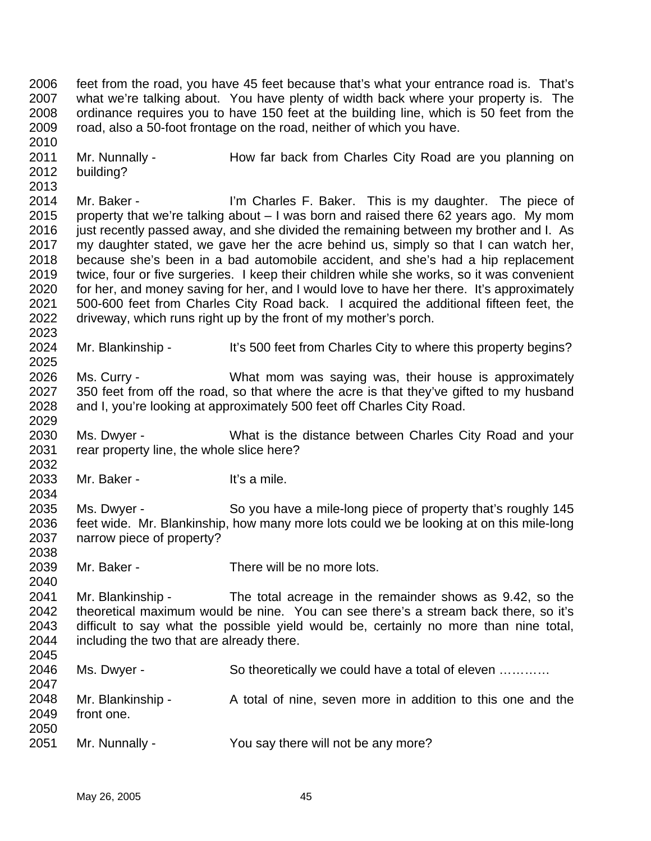2006 2007 2008 2009 2010 2011 2012 2013 2014 2015 2016 2017 2018 2019 2020 2021 2022 2023 2024 2025 2026 2027 2028 2029 2030 2031 2032 2033 2034 2035 2036 2037 2038 2039 2040 2041 2042 2043 2044 2045 2046 2047 2048 2049 2050 2051 feet from the road, you have 45 feet because that's what your entrance road is. That's what we're talking about. You have plenty of width back where your property is. The ordinance requires you to have 150 feet at the building line, which is 50 feet from the road, also a 50-foot frontage on the road, neither of which you have. Mr. Nunnally - How far back from Charles City Road are you planning on building? Mr. Baker - I'm Charles F. Baker. This is my daughter. The piece of property that we're talking about – I was born and raised there 62 years ago. My mom just recently passed away, and she divided the remaining between my brother and I. As my daughter stated, we gave her the acre behind us, simply so that I can watch her, because she's been in a bad automobile accident, and she's had a hip replacement twice, four or five surgeries. I keep their children while she works, so it was convenient for her, and money saving for her, and I would love to have her there. It's approximately 500-600 feet from Charles City Road back. I acquired the additional fifteen feet, the driveway, which runs right up by the front of my mother's porch. Mr. Blankinship - It's 500 feet from Charles City to where this property begins? Ms. Curry - The Must mom was saying was, their house is approximately 350 feet from off the road, so that where the acre is that they've gifted to my husband and I, you're looking at approximately 500 feet off Charles City Road. Ms. Dwyer - What is the distance between Charles City Road and your rear property line, the whole slice here? Mr. Baker - It's a mile. Ms. Dwyer - So you have a mile-long piece of property that's roughly 145 feet wide. Mr. Blankinship, how many more lots could we be looking at on this mile-long narrow piece of property? Mr. Baker - There will be no more lots. Mr. Blankinship - The total acreage in the remainder shows as 9.42, so the theoretical maximum would be nine. You can see there's a stream back there, so it's difficult to say what the possible yield would be, certainly no more than nine total, including the two that are already there. Ms. Dwyer - So theoretically we could have a total of eleven ............ Mr. Blankinship - A total of nine, seven more in addition to this one and the front one. Mr. Nunnally - The You say there will not be any more?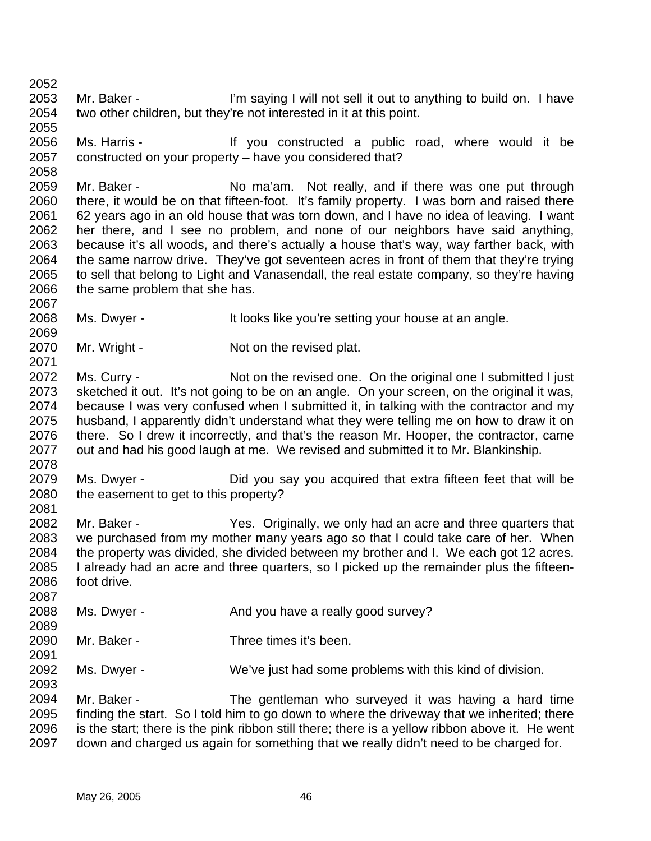2052 2053 2054 2055 Mr. Baker - I'm saying I will not sell it out to anything to build on. I have two other children, but they're not interested in it at this point.

2056 2057 2058 Ms. Harris - The Music of the Vou constructed a public road, where would it be constructed on your property – have you considered that?

2059 2060 2061 2062 2063 2064 2065 2066 Mr. Baker - No ma'am. Not really, and if there was one put through there, it would be on that fifteen-foot. It's family property. I was born and raised there 62 years ago in an old house that was torn down, and I have no idea of leaving. I want her there, and I see no problem, and none of our neighbors have said anything, because it's all woods, and there's actually a house that's way, way farther back, with the same narrow drive. They've got seventeen acres in front of them that they're trying to sell that belong to Light and Vanasendall, the real estate company, so they're having the same problem that she has.

2068 Ms. Dwyer - The It looks like you're setting your house at an angle.

2070 Mr. Wright - Not on the revised plat.

2072 2073 2074 2075 2076 2077 Ms. Curry - Not on the revised one. On the original one I submitted I just sketched it out. It's not going to be on an angle. On your screen, on the original it was, because I was very confused when I submitted it, in talking with the contractor and my husband, I apparently didn't understand what they were telling me on how to draw it on there. So I drew it incorrectly, and that's the reason Mr. Hooper, the contractor, came out and had his good laugh at me. We revised and submitted it to Mr. Blankinship.

2079 2080 2081 Ms. Dwyer - Did you say you acquired that extra fifteen feet that will be the easement to get to this property?

2082 2083 2084 2085 2086 Mr. Baker - The Yes. Originally, we only had an acre and three quarters that we purchased from my mother many years ago so that I could take care of her. When the property was divided, she divided between my brother and I. We each got 12 acres. I already had an acre and three quarters, so I picked up the remainder plus the fifteenfoot drive.

2088 2089 Ms. Dwyer - And you have a really good survey?

2090 Mr. Baker - Three times it's been.

2092 Ms. Dwyer - We've just had some problems with this kind of division.

2094 2095 2096 2097 Mr. Baker - The gentleman who surveyed it was having a hard time finding the start. So I told him to go down to where the driveway that we inherited; there is the start; there is the pink ribbon still there; there is a yellow ribbon above it. He went down and charged us again for something that we really didn't need to be charged for.

2067

2069

2071

2078

2087

2091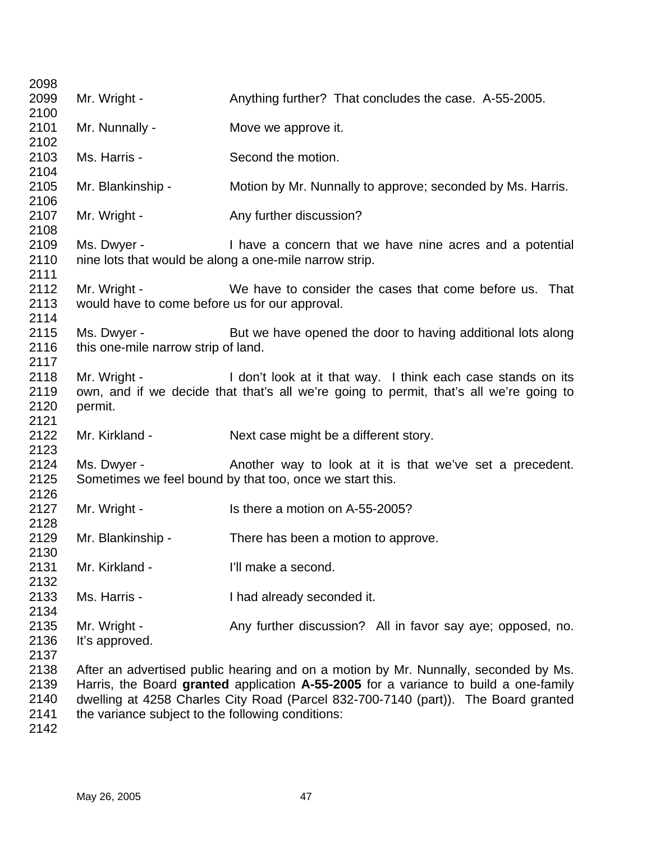| 2098 |                                                   |                                                                                        |
|------|---------------------------------------------------|----------------------------------------------------------------------------------------|
| 2099 | Mr. Wright -                                      | Anything further? That concludes the case. A-55-2005.                                  |
| 2100 |                                                   |                                                                                        |
| 2101 | Mr. Nunnally -                                    | Move we approve it.                                                                    |
| 2102 |                                                   |                                                                                        |
| 2103 | Ms. Harris -                                      | Second the motion.                                                                     |
| 2104 |                                                   |                                                                                        |
| 2105 | Mr. Blankinship -                                 | Motion by Mr. Nunnally to approve; seconded by Ms. Harris.                             |
| 2106 |                                                   |                                                                                        |
| 2107 | Mr. Wright -                                      | Any further discussion?                                                                |
| 2108 |                                                   |                                                                                        |
| 2109 | Ms. Dwyer -                                       | I have a concern that we have nine acres and a potential                               |
| 2110 |                                                   | nine lots that would be along a one-mile narrow strip.                                 |
| 2111 |                                                   |                                                                                        |
| 2112 | Mr. Wright -                                      | We have to consider the cases that come before us. That                                |
| 2113 | would have to come before us for our approval.    |                                                                                        |
| 2114 |                                                   |                                                                                        |
| 2115 | Ms. Dwyer -                                       | But we have opened the door to having additional lots along                            |
| 2116 | this one-mile narrow strip of land.               |                                                                                        |
| 2117 |                                                   |                                                                                        |
| 2118 | Mr. Wright -                                      | I don't look at it that way. I think each case stands on its                           |
| 2119 |                                                   | own, and if we decide that that's all we're going to permit, that's all we're going to |
| 2120 | permit.                                           |                                                                                        |
| 2121 |                                                   |                                                                                        |
| 2122 | Mr. Kirkland -                                    | Next case might be a different story.                                                  |
| 2123 |                                                   |                                                                                        |
| 2124 | Ms. Dwyer -                                       | Another way to look at it is that we've set a precedent.                               |
| 2125 |                                                   | Sometimes we feel bound by that too, once we start this.                               |
| 2126 |                                                   |                                                                                        |
| 2127 | Mr. Wright -                                      | Is there a motion on A-55-2005?                                                        |
| 2128 |                                                   |                                                                                        |
| 2129 | Mr. Blankinship -                                 | There has been a motion to approve.                                                    |
| 2130 |                                                   |                                                                                        |
| 2131 | Mr. Kirkland -                                    | I'll make a second.                                                                    |
| 2132 |                                                   |                                                                                        |
| 2133 | Ms. Harris -                                      | I had already seconded it.                                                             |
| 2134 |                                                   |                                                                                        |
| 2135 | Mr. Wright -                                      | Any further discussion? All in favor say aye; opposed, no.                             |
| 2136 | It's approved.                                    |                                                                                        |
| 2137 |                                                   |                                                                                        |
| 2138 |                                                   | After an advertised public hearing and on a motion by Mr. Nunnally, seconded by Ms.    |
| 2139 |                                                   | Harris, the Board granted application A-55-2005 for a variance to build a one-family   |
| 2140 |                                                   | dwelling at 4258 Charles City Road (Parcel 832-700-7140 (part)). The Board granted     |
| 2141 | the variance subject to the following conditions: |                                                                                        |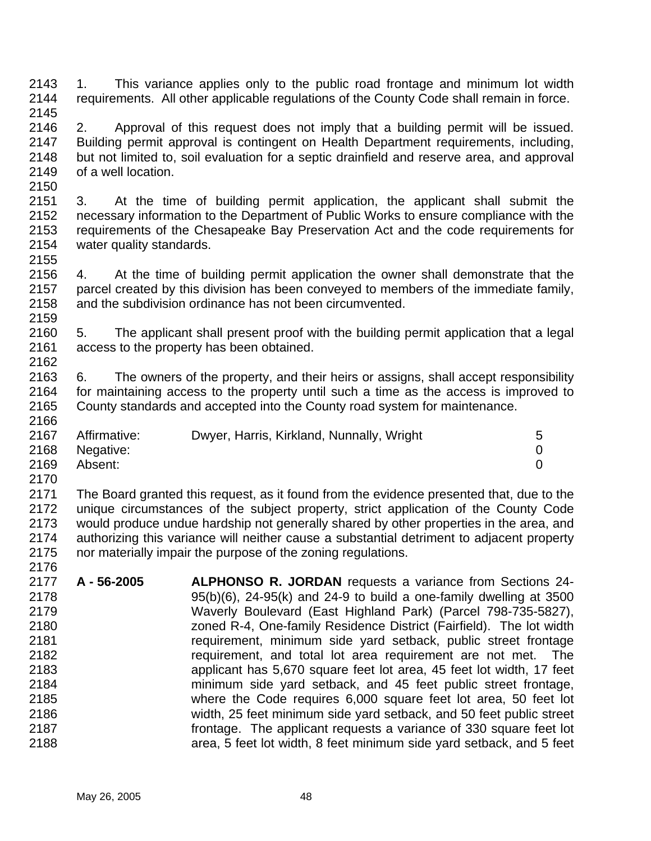2143 2144 2145 1. This variance applies only to the public road frontage and minimum lot width requirements. All other applicable regulations of the County Code shall remain in force.

- 2146 2147 2148 2149 2150 2. Approval of this request does not imply that a building permit will be issued. Building permit approval is contingent on Health Department requirements, including, but not limited to, soil evaluation for a septic drainfield and reserve area, and approval of a well location.
- 2151 2152 2153 2154 2155 3. At the time of building permit application, the applicant shall submit the necessary information to the Department of Public Works to ensure compliance with the requirements of the Chesapeake Bay Preservation Act and the code requirements for water quality standards.
- 2156 2157 2158 2159 4. At the time of building permit application the owner shall demonstrate that the parcel created by this division has been conveyed to members of the immediate family, and the subdivision ordinance has not been circumvented.
- 2160 2161 2162 5. The applicant shall present proof with the building permit application that a legal access to the property has been obtained.
- 2163 2164 2165 2166 6. The owners of the property, and their heirs or assigns, shall accept responsibility for maintaining access to the property until such a time as the access is improved to County standards and accepted into the County road system for maintenance.

| 2167 | Affirmative: | Dwyer, Harris, Kirkland, Nunnally, Wright | 5 |
|------|--------------|-------------------------------------------|---|
| 2168 | Negative:    |                                           |   |
| 2169 | Absent:      |                                           |   |
| 2170 |              |                                           |   |

2171 2172 2173 2174 2175 The Board granted this request, as it found from the evidence presented that, due to the unique circumstances of the subject property, strict application of the County Code would produce undue hardship not generally shared by other properties in the area, and authorizing this variance will neither cause a substantial detriment to adjacent property nor materially impair the purpose of the zoning regulations.

2177 2178 2179 2180 2181 2182 2183 2184 2185 2186 2187 2188 **A - 56-2005 ALPHONSO R. JORDAN** requests a variance from Sections 24- 95(b)(6), 24-95(k) and 24-9 to build a one-family dwelling at 3500 Waverly Boulevard (East Highland Park) (Parcel 798-735-5827), zoned R-4, One-family Residence District (Fairfield). The lot width requirement, minimum side yard setback, public street frontage requirement, and total lot area requirement are not met. The applicant has 5,670 square feet lot area, 45 feet lot width, 17 feet minimum side yard setback, and 45 feet public street frontage, where the Code requires 6,000 square feet lot area, 50 feet lot width, 25 feet minimum side yard setback, and 50 feet public street frontage. The applicant requests a variance of 330 square feet lot area, 5 feet lot width, 8 feet minimum side yard setback, and 5 feet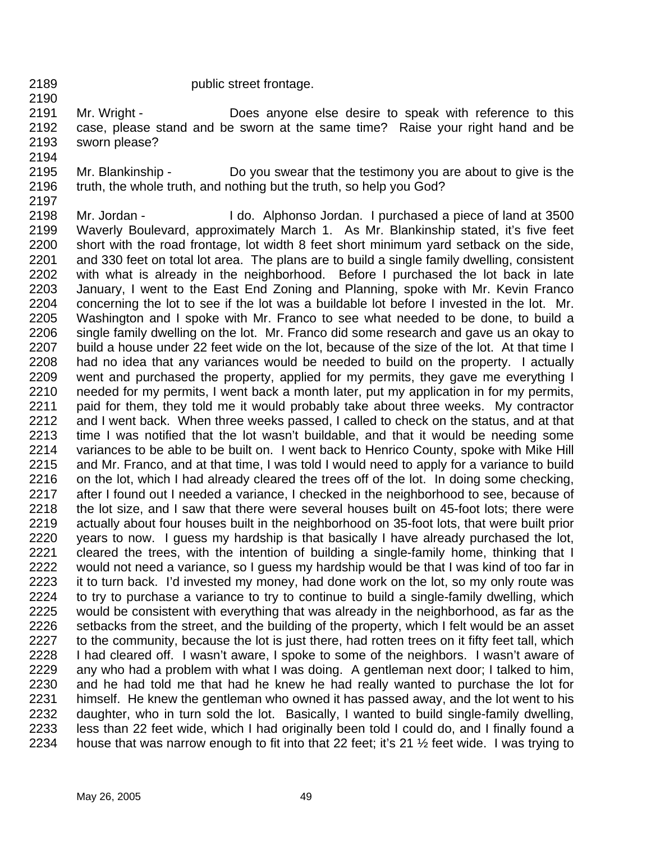2189 2190 public street frontage.

2191 2192 2193 Mr. Wright - **Does** anyone else desire to speak with reference to this case, please stand and be sworn at the same time? Raise your right hand and be sworn please?

- 2194 2195 2196 Mr. Blankinship - Do you swear that the testimony you are about to give is the truth, the whole truth, and nothing but the truth, so help you God?
- 2197 2198 2199 2200 2201 2202 2203 2204 2205 2206 2207 2208 2209 2210 2211 2212 2213 2214 2215 2216 2217 2218 2219 2220 2221 2222 2223 2224 2225 2226 2227 2228 2229 2230 2231 2232 2233 2234 Mr. Jordan - I do. Alphonso Jordan. I purchased a piece of land at 3500 Waverly Boulevard, approximately March 1. As Mr. Blankinship stated, it's five feet short with the road frontage, lot width 8 feet short minimum yard setback on the side, and 330 feet on total lot area. The plans are to build a single family dwelling, consistent with what is already in the neighborhood. Before I purchased the lot back in late January, I went to the East End Zoning and Planning, spoke with Mr. Kevin Franco concerning the lot to see if the lot was a buildable lot before I invested in the lot. Mr. Washington and I spoke with Mr. Franco to see what needed to be done, to build a single family dwelling on the lot. Mr. Franco did some research and gave us an okay to build a house under 22 feet wide on the lot, because of the size of the lot. At that time I had no idea that any variances would be needed to build on the property. I actually went and purchased the property, applied for my permits, they gave me everything I needed for my permits, I went back a month later, put my application in for my permits, paid for them, they told me it would probably take about three weeks. My contractor and I went back. When three weeks passed, I called to check on the status, and at that time I was notified that the lot wasn't buildable, and that it would be needing some variances to be able to be built on. I went back to Henrico County, spoke with Mike Hill and Mr. Franco, and at that time, I was told I would need to apply for a variance to build on the lot, which I had already cleared the trees off of the lot. In doing some checking, after I found out I needed a variance, I checked in the neighborhood to see, because of the lot size, and I saw that there were several houses built on 45-foot lots; there were actually about four houses built in the neighborhood on 35-foot lots, that were built prior years to now. I guess my hardship is that basically I have already purchased the lot, cleared the trees, with the intention of building a single-family home, thinking that I would not need a variance, so I guess my hardship would be that I was kind of too far in it to turn back. I'd invested my money, had done work on the lot, so my only route was to try to purchase a variance to try to continue to build a single-family dwelling, which would be consistent with everything that was already in the neighborhood, as far as the setbacks from the street, and the building of the property, which I felt would be an asset to the community, because the lot is just there, had rotten trees on it fifty feet tall, which I had cleared off. I wasn't aware, I spoke to some of the neighbors. I wasn't aware of any who had a problem with what I was doing. A gentleman next door; I talked to him, and he had told me that had he knew he had really wanted to purchase the lot for himself. He knew the gentleman who owned it has passed away, and the lot went to his daughter, who in turn sold the lot. Basically, I wanted to build single-family dwelling, less than 22 feet wide, which I had originally been told I could do, and I finally found a house that was narrow enough to fit into that 22 feet; it's 21 ½ feet wide. I was trying to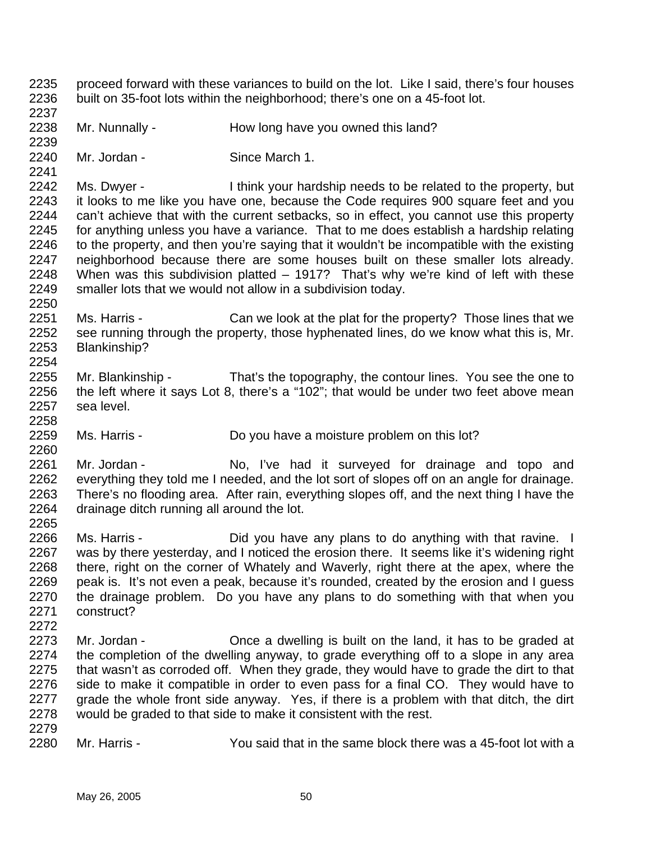2239 2240 2241 2242 2243 2244 2245 2246 2247 2248 2249 2250 2251 2252 2253 2254 2255 2256 2257 2258 2259 2260 2261 2262 2263 2264 2265 2266 2267 2268 2269 2270 2271 2272 2273 2274 2275 2276 2277 2278 2279 2280 Mr. Nunnally - How long have you owned this land? Mr. Jordan - Since March 1. Ms. Dwyer - I think your hardship needs to be related to the property, but it looks to me like you have one, because the Code requires 900 square feet and you can't achieve that with the current setbacks, so in effect, you cannot use this property for anything unless you have a variance. That to me does establish a hardship relating to the property, and then you're saying that it wouldn't be incompatible with the existing neighborhood because there are some houses built on these smaller lots already. When was this subdivision platted – 1917? That's why we're kind of left with these smaller lots that we would not allow in a subdivision today. Ms. Harris - Can we look at the plat for the property? Those lines that we see running through the property, those hyphenated lines, do we know what this is, Mr. Blankinship? Mr. Blankinship - That's the topography, the contour lines. You see the one to the left where it says Lot 8, there's a "102"; that would be under two feet above mean sea level. Ms. Harris - Do you have a moisture problem on this lot? Mr. Jordan - The No, I've had it surveyed for drainage and topo and everything they told me I needed, and the lot sort of slopes off on an angle for drainage. There's no flooding area. After rain, everything slopes off, and the next thing I have the drainage ditch running all around the lot. Ms. Harris - The Did you have any plans to do anything with that ravine. I was by there yesterday, and I noticed the erosion there. It seems like it's widening right there, right on the corner of Whately and Waverly, right there at the apex, where the peak is. It's not even a peak, because it's rounded, created by the erosion and I guess the drainage problem. Do you have any plans to do something with that when you construct? Mr. Jordan - Once a dwelling is built on the land, it has to be graded at the completion of the dwelling anyway, to grade everything off to a slope in any area that wasn't as corroded off. When they grade, they would have to grade the dirt to that side to make it compatible in order to even pass for a final CO. They would have to grade the whole front side anyway. Yes, if there is a problem with that ditch, the dirt would be graded to that side to make it consistent with the rest. Mr. Harris - You said that in the same block there was a 45-foot lot with a

proceed forward with these variances to build on the lot. Like I said, there's four houses

built on 35-foot lots within the neighborhood; there's one on a 45-foot lot.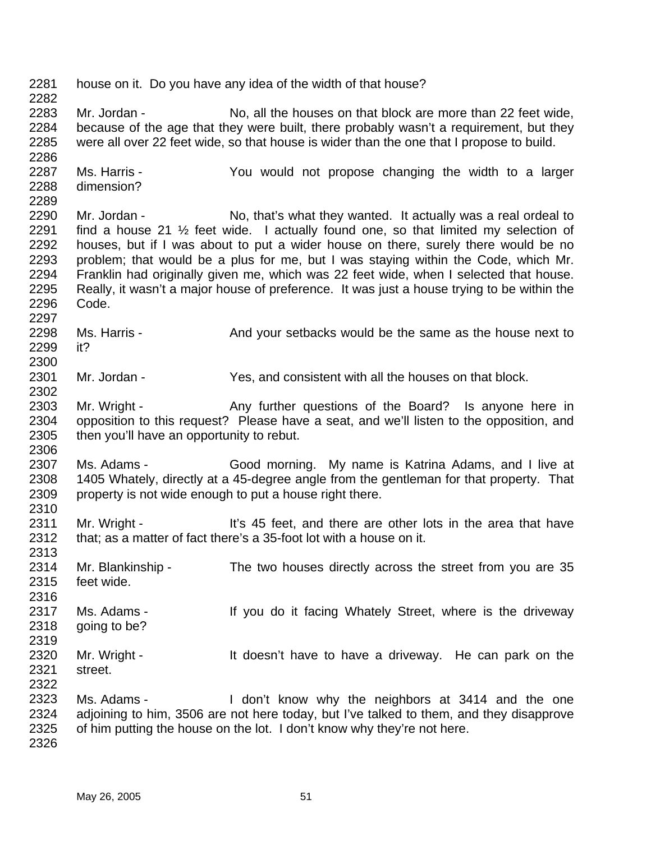2281 2282 2283 2284 2285 2286 2287 2288 2289 2290 2291 2292 2293 2294 2295 2296 2297 2298 2299 2300 2301 2302 2303 2304 2305 2306 2307 2308 2309 2310 2311 2312 2313 2314 2315 2316 2317 2318 2319 2320 2321 2322 2323 2324 2325 2326 house on it. Do you have any idea of the width of that house? Mr. Jordan - No, all the houses on that block are more than 22 feet wide, because of the age that they were built, there probably wasn't a requirement, but they were all over 22 feet wide, so that house is wider than the one that I propose to build. Ms. Harris - The You would not propose changing the width to a larger dimension? Mr. Jordan - No, that's what they wanted. It actually was a real ordeal to find a house 21 ½ feet wide. I actually found one, so that limited my selection of houses, but if I was about to put a wider house on there, surely there would be no problem; that would be a plus for me, but I was staying within the Code, which Mr. Franklin had originally given me, which was 22 feet wide, when I selected that house. Really, it wasn't a major house of preference. It was just a house trying to be within the Code. Ms. Harris - And your setbacks would be the same as the house next to it? Mr. Jordan - Yes, and consistent with all the houses on that block. Mr. Wright - The Any further questions of the Board? Is anyone here in opposition to this request? Please have a seat, and we'll listen to the opposition, and then you'll have an opportunity to rebut. Ms. Adams - Good morning. My name is Katrina Adams, and I live at 1405 Whately, directly at a 45-degree angle from the gentleman for that property. That property is not wide enough to put a house right there. Mr. Wright - It's 45 feet, and there are other lots in the area that have that; as a matter of fact there's a 35-foot lot with a house on it. Mr. Blankinship - The two houses directly across the street from you are 35 feet wide. Ms. Adams - If you do it facing Whately Street, where is the driveway going to be? Mr. Wright - The Muslim of the doesn't have to have a driveway. He can park on the street. Ms. Adams - I don't know why the neighbors at 3414 and the one adjoining to him, 3506 are not here today, but I've talked to them, and they disapprove of him putting the house on the lot. I don't know why they're not here.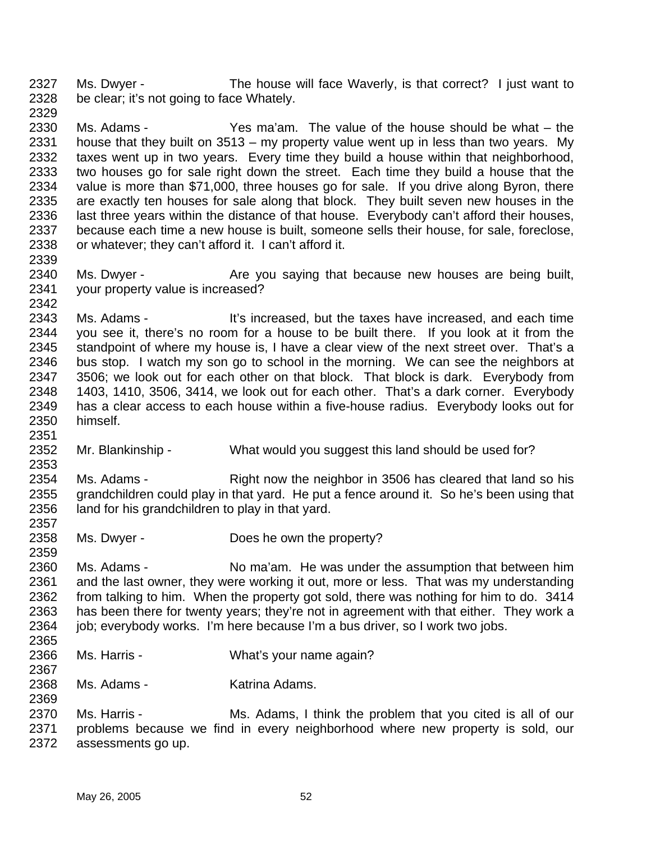2327 2328 2329 Ms. Dwyer - The house will face Waverly, is that correct? I just want to be clear; it's not going to face Whately.

2330 2331 2332 2333 2334 2335 2336 2337 2338 Ms. Adams - Yes ma'am. The value of the house should be what – the house that they built on 3513 – my property value went up in less than two years. My taxes went up in two years. Every time they build a house within that neighborhood, two houses go for sale right down the street. Each time they build a house that the value is more than \$71,000, three houses go for sale. If you drive along Byron, there are exactly ten houses for sale along that block. They built seven new houses in the last three years within the distance of that house. Everybody can't afford their houses, because each time a new house is built, someone sells their house, for sale, foreclose, or whatever; they can't afford it. I can't afford it.

2340 2341 Ms. Dwyer - The Are you saying that because new houses are being built, your property value is increased?

2343 2344 2345 2346 2347 2348 2349 2350 Ms. Adams - It's increased, but the taxes have increased, and each time you see it, there's no room for a house to be built there. If you look at it from the standpoint of where my house is, I have a clear view of the next street over. That's a bus stop. I watch my son go to school in the morning. We can see the neighbors at 3506; we look out for each other on that block. That block is dark. Everybody from 1403, 1410, 3506, 3414, we look out for each other. That's a dark corner. Everybody has a clear access to each house within a five-house radius. Everybody looks out for himself.

2352 Mr. Blankinship - What would you suggest this land should be used for?

2354 2355 2356 Ms. Adams - Right now the neighbor in 3506 has cleared that land so his grandchildren could play in that yard. He put a fence around it. So he's been using that land for his grandchildren to play in that yard.

2358 Ms. Dwyer - Does he own the property?

2360 2361 2362 2363 2364 2365 Ms. Adams - No ma'am. He was under the assumption that between him and the last owner, they were working it out, more or less. That was my understanding from talking to him. When the property got sold, there was nothing for him to do. 3414 has been there for twenty years; they're not in agreement with that either. They work a job; everybody works. I'm here because I'm a bus driver, so I work two jobs.

2366 Ms. Harris - What's your name again?

2368 Ms. Adams - Katrina Adams.

2370 2371 2372 Ms. Harris - Ms. Adams, I think the problem that you cited is all of our problems because we find in every neighborhood where new property is sold, our assessments go up.

2339

2342

2351

2353

2357

2359

2367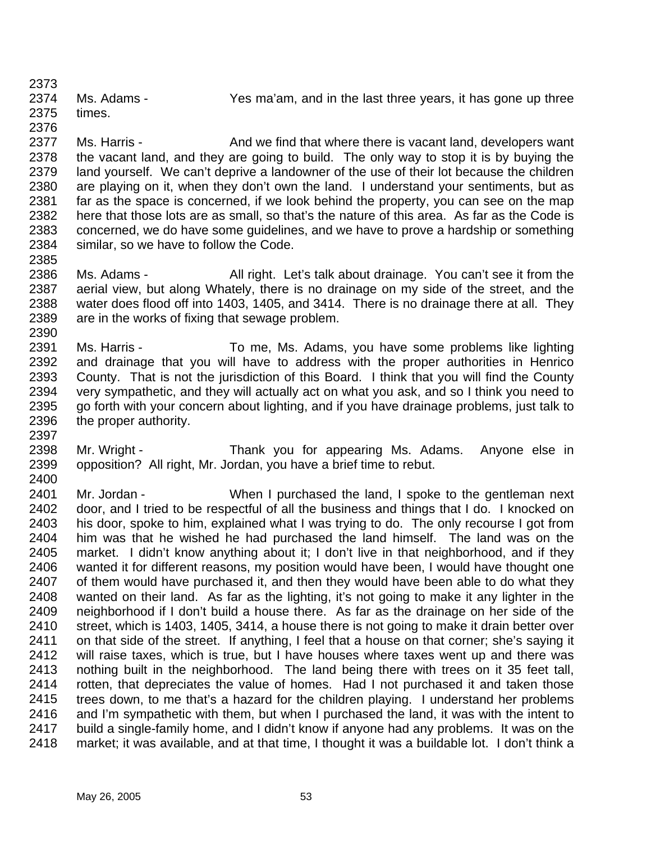2373 2374 2375 Ms. Adams - The Yes ma'am, and in the last three years, it has gone up three times.

2376 2377 2378 2379 2380 2381 2382 2383 2384 Ms. Harris - And we find that where there is vacant land, developers want the vacant land, and they are going to build. The only way to stop it is by buying the land yourself. We can't deprive a landowner of the use of their lot because the children are playing on it, when they don't own the land. I understand your sentiments, but as far as the space is concerned, if we look behind the property, you can see on the map here that those lots are as small, so that's the nature of this area. As far as the Code is concerned, we do have some guidelines, and we have to prove a hardship or something similar, so we have to follow the Code.

- 2386 2387 2388 2389 Ms. Adams - All right. Let's talk about drainage. You can't see it from the aerial view, but along Whately, there is no drainage on my side of the street, and the water does flood off into 1403, 1405, and 3414. There is no drainage there at all. They are in the works of fixing that sewage problem.
- 2391 2392 2393 2394 2395 2396 Ms. Harris - To me, Ms. Adams, you have some problems like lighting and drainage that you will have to address with the proper authorities in Henrico County. That is not the jurisdiction of this Board. I think that you will find the County very sympathetic, and they will actually act on what you ask, and so I think you need to go forth with your concern about lighting, and if you have drainage problems, just talk to the proper authority.
- 2398 2399 Mr. Wright - Thank you for appearing Ms. Adams. Anyone else in opposition? All right, Mr. Jordan, you have a brief time to rebut.
- 2400 2401 2402 2403 2404 2405 2406 2407 2408 2409 2410 2411 2412 2413 2414 2415 2416 2417 2418 Mr. Jordan - When I purchased the land, I spoke to the gentleman next door, and I tried to be respectful of all the business and things that I do. I knocked on his door, spoke to him, explained what I was trying to do. The only recourse I got from him was that he wished he had purchased the land himself. The land was on the market. I didn't know anything about it; I don't live in that neighborhood, and if they wanted it for different reasons, my position would have been, I would have thought one of them would have purchased it, and then they would have been able to do what they wanted on their land. As far as the lighting, it's not going to make it any lighter in the neighborhood if I don't build a house there. As far as the drainage on her side of the street, which is 1403, 1405, 3414, a house there is not going to make it drain better over on that side of the street. If anything, I feel that a house on that corner; she's saying it will raise taxes, which is true, but I have houses where taxes went up and there was nothing built in the neighborhood. The land being there with trees on it 35 feet tall, rotten, that depreciates the value of homes. Had I not purchased it and taken those trees down, to me that's a hazard for the children playing. I understand her problems and I'm sympathetic with them, but when I purchased the land, it was with the intent to build a single-family home, and I didn't know if anyone had any problems. It was on the market; it was available, and at that time, I thought it was a buildable lot. I don't think a

2385

2390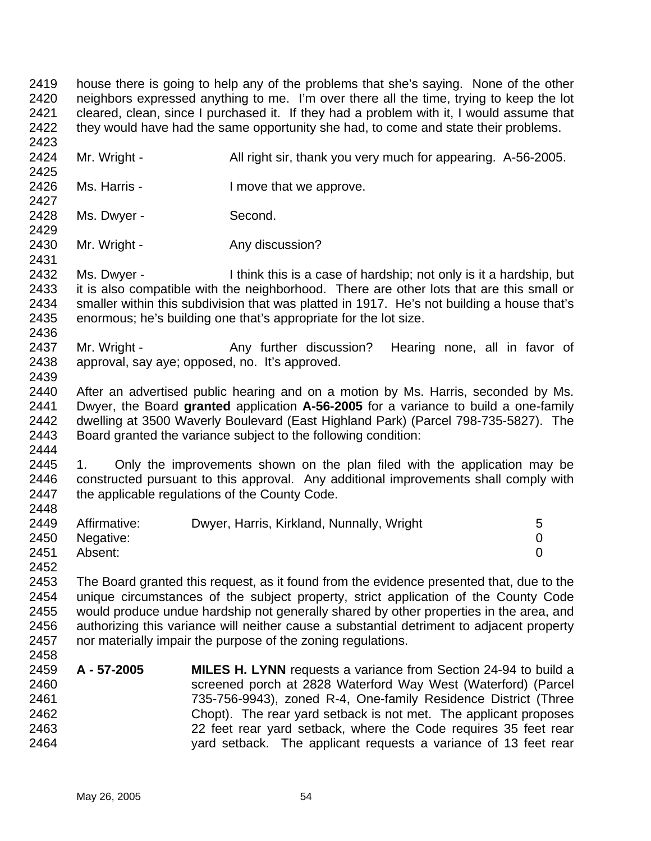2419 2420 2421 2422 2423 house there is going to help any of the problems that she's saying. None of the other neighbors expressed anything to me. I'm over there all the time, trying to keep the lot cleared, clean, since I purchased it. If they had a problem with it, I would assume that they would have had the same opportunity she had, to come and state their problems.

- 2424 Mr. Wright - All right sir, thank you very much for appearing. A-56-2005.
- 2426 Ms. Harris - The Music Henry I move that we approve.
- 2428 Ms. Dwyer - Second.

2425

2427

2429

2431

2439

2444

2452

- 2430 Mr. Wright - Any discussion?
- 2432 2433 2434 2435 2436 Ms. Dwyer - I think this is a case of hardship; not only is it a hardship, but it is also compatible with the neighborhood. There are other lots that are this small or smaller within this subdivision that was platted in 1917. He's not building a house that's enormous; he's building one that's appropriate for the lot size.
- 2437 2438 Mr. Wright - Any further discussion? Hearing none, all in favor of approval, say aye; opposed, no. It's approved.
- 2440 2441 2442 2443 After an advertised public hearing and on a motion by Ms. Harris, seconded by Ms. Dwyer, the Board **granted** application **A-56-2005** for a variance to build a one-family dwelling at 3500 Waverly Boulevard (East Highland Park) (Parcel 798-735-5827). The Board granted the variance subject to the following condition:
- 2445 2446 2447 2448 1. Only the improvements shown on the plan filed with the application may be constructed pursuant to this approval. Any additional improvements shall comply with the applicable regulations of the County Code.

|      | 2449 Affirmative: | Dwyer, Harris, Kirkland, Nunnally, Wright |  |
|------|-------------------|-------------------------------------------|--|
|      | 2450 Negative:    |                                           |  |
| 2451 | Absent:           |                                           |  |

2453 2454 2455 2456 2457 2458 The Board granted this request, as it found from the evidence presented that, due to the unique circumstances of the subject property, strict application of the County Code would produce undue hardship not generally shared by other properties in the area, and authorizing this variance will neither cause a substantial detriment to adjacent property nor materially impair the purpose of the zoning regulations.

2459 2460 2461 2462 2463 2464 **A - 57-2005 MILES H. LYNN** requests a variance from Section 24-94 to build a screened porch at 2828 Waterford Way West (Waterford) (Parcel 735-756-9943), zoned R-4, One-family Residence District (Three Chopt). The rear yard setback is not met. The applicant proposes 22 feet rear yard setback, where the Code requires 35 feet rear yard setback. The applicant requests a variance of 13 feet rear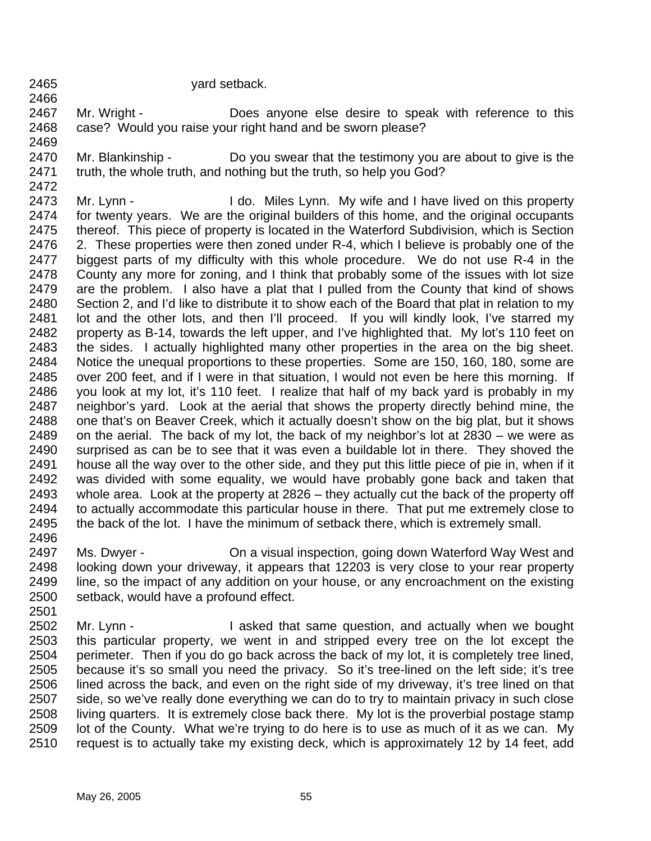2465 2466 yard setback.

2467 2468 Mr. Wright - **Does anyone else desire to speak with reference to this** case? Would you raise your right hand and be sworn please?

- 2469
- 2470 2471 Mr. Blankinship - Do you swear that the testimony you are about to give is the truth, the whole truth, and nothing but the truth, so help you God?
- 2472

2473 2474 2475 2476 2477 2478 2479 2480 2481 2482 2483 2484 2485 2486 2487 2488 2489 2490 2491 2492 2493 2494 2495 2496 Mr. Lynn - I do. Miles Lynn. My wife and I have lived on this property for twenty years. We are the original builders of this home, and the original occupants thereof. This piece of property is located in the Waterford Subdivision, which is Section 2. These properties were then zoned under R-4, which I believe is probably one of the biggest parts of my difficulty with this whole procedure. We do not use R-4 in the County any more for zoning, and I think that probably some of the issues with lot size are the problem. I also have a plat that I pulled from the County that kind of shows Section 2, and I'd like to distribute it to show each of the Board that plat in relation to my lot and the other lots, and then I'll proceed. If you will kindly look, I've starred my property as B-14, towards the left upper, and I've highlighted that. My lot's 110 feet on the sides. I actually highlighted many other properties in the area on the big sheet. Notice the unequal proportions to these properties. Some are 150, 160, 180, some are over 200 feet, and if I were in that situation, I would not even be here this morning. If you look at my lot, it's 110 feet. I realize that half of my back yard is probably in my neighbor's yard. Look at the aerial that shows the property directly behind mine, the one that's on Beaver Creek, which it actually doesn't show on the big plat, but it shows on the aerial. The back of my lot, the back of my neighbor's lot at 2830 – we were as surprised as can be to see that it was even a buildable lot in there. They shoved the house all the way over to the other side, and they put this little piece of pie in, when if it was divided with some equality, we would have probably gone back and taken that whole area. Look at the property at 2826 – they actually cut the back of the property off to actually accommodate this particular house in there. That put me extremely close to the back of the lot. I have the minimum of setback there, which is extremely small.

- 2497 2498 2499 2500 Ms. Dwyer - **Come and Strate and Strate Inspection**, going down Waterford Way West and looking down your driveway, it appears that 12203 is very close to your rear property line, so the impact of any addition on your house, or any encroachment on the existing setback, would have a profound effect.
- 2501 2502 2503 2504 2505 2506 2507 2508 2509 2510 Mr. Lynn - I asked that same question, and actually when we bought this particular property, we went in and stripped every tree on the lot except the perimeter. Then if you do go back across the back of my lot, it is completely tree lined, because it's so small you need the privacy. So it's tree-lined on the left side; it's tree lined across the back, and even on the right side of my driveway, it's tree lined on that side, so we've really done everything we can do to try to maintain privacy in such close living quarters. It is extremely close back there. My lot is the proverbial postage stamp lot of the County. What we're trying to do here is to use as much of it as we can. My request is to actually take my existing deck, which is approximately 12 by 14 feet, add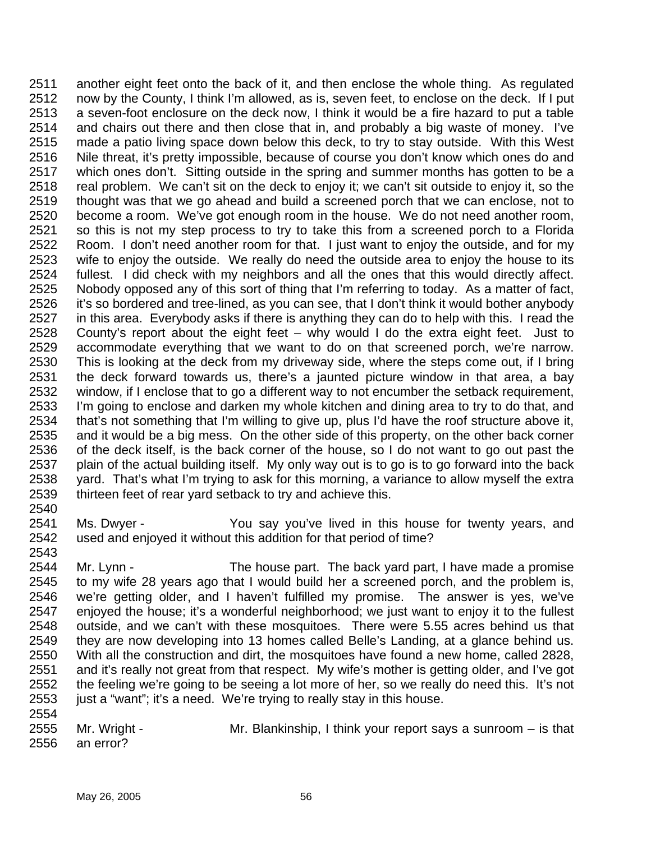2511 2512 2513 2514 2515 2516 2517 2518 2519 2520 2521 2522 2523 2524 2525 2526 2527 2528 2529 2530 2531 2532 2533 2534 2535 2536 2537 2538 2539 another eight feet onto the back of it, and then enclose the whole thing. As regulated now by the County, I think I'm allowed, as is, seven feet, to enclose on the deck. If I put a seven-foot enclosure on the deck now, I think it would be a fire hazard to put a table and chairs out there and then close that in, and probably a big waste of money. I've made a patio living space down below this deck, to try to stay outside. With this West Nile threat, it's pretty impossible, because of course you don't know which ones do and which ones don't. Sitting outside in the spring and summer months has gotten to be a real problem. We can't sit on the deck to enjoy it; we can't sit outside to enjoy it, so the thought was that we go ahead and build a screened porch that we can enclose, not to become a room. We've got enough room in the house. We do not need another room, so this is not my step process to try to take this from a screened porch to a Florida Room. I don't need another room for that. I just want to enjoy the outside, and for my wife to enjoy the outside. We really do need the outside area to enjoy the house to its fullest. I did check with my neighbors and all the ones that this would directly affect. Nobody opposed any of this sort of thing that I'm referring to today. As a matter of fact, it's so bordered and tree-lined, as you can see, that I don't think it would bother anybody in this area. Everybody asks if there is anything they can do to help with this. I read the County's report about the eight feet – why would I do the extra eight feet. Just to accommodate everything that we want to do on that screened porch, we're narrow. This is looking at the deck from my driveway side, where the steps come out, if I bring the deck forward towards us, there's a jaunted picture window in that area, a bay window, if I enclose that to go a different way to not encumber the setback requirement, I'm going to enclose and darken my whole kitchen and dining area to try to do that, and that's not something that I'm willing to give up, plus I'd have the roof structure above it, and it would be a big mess. On the other side of this property, on the other back corner of the deck itself, is the back corner of the house, so I do not want to go out past the plain of the actual building itself. My only way out is to go is to go forward into the back yard. That's what I'm trying to ask for this morning, a variance to allow myself the extra thirteen feet of rear yard setback to try and achieve this.

- 2540
- 2541 2542 Ms. Dwyer - The You say you've lived in this house for twenty years, and used and enjoyed it without this addition for that period of time?
- 2543 2544 2545 2546 2547 2548 2549 2550 2551 2552 2553 2554 Mr. Lynn - The house part. The back yard part, I have made a promise to my wife 28 years ago that I would build her a screened porch, and the problem is, we're getting older, and I haven't fulfilled my promise. The answer is yes, we've enjoyed the house; it's a wonderful neighborhood; we just want to enjoy it to the fullest outside, and we can't with these mosquitoes. There were 5.55 acres behind us that they are now developing into 13 homes called Belle's Landing, at a glance behind us. With all the construction and dirt, the mosquitoes have found a new home, called 2828, and it's really not great from that respect. My wife's mother is getting older, and I've got the feeling we're going to be seeing a lot more of her, so we really do need this. It's not just a "want"; it's a need. We're trying to really stay in this house.
- 2555 2556 Mr. Wright - Mr. Blankinship, I think your report says a sunroom – is that an error?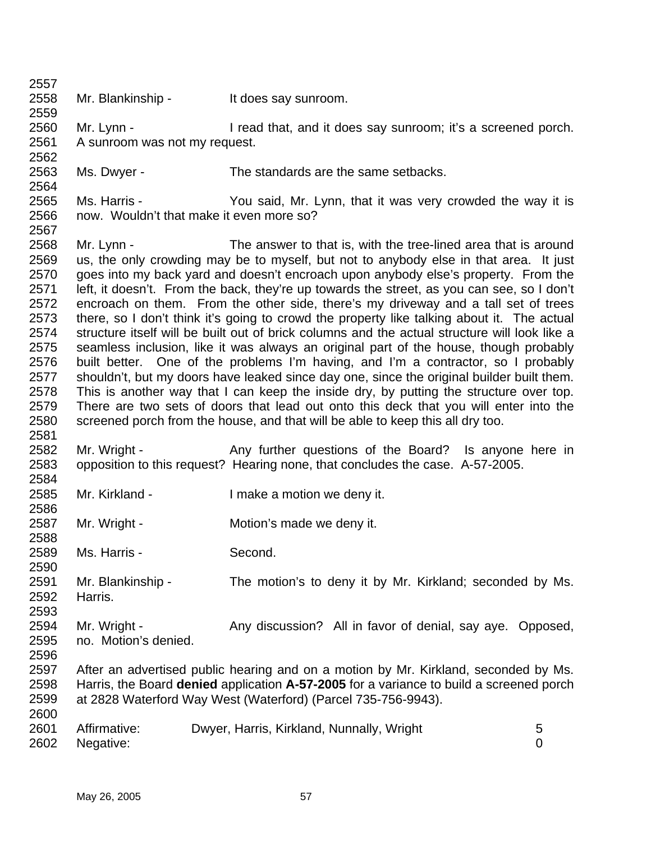| 2557 |                                          |                                                                                               |   |
|------|------------------------------------------|-----------------------------------------------------------------------------------------------|---|
| 2558 | Mr. Blankinship -                        | It does say sunroom.                                                                          |   |
| 2559 |                                          |                                                                                               |   |
| 2560 | Mr. Lynn -                               | I read that, and it does say sunroom; it's a screened porch.                                  |   |
| 2561 | A sunroom was not my request.            |                                                                                               |   |
| 2562 |                                          |                                                                                               |   |
| 2563 | Ms. Dwyer -                              | The standards are the same setbacks.                                                          |   |
| 2564 |                                          |                                                                                               |   |
| 2565 | Ms. Harris -                             | You said, Mr. Lynn, that it was very crowded the way it is                                    |   |
| 2566 | now. Wouldn't that make it even more so? |                                                                                               |   |
| 2567 |                                          |                                                                                               |   |
| 2568 | Mr. Lynn -                               | The answer to that is, with the tree-lined area that is around                                |   |
| 2569 |                                          | us, the only crowding may be to myself, but not to anybody else in that area. It just         |   |
| 2570 |                                          | goes into my back yard and doesn't encroach upon anybody else's property. From the            |   |
| 2571 |                                          | left, it doesn't. From the back, they're up towards the street, as you can see, so I don't    |   |
| 2572 |                                          | encroach on them. From the other side, there's my driveway and a tall set of trees            |   |
| 2573 |                                          | there, so I don't think it's going to crowd the property like talking about it. The actual    |   |
| 2574 |                                          | structure itself will be built out of brick columns and the actual structure will look like a |   |
| 2575 |                                          | seamless inclusion, like it was always an original part of the house, though probably         |   |
| 2576 |                                          | built better. One of the problems I'm having, and I'm a contractor, so I probably             |   |
| 2577 |                                          | shouldn't, but my doors have leaked since day one, since the original builder built them.     |   |
| 2578 |                                          | This is another way that I can keep the inside dry, by putting the structure over top.        |   |
| 2579 |                                          | There are two sets of doors that lead out onto this deck that you will enter into the         |   |
| 2580 |                                          | screened porch from the house, and that will be able to keep this all dry too.                |   |
| 2581 |                                          |                                                                                               |   |
| 2582 | Mr. Wright -                             | Any further questions of the Board? Is anyone here in                                         |   |
| 2583 |                                          | opposition to this request? Hearing none, that concludes the case. A-57-2005.                 |   |
| 2584 |                                          |                                                                                               |   |
| 2585 | Mr. Kirkland -                           | I make a motion we deny it.                                                                   |   |
| 2586 |                                          |                                                                                               |   |
| 2587 | Mr. Wright -                             | Motion's made we deny it.                                                                     |   |
| 2588 |                                          |                                                                                               |   |
| 2589 | Ms. Harris -                             | Second.                                                                                       |   |
| 2590 |                                          |                                                                                               |   |
| 2591 | Mr. Blankinship -                        | The motion's to deny it by Mr. Kirkland; seconded by Ms.                                      |   |
| 2592 | Harris.                                  |                                                                                               |   |
| 2593 |                                          |                                                                                               |   |
| 2594 | Mr. Wright -                             | Any discussion? All in favor of denial, say aye. Opposed,                                     |   |
| 2595 | no. Motion's denied.                     |                                                                                               |   |
| 2596 |                                          |                                                                                               |   |
| 2597 |                                          | After an advertised public hearing and on a motion by Mr. Kirkland, seconded by Ms.           |   |
| 2598 |                                          | Harris, the Board denied application A-57-2005 for a variance to build a screened porch       |   |
| 2599 |                                          | at 2828 Waterford Way West (Waterford) (Parcel 735-756-9943).                                 |   |
| 2600 |                                          |                                                                                               |   |
| 2601 | Affirmative:                             | Dwyer, Harris, Kirkland, Nunnally, Wright                                                     | 5 |
| 2602 | Negative:                                |                                                                                               | 0 |
|      |                                          |                                                                                               |   |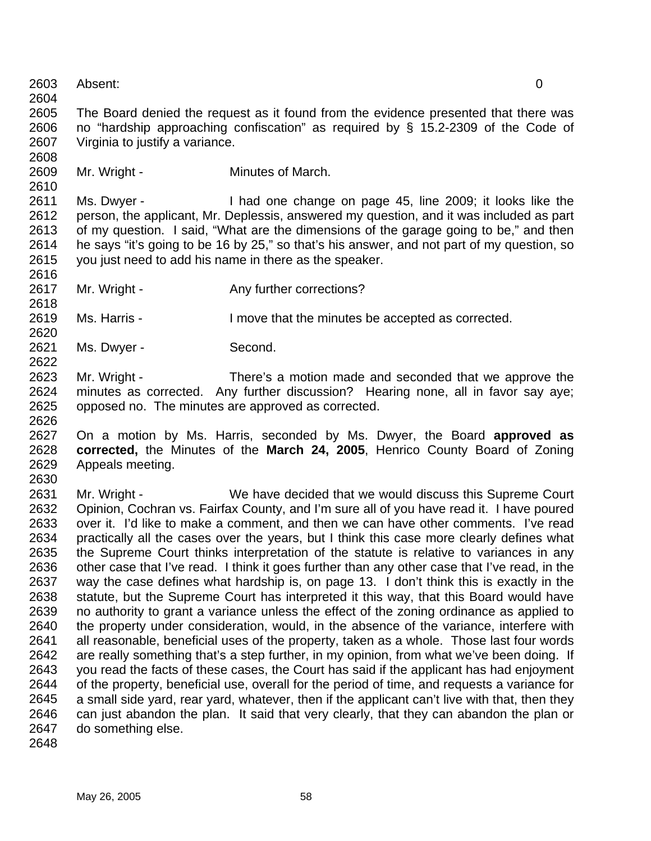2604 2605 2606 2607 2608 2609 2610 2611 2612 2613 2614 2615 2616 2617 2618 2619 2620 2621 2622 2623 2624 2625 2626 2627 2628 2629 2630 2631 2632 2633 2634 2635 2636 2637 2638 2639 2640 2641 2642 2643 2644 2645 2646 2647 2648 Absent: 0 The Board denied the request as it found from the evidence presented that there was no "hardship approaching confiscation" as required by § 15.2-2309 of the Code of Virginia to justify a variance. Mr. Wright - Minutes of March. Ms. Dwyer - I had one change on page 45, line 2009; it looks like the person, the applicant, Mr. Deplessis, answered my question, and it was included as part of my question. I said, "What are the dimensions of the garage going to be," and then he says "it's going to be 16 by 25," so that's his answer, and not part of my question, so you just need to add his name in there as the speaker. Mr. Wright - Any further corrections? Ms. Harris - The Move that the minutes be accepted as corrected. Ms. Dwyer - Second. Mr. Wright - There's a motion made and seconded that we approve the minutes as corrected. Any further discussion? Hearing none, all in favor say aye; opposed no. The minutes are approved as corrected. On a motion by Ms. Harris, seconded by Ms. Dwyer, the Board **approved as corrected,** the Minutes of the **March 24, 2005**, Henrico County Board of Zoning Appeals meeting. Mr. Wright - We have decided that we would discuss this Supreme Court Opinion, Cochran vs. Fairfax County, and I'm sure all of you have read it. I have poured over it. I'd like to make a comment, and then we can have other comments. I've read practically all the cases over the years, but I think this case more clearly defines what the Supreme Court thinks interpretation of the statute is relative to variances in any other case that I've read. I think it goes further than any other case that I've read, in the way the case defines what hardship is, on page 13. I don't think this is exactly in the statute, but the Supreme Court has interpreted it this way, that this Board would have no authority to grant a variance unless the effect of the zoning ordinance as applied to the property under consideration, would, in the absence of the variance, interfere with all reasonable, beneficial uses of the property, taken as a whole. Those last four words are really something that's a step further, in my opinion, from what we've been doing. If you read the facts of these cases, the Court has said if the applicant has had enjoyment of the property, beneficial use, overall for the period of time, and requests a variance for a small side yard, rear yard, whatever, then if the applicant can't live with that, then they can just abandon the plan. It said that very clearly, that they can abandon the plan or do something else.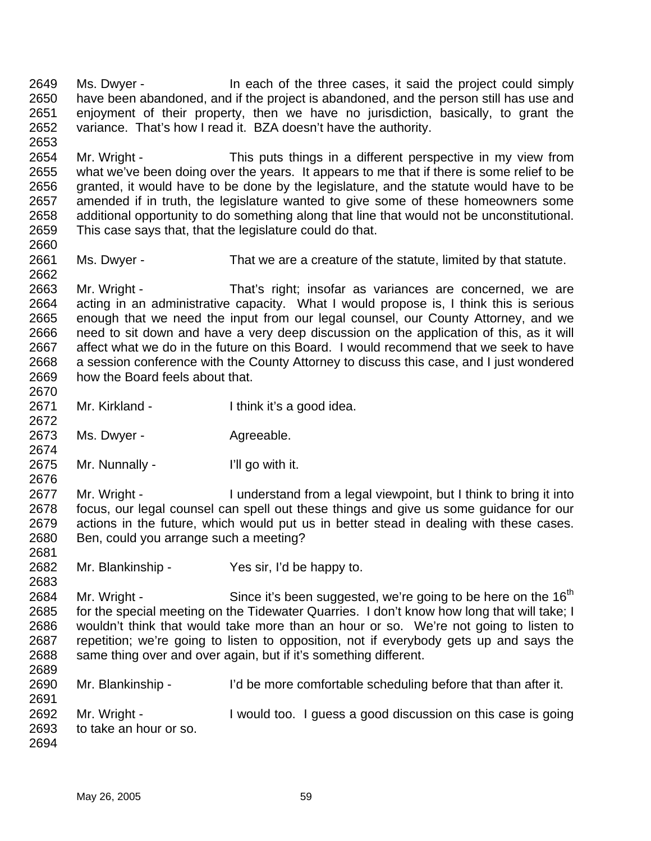2649 2650 2651 2652 2653 Ms. Dwyer - In each of the three cases, it said the project could simply have been abandoned, and if the project is abandoned, and the person still has use and enjoyment of their property, then we have no jurisdiction, basically, to grant the variance. That's how I read it. BZA doesn't have the authority.

2654 2655 2656 2657 2658 2659 Mr. Wright - This puts things in a different perspective in my view from what we've been doing over the years. It appears to me that if there is some relief to be granted, it would have to be done by the legislature, and the statute would have to be amended if in truth, the legislature wanted to give some of these homeowners some additional opportunity to do something along that line that would not be unconstitutional. This case says that, that the legislature could do that.

2661 2662 Ms. Dwyer - That we are a creature of the statute, limited by that statute.

2663 2664 2665 2666 2667 2668 2669 2670 Mr. Wright - That's right; insofar as variances are concerned, we are acting in an administrative capacity. What I would propose is, I think this is serious enough that we need the input from our legal counsel, our County Attorney, and we need to sit down and have a very deep discussion on the application of this, as it will affect what we do in the future on this Board. I would recommend that we seek to have a session conference with the County Attorney to discuss this case, and I just wondered how the Board feels about that.

- 2671 Mr. Kirkland - Ithink it's a good idea.
- 2673 Ms. Dwyer - **Agreeable.**

2660

2672

2674

2681

2683

2675 Mr. Nunnally - I'll go with it.

2676 2677 2678 2679 2680 Mr. Wright - I understand from a legal viewpoint, but I think to bring it into focus, our legal counsel can spell out these things and give us some guidance for our actions in the future, which would put us in better stead in dealing with these cases. Ben, could you arrange such a meeting?

2682 Mr. Blankinship - Yes sir, I'd be happy to.

2684 2685 2686 2687 2688 2689 Mr. Wright - Since it's been suggested, we're going to be here on the 16<sup>th</sup> for the special meeting on the Tidewater Quarries. I don't know how long that will take; I wouldn't think that would take more than an hour or so. We're not going to listen to repetition; we're going to listen to opposition, not if everybody gets up and says the same thing over and over again, but if it's something different.

2690 2691 2692 2693 2694 Mr. Blankinship - I'd be more comfortable scheduling before that than after it. Mr. Wright - I would too. I guess a good discussion on this case is going to take an hour or so.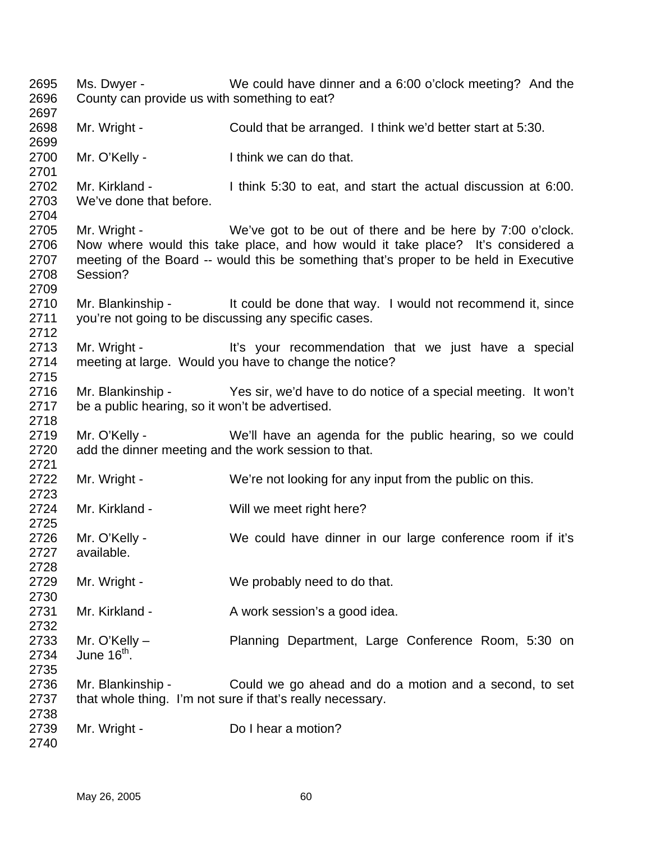Ms. Dwyer - We could have dinner and a 6:00 o'clock meeting? And the County can provide us with something to eat? Mr. Wright - Could that be arranged. I think we'd better start at 5:30. Mr. O'Kelly - I think we can do that. Mr. Kirkland - I think 5:30 to eat, and start the actual discussion at 6:00. We've done that before. Mr. Wright - We've got to be out of there and be here by 7:00 o'clock. Now where would this take place, and how would it take place? It's considered a meeting of the Board -- would this be something that's proper to be held in Executive Session? Mr. Blankinship - It could be done that way. I would not recommend it, since you're not going to be discussing any specific cases. Mr. Wright - It's your recommendation that we just have a special meeting at large. Would you have to change the notice? Mr. Blankinship - Yes sir, we'd have to do notice of a special meeting. It won't be a public hearing, so it won't be advertised. Mr. O'Kelly - We'll have an agenda for the public hearing, so we could add the dinner meeting and the work session to that. Mr. Wright - We're not looking for any input from the public on this. Mr. Kirkland - Will we meet right here? Mr. O'Kelly - We could have dinner in our large conference room if it's available. Mr. Wright - We probably need to do that. Mr. Kirkland - A work session's a good idea. Mr. O'Kelly – Planning Department, Large Conference Room, 5:30 on June  $16^{th}$ . Mr. Blankinship - Could we go ahead and do a motion and a second, to set that whole thing. I'm not sure if that's really necessary. Mr. Wright - Do I hear a motion?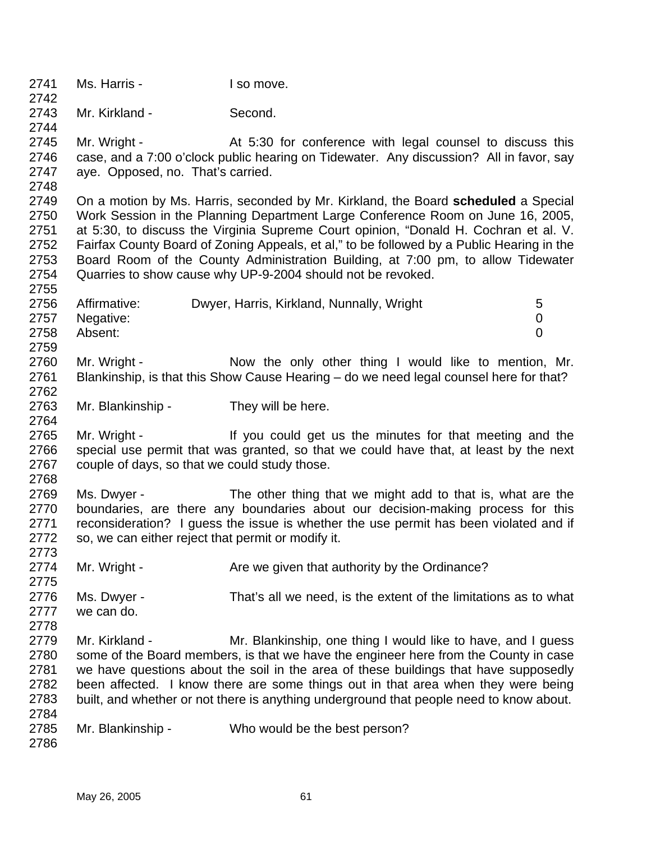2741 2742 2743 2744 2745 2746 2747 2748 2749 2750 2751 2752 2753 2754 2755 2756 2757 2758 2759 2760 2761 2762 2763 2764 2765 2766 2767 2768 2769 2770 2771 2772 2773 2774 2775 2776 2777 2778 2779 2780 2781 2782 2783 2784 2785 2786 Ms. Harris - The Music Liso move. Mr. Kirkland - Second. Mr. Wright - The At 5:30 for conference with legal counsel to discuss this case, and a 7:00 o'clock public hearing on Tidewater. Any discussion? All in favor, say aye. Opposed, no. That's carried. On a motion by Ms. Harris, seconded by Mr. Kirkland, the Board **scheduled** a Special Work Session in the Planning Department Large Conference Room on June 16, 2005, at 5:30, to discuss the Virginia Supreme Court opinion, "Donald H. Cochran et al. V. Fairfax County Board of Zoning Appeals, et al," to be followed by a Public Hearing in the Board Room of the County Administration Building, at 7:00 pm, to allow Tidewater Quarries to show cause why UP-9-2004 should not be revoked. Affirmative: Dwyer, Harris, Kirkland, Nunnally, Wright 5 Negative: 0 Absent: 0 Mr. Wright - Now the only other thing I would like to mention, Mr. Blankinship, is that this Show Cause Hearing – do we need legal counsel here for that? Mr. Blankinship - They will be here. Mr. Wright - If you could get us the minutes for that meeting and the special use permit that was granted, so that we could have that, at least by the next couple of days, so that we could study those. Ms. Dwyer - The other thing that we might add to that is, what are the boundaries, are there any boundaries about our decision-making process for this reconsideration? I guess the issue is whether the use permit has been violated and if so, we can either reject that permit or modify it. Mr. Wright - Are we given that authority by the Ordinance? Ms. Dwyer - That's all we need, is the extent of the limitations as to what we can do. Mr. Kirkland - Mr. Blankinship, one thing I would like to have, and I guess some of the Board members, is that we have the engineer here from the County in case we have questions about the soil in the area of these buildings that have supposedly been affected. I know there are some things out in that area when they were being built, and whether or not there is anything underground that people need to know about. Mr. Blankinship - Who would be the best person?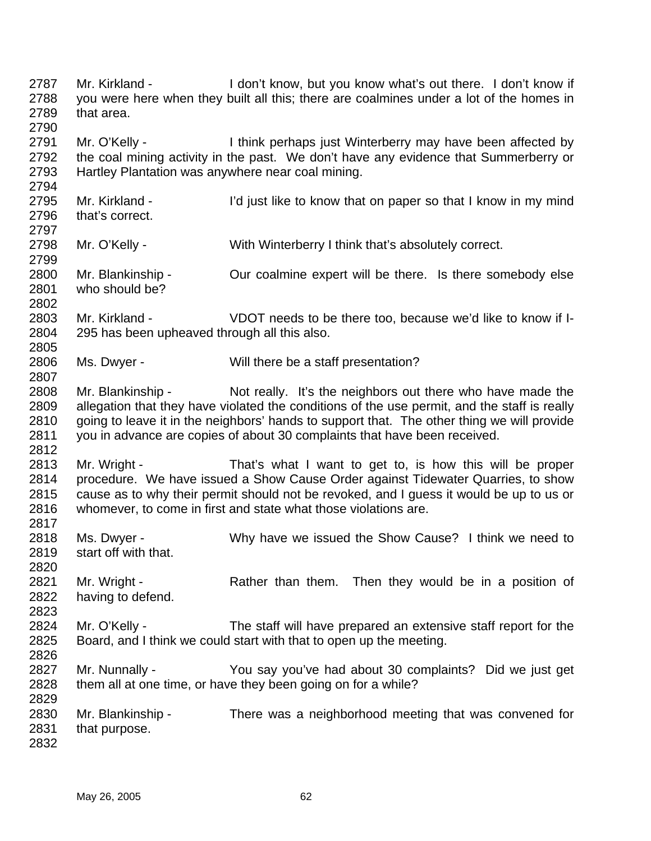2787 2788 2789 2790 2791 2792 2793 2794 2795 2796 2797 2798 2799 2800 2801 2802 2803 2804 2805 2806 2807 2808 2809 2810 2811 2812 2813 2814 2815 2816 2817 2818 2819 2820 2821 2822 2823 2824 2825 2826 2827 2828 2829 2830 2831 2832 Mr. Kirkland - The State of the I don't know, but you know what's out there. I don't know if you were here when they built all this; there are coalmines under a lot of the homes in that area. Mr. O'Kelly - I think perhaps just Winterberry may have been affected by the coal mining activity in the past. We don't have any evidence that Summerberry or Hartley Plantation was anywhere near coal mining. Mr. Kirkland - I'd just like to know that on paper so that I know in my mind that's correct. Mr. O'Kelly - With Winterberry I think that's absolutely correct. Mr. Blankinship - Our coalmine expert will be there. Is there somebody else who should be? Mr. Kirkland - VDOT needs to be there too, because we'd like to know if I-295 has been upheaved through all this also. Ms. Dwyer - Will there be a staff presentation? Mr. Blankinship - Not really. It's the neighbors out there who have made the allegation that they have violated the conditions of the use permit, and the staff is really going to leave it in the neighbors' hands to support that. The other thing we will provide you in advance are copies of about 30 complaints that have been received. Mr. Wright - That's what I want to get to, is how this will be proper procedure. We have issued a Show Cause Order against Tidewater Quarries, to show cause as to why their permit should not be revoked, and I guess it would be up to us or whomever, to come in first and state what those violations are. Ms. Dwyer - Why have we issued the Show Cause? I think we need to start off with that. Mr. Wright - Rather than them. Then they would be in a position of having to defend. Mr. O'Kelly - The staff will have prepared an extensive staff report for the Board, and I think we could start with that to open up the meeting. Mr. Nunnally - You say you've had about 30 complaints? Did we just get them all at one time, or have they been going on for a while? Mr. Blankinship - There was a neighborhood meeting that was convened for that purpose.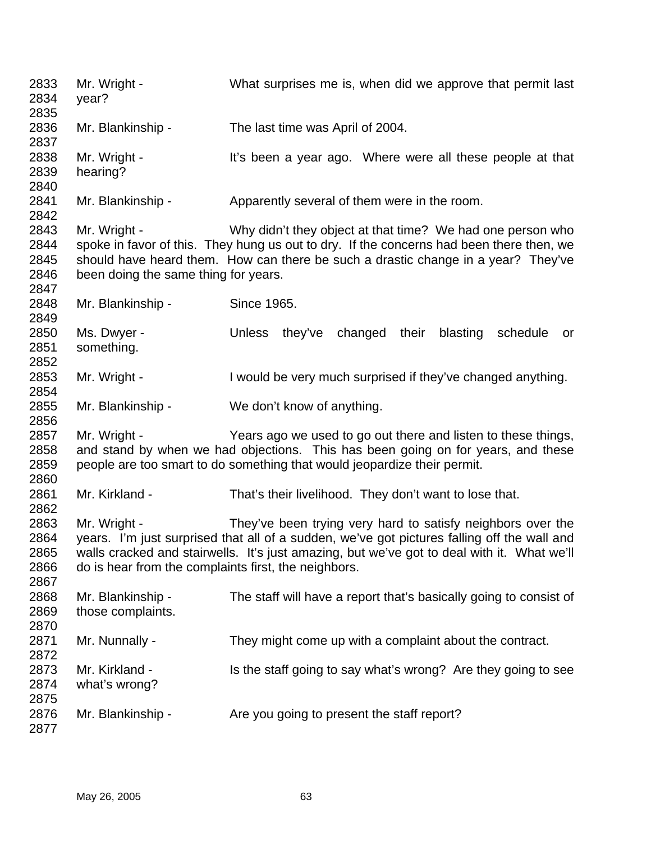2833 2834 2835 2836 2837 2838 2839 2840 2841 2842 2843 2844 2845 2846 2847 2848 2849 2850 2851 2852 2853 2854 2855 2856 2857 2858 2859 2860 2861 2862 2863 2864 2865 2866 2867 2868 2869 2870 2871 2872 2873 2874 2875 2876 2877 Mr. Wright - What surprises me is, when did we approve that permit last year? Mr. Blankinship - The last time was April of 2004. Mr. Wright - It's been a year ago. Where were all these people at that hearing? Mr. Blankinship - Apparently several of them were in the room. Mr. Wright - Why didn't they object at that time? We had one person who spoke in favor of this. They hung us out to dry. If the concerns had been there then, we should have heard them. How can there be such a drastic change in a year? They've been doing the same thing for years. Mr. Blankinship - Since 1965. Ms. Dwyer - The Unless they've changed their blasting schedule or something. Mr. Wright - I would be very much surprised if they've changed anything. Mr. Blankinship - We don't know of anything. Mr. Wright - Years ago we used to go out there and listen to these things, and stand by when we had objections. This has been going on for years, and these people are too smart to do something that would jeopardize their permit. Mr. Kirkland - That's their livelihood. They don't want to lose that. Mr. Wright - They've been trying very hard to satisfy neighbors over the years. I'm just surprised that all of a sudden, we've got pictures falling off the wall and walls cracked and stairwells. It's just amazing, but we've got to deal with it. What we'll do is hear from the complaints first, the neighbors. Mr. Blankinship - The staff will have a report that's basically going to consist of those complaints. Mr. Nunnally - They might come up with a complaint about the contract. Mr. Kirkland - Is the staff going to say what's wrong? Are they going to see what's wrong? Mr. Blankinship - Are you going to present the staff report?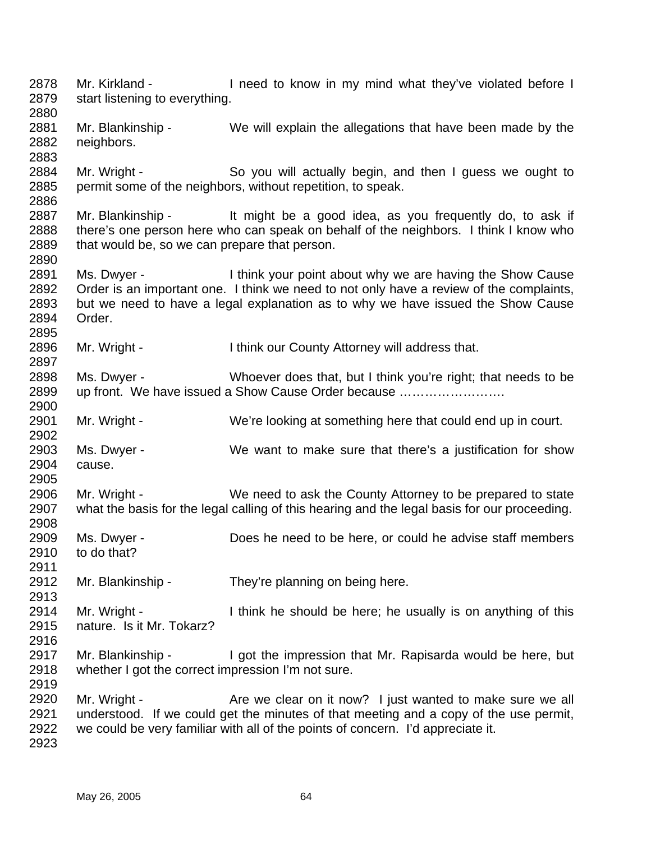2878 2879 2880 2881 2882 2883 2884 2885 2886 2887 2888 2889 2890 2891 2892 2893 2894 2895 2896 2897 2898 2899 2900 2901 2902 2903 2904 2905 2906 2907 2908 2909 2910 2911 2912 2913 2914 2915 2916 2917 2918 2919 2920 2921 2922 2923 Mr. Kirkland - I need to know in my mind what they've violated before I start listening to everything. Mr. Blankinship - We will explain the allegations that have been made by the neighbors. Mr. Wright - So you will actually begin, and then I guess we ought to permit some of the neighbors, without repetition, to speak. Mr. Blankinship - It might be a good idea, as you frequently do, to ask if there's one person here who can speak on behalf of the neighbors. I think I know who that would be, so we can prepare that person. Ms. Dwyer - I think your point about why we are having the Show Cause Order is an important one. I think we need to not only have a review of the complaints, but we need to have a legal explanation as to why we have issued the Show Cause Order. Mr. Wright - Think our County Attorney will address that. Ms. Dwyer - Whoever does that, but I think you're right; that needs to be up front. We have issued a Show Cause Order because ……………………. Mr. Wright - We're looking at something here that could end up in court. Ms. Dwyer - We want to make sure that there's a justification for show cause. Mr. Wright - We need to ask the County Attorney to be prepared to state what the basis for the legal calling of this hearing and the legal basis for our proceeding. Ms. Dwyer - Does he need to be here, or could he advise staff members to do that? Mr. Blankinship - They're planning on being here. Mr. Wright - I think he should be here; he usually is on anything of this nature. Is it Mr. Tokarz? Mr. Blankinship - I got the impression that Mr. Rapisarda would be here, but whether I got the correct impression I'm not sure. Mr. Wright - Are we clear on it now? I just wanted to make sure we all understood. If we could get the minutes of that meeting and a copy of the use permit, we could be very familiar with all of the points of concern. I'd appreciate it.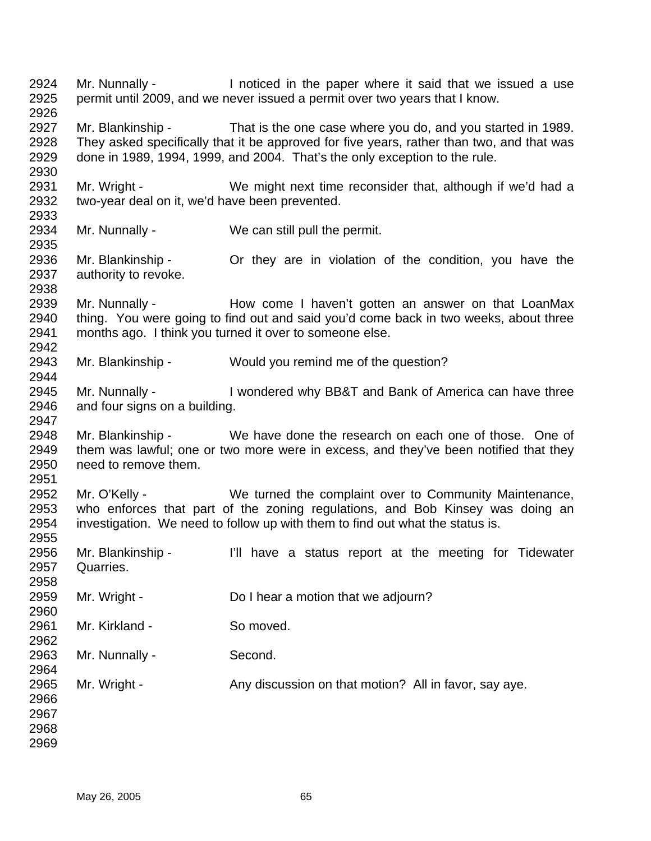Mr. Nunnally - Inoticed in the paper where it said that we issued a use permit until 2009, and we never issued a permit over two years that I know. Mr. Blankinship - That is the one case where you do, and you started in 1989. They asked specifically that it be approved for five years, rather than two, and that was done in 1989, 1994, 1999, and 2004. That's the only exception to the rule. Mr. Wright - We might next time reconsider that, although if we'd had a two-year deal on it, we'd have been prevented. Mr. Nunnally - We can still pull the permit. Mr. Blankinship - They are in violation of the condition, you have the authority to revoke. Mr. Nunnally - The How come I haven't gotten an answer on that LoanMax thing. You were going to find out and said you'd come back in two weeks, about three months ago. I think you turned it over to someone else. Mr. Blankinship - Would you remind me of the question? Mr. Nunnally - I wondered why BB&T and Bank of America can have three and four signs on a building. Mr. Blankinship - We have done the research on each one of those. One of them was lawful; one or two more were in excess, and they've been notified that they need to remove them. Mr. O'Kelly - We turned the complaint over to Community Maintenance, who enforces that part of the zoning regulations, and Bob Kinsey was doing an investigation. We need to follow up with them to find out what the status is. Mr. Blankinship - I'll have a status report at the meeting for Tidewater Quarries. Mr. Wright - Do I hear a motion that we adjourn? Mr. Kirkland - So moved. Mr. Nunnally - Second. Mr. Wright - Any discussion on that motion? All in favor, say aye.